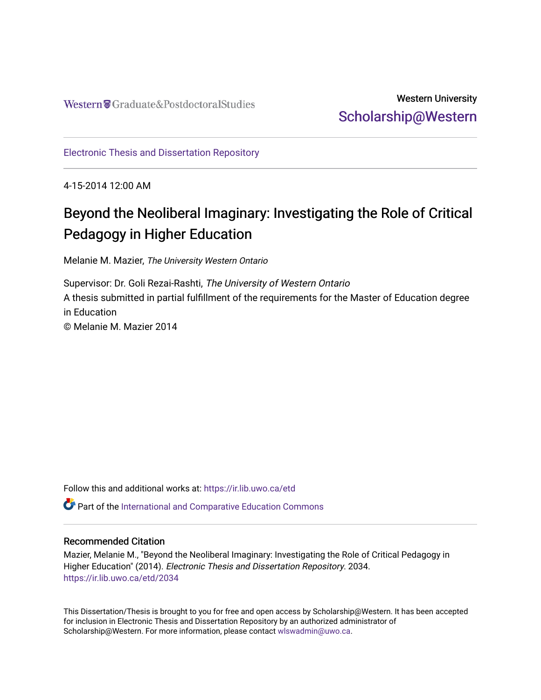# Western University [Scholarship@Western](https://ir.lib.uwo.ca/)

[Electronic Thesis and Dissertation Repository](https://ir.lib.uwo.ca/etd)

4-15-2014 12:00 AM

# Beyond the Neoliberal Imaginary: Investigating the Role of Critical Pedagogy in Higher Education

Melanie M. Mazier, The University Western Ontario

Supervisor: Dr. Goli Rezai-Rashti, The University of Western Ontario A thesis submitted in partial fulfillment of the requirements for the Master of Education degree in Education © Melanie M. Mazier 2014

Follow this and additional works at: [https://ir.lib.uwo.ca/etd](https://ir.lib.uwo.ca/etd?utm_source=ir.lib.uwo.ca%2Fetd%2F2034&utm_medium=PDF&utm_campaign=PDFCoverPages) 

Part of the [International and Comparative Education Commons](http://network.bepress.com/hgg/discipline/797?utm_source=ir.lib.uwo.ca%2Fetd%2F2034&utm_medium=PDF&utm_campaign=PDFCoverPages) 

# Recommended Citation

Mazier, Melanie M., "Beyond the Neoliberal Imaginary: Investigating the Role of Critical Pedagogy in Higher Education" (2014). Electronic Thesis and Dissertation Repository. 2034. [https://ir.lib.uwo.ca/etd/2034](https://ir.lib.uwo.ca/etd/2034?utm_source=ir.lib.uwo.ca%2Fetd%2F2034&utm_medium=PDF&utm_campaign=PDFCoverPages)

This Dissertation/Thesis is brought to you for free and open access by Scholarship@Western. It has been accepted for inclusion in Electronic Thesis and Dissertation Repository by an authorized administrator of Scholarship@Western. For more information, please contact [wlswadmin@uwo.ca.](mailto:wlswadmin@uwo.ca)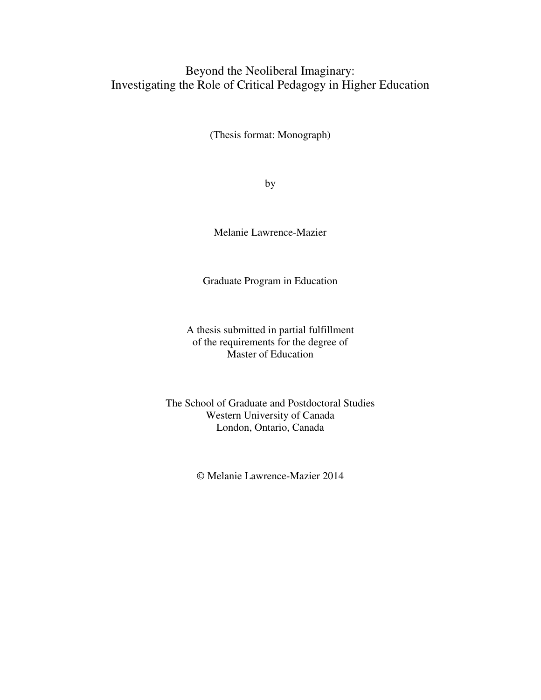# Beyond the Neoliberal Imaginary: Investigating the Role of Critical Pedagogy in Higher Education

(Thesis format: Monograph)

by

Melanie Lawrence-Mazier

Graduate Program in Education

A thesis submitted in partial fulfillment of the requirements for the degree of Master of Education

The School of Graduate and Postdoctoral Studies Western University of Canada London, Ontario, Canada

© Melanie Lawrence-Mazier 2014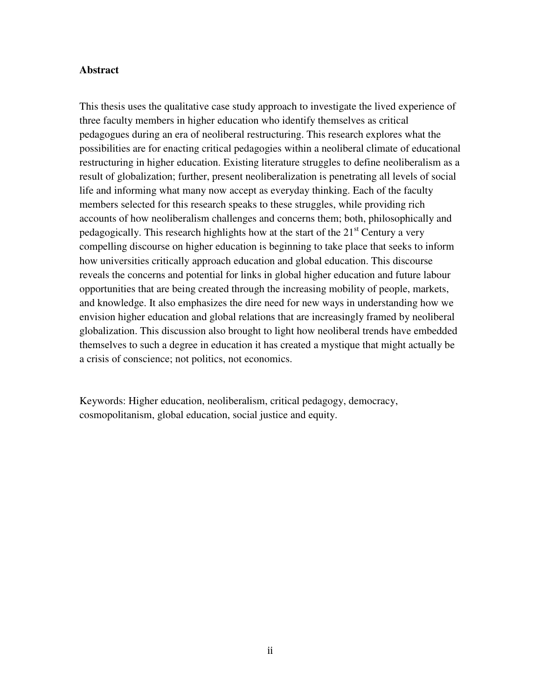# **Abstract**

This thesis uses the qualitative case study approach to investigate the lived experience of three faculty members in higher education who identify themselves as critical pedagogues during an era of neoliberal restructuring. This research explores what the possibilities are for enacting critical pedagogies within a neoliberal climate of educational restructuring in higher education. Existing literature struggles to define neoliberalism as a result of globalization; further, present neoliberalization is penetrating all levels of social life and informing what many now accept as everyday thinking. Each of the faculty members selected for this research speaks to these struggles, while providing rich accounts of how neoliberalism challenges and concerns them; both, philosophically and pedagogically. This research highlights how at the start of the  $21<sup>st</sup>$  Century a very compelling discourse on higher education is beginning to take place that seeks to inform how universities critically approach education and global education. This discourse reveals the concerns and potential for links in global higher education and future labour opportunities that are being created through the increasing mobility of people, markets, and knowledge. It also emphasizes the dire need for new ways in understanding how we envision higher education and global relations that are increasingly framed by neoliberal globalization. This discussion also brought to light how neoliberal trends have embedded themselves to such a degree in education it has created a mystique that might actually be a crisis of conscience; not politics, not economics.

Keywords: Higher education, neoliberalism, critical pedagogy, democracy, cosmopolitanism, global education, social justice and equity.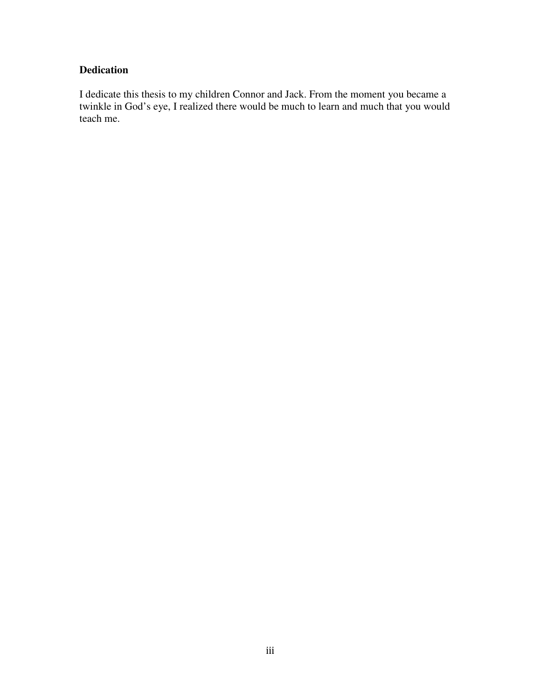# **Dedication**

I dedicate this thesis to my children Connor and Jack. From the moment you became a twinkle in God's eye, I realized there would be much to learn and much that you would teach me.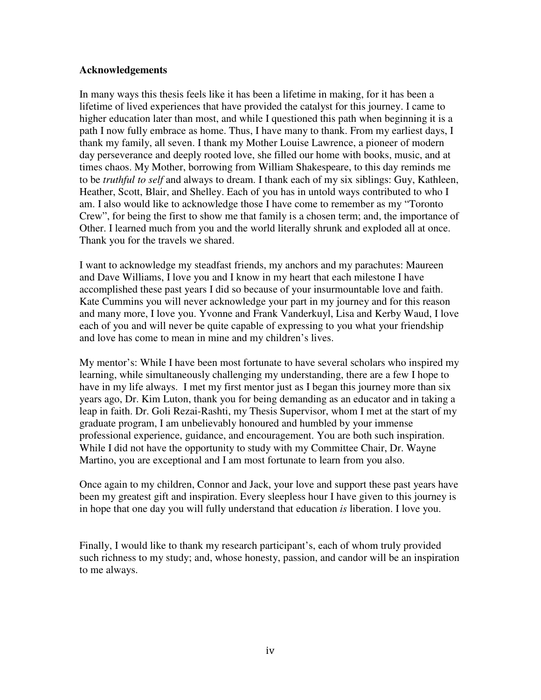# **Acknowledgements**

In many ways this thesis feels like it has been a lifetime in making, for it has been a lifetime of lived experiences that have provided the catalyst for this journey. I came to higher education later than most, and while I questioned this path when beginning it is a path I now fully embrace as home. Thus, I have many to thank. From my earliest days, I thank my family, all seven. I thank my Mother Louise Lawrence, a pioneer of modern day perseverance and deeply rooted love, she filled our home with books, music, and at times chaos. My Mother, borrowing from William Shakespeare, to this day reminds me to be *truthful to self* and always to dream. I thank each of my six siblings: Guy, Kathleen, Heather, Scott, Blair, and Shelley. Each of you has in untold ways contributed to who I am. I also would like to acknowledge those I have come to remember as my "Toronto Crew", for being the first to show me that family is a chosen term; and, the importance of Other. I learned much from you and the world literally shrunk and exploded all at once. Thank you for the travels we shared.

I want to acknowledge my steadfast friends, my anchors and my parachutes: Maureen and Dave Williams, I love you and I know in my heart that each milestone I have accomplished these past years I did so because of your insurmountable love and faith. Kate Cummins you will never acknowledge your part in my journey and for this reason and many more, I love you. Yvonne and Frank Vanderkuyl, Lisa and Kerby Waud, I love each of you and will never be quite capable of expressing to you what your friendship and love has come to mean in mine and my children's lives.

My mentor's: While I have been most fortunate to have several scholars who inspired my learning, while simultaneously challenging my understanding, there are a few I hope to have in my life always. I met my first mentor just as I began this journey more than six years ago, Dr. Kim Luton, thank you for being demanding as an educator and in taking a leap in faith. Dr. Goli Rezai-Rashti, my Thesis Supervisor, whom I met at the start of my graduate program, I am unbelievably honoured and humbled by your immense professional experience, guidance, and encouragement. You are both such inspiration. While I did not have the opportunity to study with my Committee Chair, Dr. Wayne Martino, you are exceptional and I am most fortunate to learn from you also.

Once again to my children, Connor and Jack, your love and support these past years have been my greatest gift and inspiration. Every sleepless hour I have given to this journey is in hope that one day you will fully understand that education *is* liberation. I love you.

Finally, I would like to thank my research participant's, each of whom truly provided such richness to my study; and, whose honesty, passion, and candor will be an inspiration to me always.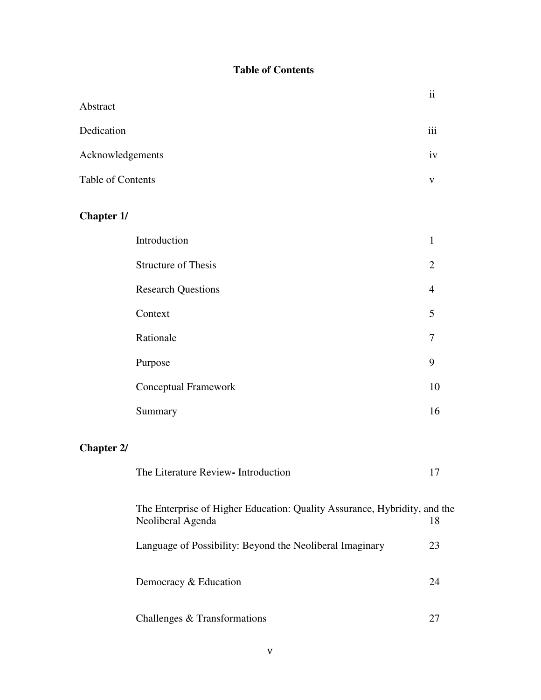# **Table of Contents**

|                   |                                                                                                | $\ddot{\rm n}$ |
|-------------------|------------------------------------------------------------------------------------------------|----------------|
| Abstract          |                                                                                                |                |
| Dedication        |                                                                                                | iii            |
| Acknowledgements  |                                                                                                | iv             |
| Table of Contents |                                                                                                | V              |
| <b>Chapter 1/</b> |                                                                                                |                |
|                   | Introduction                                                                                   | $\mathbf{1}$   |
|                   | <b>Structure of Thesis</b>                                                                     | 2              |
|                   | <b>Research Questions</b>                                                                      | $\overline{4}$ |
|                   | Context                                                                                        | 5              |
|                   | Rationale                                                                                      | 7              |
|                   | Purpose                                                                                        | 9              |
|                   | Conceptual Framework                                                                           | 10             |
|                   | Summary                                                                                        | 16             |
| <b>Chapter 2/</b> |                                                                                                |                |
|                   | The Literature Review- Introduction                                                            | 17             |
|                   | The Enterprise of Higher Education: Quality Assurance, Hybridity, and the<br>Neoliberal Agenda | 18             |
|                   | Language of Possibility: Beyond the Neoliberal Imaginary                                       | 23             |
|                   | Democracy & Education                                                                          | 24             |
|                   | Challenges & Transformations                                                                   | 27             |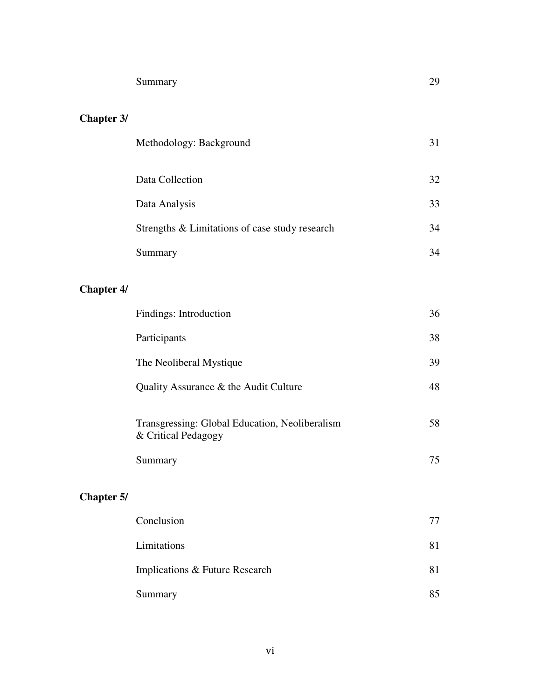# **Chapter 3/**

| Methodology: Background                        | 31 |
|------------------------------------------------|----|
| Data Collection                                | 32 |
| Data Analysis                                  | 33 |
| Strengths & Limitations of case study research | 34 |
| Summary                                        | 34 |

# **Chapter 4/**

|                   | Findings: Introduction                                                | 36 |
|-------------------|-----------------------------------------------------------------------|----|
|                   | Participants                                                          | 38 |
|                   | The Neoliberal Mystique                                               | 39 |
|                   | Quality Assurance & the Audit Culture                                 | 48 |
|                   | Transgressing: Global Education, Neoliberalism<br>& Critical Pedagogy | 58 |
|                   | Summary                                                               | 75 |
| <b>Chapter 5/</b> |                                                                       |    |
|                   | Conclusion                                                            | 77 |
|                   | Limitations                                                           | 81 |
|                   | Implications & Future Research                                        | 81 |

Summary 85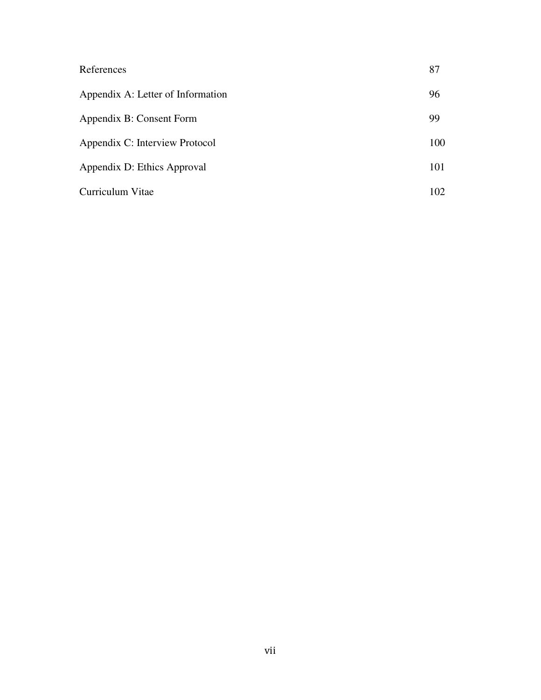| References                        | 87  |
|-----------------------------------|-----|
| Appendix A: Letter of Information | 96  |
| Appendix B: Consent Form          | 99  |
| Appendix C: Interview Protocol    | 100 |
| Appendix D: Ethics Approval       | 101 |
| Curriculum Vitae                  | 102 |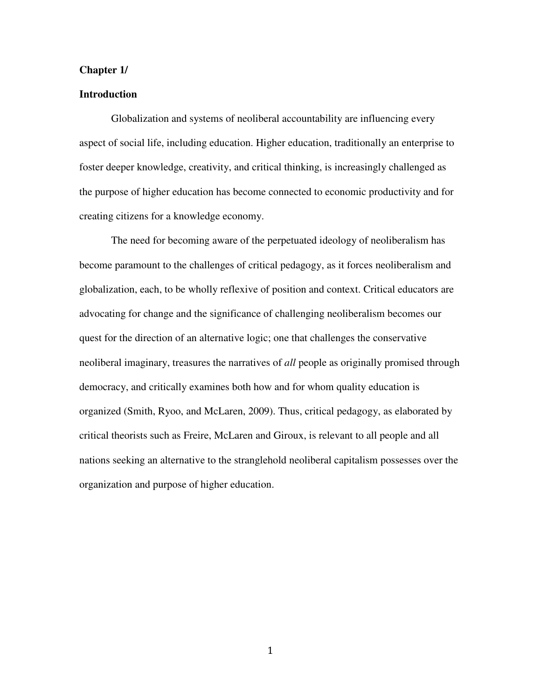# **Chapter 1/**

# **Introduction**

 Globalization and systems of neoliberal accountability are influencing every aspect of social life, including education. Higher education, traditionally an enterprise to foster deeper knowledge, creativity, and critical thinking, is increasingly challenged as the purpose of higher education has become connected to economic productivity and for creating citizens for a knowledge economy.

The need for becoming aware of the perpetuated ideology of neoliberalism has become paramount to the challenges of critical pedagogy, as it forces neoliberalism and globalization, each, to be wholly reflexive of position and context. Critical educators are advocating for change and the significance of challenging neoliberalism becomes our quest for the direction of an alternative logic; one that challenges the conservative neoliberal imaginary, treasures the narratives of *all* people as originally promised through democracy, and critically examines both how and for whom quality education is organized (Smith, Ryoo, and McLaren, 2009). Thus, critical pedagogy, as elaborated by critical theorists such as Freire, McLaren and Giroux, is relevant to all people and all nations seeking an alternative to the stranglehold neoliberal capitalism possesses over the organization and purpose of higher education.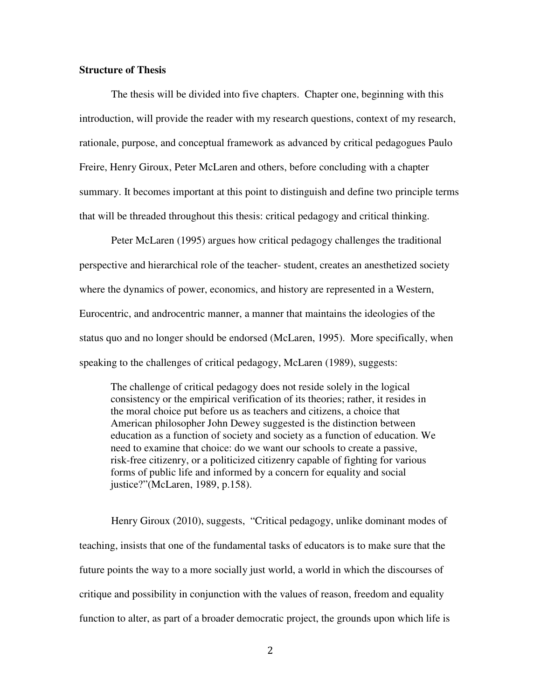# **Structure of Thesis**

The thesis will be divided into five chapters. Chapter one, beginning with this introduction, will provide the reader with my research questions, context of my research, rationale, purpose, and conceptual framework as advanced by critical pedagogues Paulo Freire, Henry Giroux, Peter McLaren and others, before concluding with a chapter summary. It becomes important at this point to distinguish and define two principle terms that will be threaded throughout this thesis: critical pedagogy and critical thinking.

Peter McLaren (1995) argues how critical pedagogy challenges the traditional perspective and hierarchical role of the teacher- student, creates an anesthetized society where the dynamics of power, economics, and history are represented in a Western, Eurocentric, and androcentric manner, a manner that maintains the ideologies of the status quo and no longer should be endorsed (McLaren, 1995). More specifically, when speaking to the challenges of critical pedagogy, McLaren (1989), suggests:

The challenge of critical pedagogy does not reside solely in the logical consistency or the empirical verification of its theories; rather, it resides in the moral choice put before us as teachers and citizens, a choice that American philosopher John Dewey suggested is the distinction between education as a function of society and society as a function of education. We need to examine that choice: do we want our schools to create a passive, risk-free citizenry, or a politicized citizenry capable of fighting for various forms of public life and informed by a concern for equality and social justice?"(McLaren, 1989, p.158).

Henry Giroux (2010), suggests, "Critical pedagogy, unlike dominant modes of teaching, insists that one of the fundamental tasks of educators is to make sure that the future points the way to a more socially just world, a world in which the discourses of critique and possibility in conjunction with the values of reason, freedom and equality function to alter, as part of a broader democratic project, the grounds upon which life is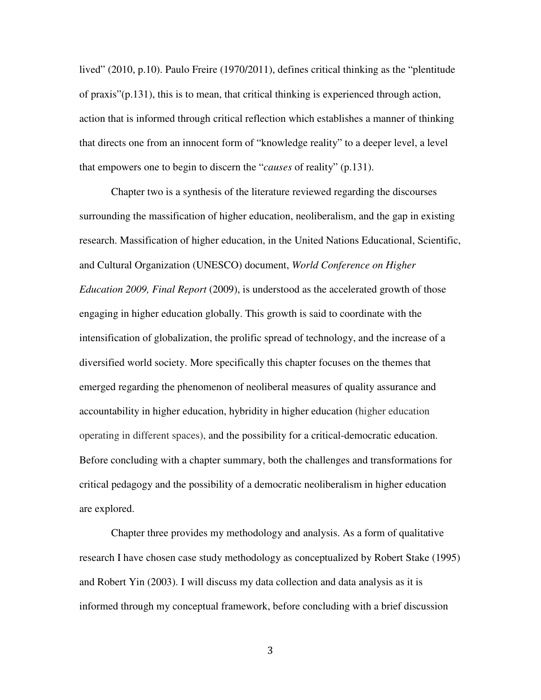lived" (2010, p.10). Paulo Freire (1970/2011), defines critical thinking as the "plentitude of praxis"(p.131), this is to mean, that critical thinking is experienced through action, action that is informed through critical reflection which establishes a manner of thinking that directs one from an innocent form of "knowledge reality" to a deeper level, a level that empowers one to begin to discern the "*causes* of reality" (p.131).

Chapter two is a synthesis of the literature reviewed regarding the discourses surrounding the massification of higher education, neoliberalism, and the gap in existing research. Massification of higher education, in the United Nations Educational, Scientific, and Cultural Organization (UNESCO) document, *World Conference on Higher Education 2009, Final Report* (2009), is understood as the accelerated growth of those engaging in higher education globally. This growth is said to coordinate with the intensification of globalization, the prolific spread of technology, and the increase of a diversified world society. More specifically this chapter focuses on the themes that emerged regarding the phenomenon of neoliberal measures of quality assurance and accountability in higher education, hybridity in higher education (higher education operating in different spaces), and the possibility for a critical-democratic education. Before concluding with a chapter summary, both the challenges and transformations for critical pedagogy and the possibility of a democratic neoliberalism in higher education are explored.

Chapter three provides my methodology and analysis. As a form of qualitative research I have chosen case study methodology as conceptualized by Robert Stake (1995) and Robert Yin (2003). I will discuss my data collection and data analysis as it is informed through my conceptual framework, before concluding with a brief discussion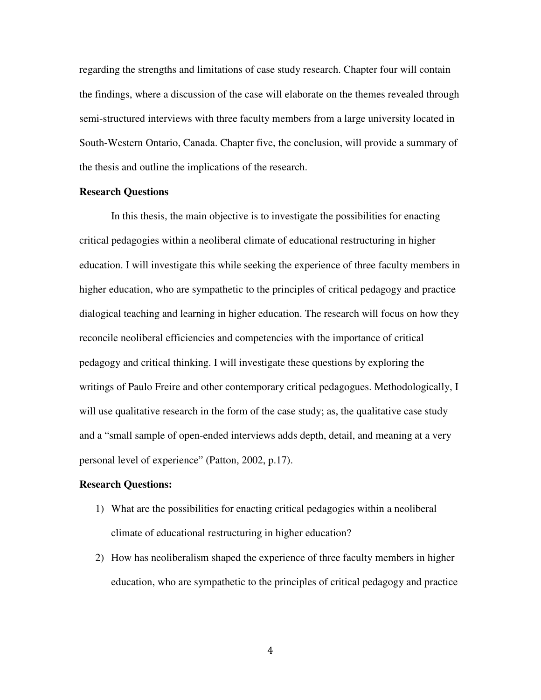regarding the strengths and limitations of case study research. Chapter four will contain the findings, where a discussion of the case will elaborate on the themes revealed through semi-structured interviews with three faculty members from a large university located in South-Western Ontario, Canada. Chapter five, the conclusion, will provide a summary of the thesis and outline the implications of the research.

### **Research Questions**

In this thesis, the main objective is to investigate the possibilities for enacting critical pedagogies within a neoliberal climate of educational restructuring in higher education. I will investigate this while seeking the experience of three faculty members in higher education, who are sympathetic to the principles of critical pedagogy and practice dialogical teaching and learning in higher education. The research will focus on how they reconcile neoliberal efficiencies and competencies with the importance of critical pedagogy and critical thinking. I will investigate these questions by exploring the writings of Paulo Freire and other contemporary critical pedagogues. Methodologically, I will use qualitative research in the form of the case study; as, the qualitative case study and a "small sample of open-ended interviews adds depth, detail, and meaning at a very personal level of experience" (Patton, 2002, p.17).

# **Research Questions:**

- 1) What are the possibilities for enacting critical pedagogies within a neoliberal climate of educational restructuring in higher education?
- 2) How has neoliberalism shaped the experience of three faculty members in higher education, who are sympathetic to the principles of critical pedagogy and practice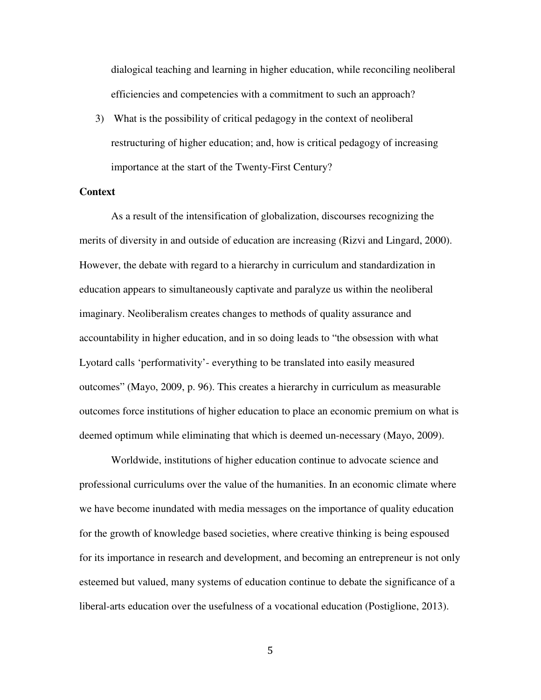dialogical teaching and learning in higher education, while reconciling neoliberal efficiencies and competencies with a commitment to such an approach?

3) What is the possibility of critical pedagogy in the context of neoliberal restructuring of higher education; and, how is critical pedagogy of increasing importance at the start of the Twenty-First Century?

### **Context**

As a result of the intensification of globalization, discourses recognizing the merits of diversity in and outside of education are increasing (Rizvi and Lingard, 2000). However, the debate with regard to a hierarchy in curriculum and standardization in education appears to simultaneously captivate and paralyze us within the neoliberal imaginary. Neoliberalism creates changes to methods of quality assurance and accountability in higher education, and in so doing leads to "the obsession with what Lyotard calls 'performativity'- everything to be translated into easily measured outcomes" (Mayo, 2009, p. 96). This creates a hierarchy in curriculum as measurable outcomes force institutions of higher education to place an economic premium on what is deemed optimum while eliminating that which is deemed un-necessary (Mayo, 2009).

Worldwide, institutions of higher education continue to advocate science and professional curriculums over the value of the humanities. In an economic climate where we have become inundated with media messages on the importance of quality education for the growth of knowledge based societies, where creative thinking is being espoused for its importance in research and development, and becoming an entrepreneur is not only esteemed but valued, many systems of education continue to debate the significance of a liberal-arts education over the usefulness of a vocational education (Postiglione, 2013).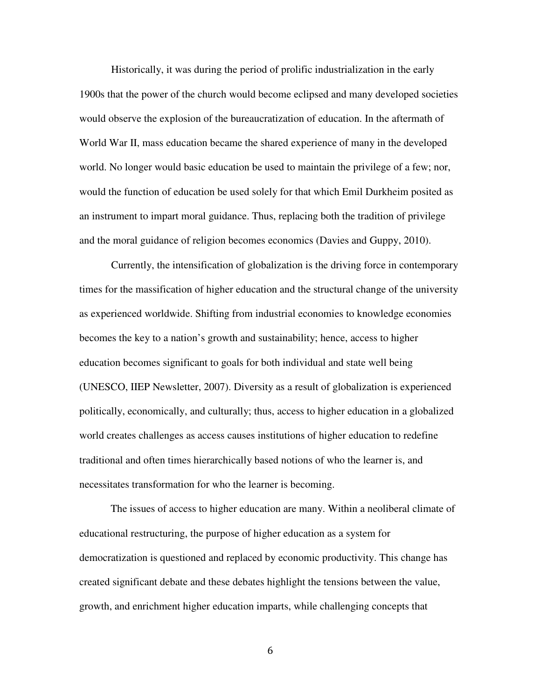Historically, it was during the period of prolific industrialization in the early 1900s that the power of the church would become eclipsed and many developed societies would observe the explosion of the bureaucratization of education. In the aftermath of World War II, mass education became the shared experience of many in the developed world. No longer would basic education be used to maintain the privilege of a few; nor, would the function of education be used solely for that which Emil Durkheim posited as an instrument to impart moral guidance. Thus, replacing both the tradition of privilege and the moral guidance of religion becomes economics (Davies and Guppy, 2010).

 Currently, the intensification of globalization is the driving force in contemporary times for the massification of higher education and the structural change of the university as experienced worldwide. Shifting from industrial economies to knowledge economies becomes the key to a nation's growth and sustainability; hence, access to higher education becomes significant to goals for both individual and state well being (UNESCO, IIEP Newsletter, 2007). Diversity as a result of globalization is experienced politically, economically, and culturally; thus, access to higher education in a globalized world creates challenges as access causes institutions of higher education to redefine traditional and often times hierarchically based notions of who the learner is, and necessitates transformation for who the learner is becoming.

The issues of access to higher education are many. Within a neoliberal climate of educational restructuring, the purpose of higher education as a system for democratization is questioned and replaced by economic productivity. This change has created significant debate and these debates highlight the tensions between the value, growth, and enrichment higher education imparts, while challenging concepts that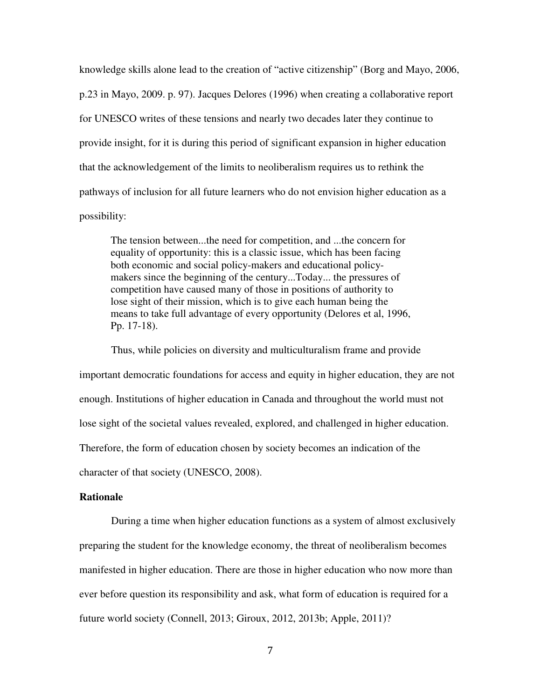knowledge skills alone lead to the creation of "active citizenship" (Borg and Mayo, 2006, p.23 in Mayo, 2009. p. 97). Jacques Delores (1996) when creating a collaborative report for UNESCO writes of these tensions and nearly two decades later they continue to provide insight, for it is during this period of significant expansion in higher education that the acknowledgement of the limits to neoliberalism requires us to rethink the pathways of inclusion for all future learners who do not envision higher education as a possibility:

The tension between...the need for competition, and ...the concern for equality of opportunity: this is a classic issue, which has been facing both economic and social policy-makers and educational policymakers since the beginning of the century...Today... the pressures of competition have caused many of those in positions of authority to lose sight of their mission, which is to give each human being the means to take full advantage of every opportunity (Delores et al, 1996, Pp. 17-18).

Thus, while policies on diversity and multiculturalism frame and provide important democratic foundations for access and equity in higher education, they are not enough. Institutions of higher education in Canada and throughout the world must not lose sight of the societal values revealed, explored, and challenged in higher education. Therefore, the form of education chosen by society becomes an indication of the character of that society (UNESCO, 2008).

#### **Rationale**

During a time when higher education functions as a system of almost exclusively preparing the student for the knowledge economy, the threat of neoliberalism becomes manifested in higher education. There are those in higher education who now more than ever before question its responsibility and ask, what form of education is required for a future world society (Connell, 2013; Giroux, 2012, 2013b; Apple, 2011)?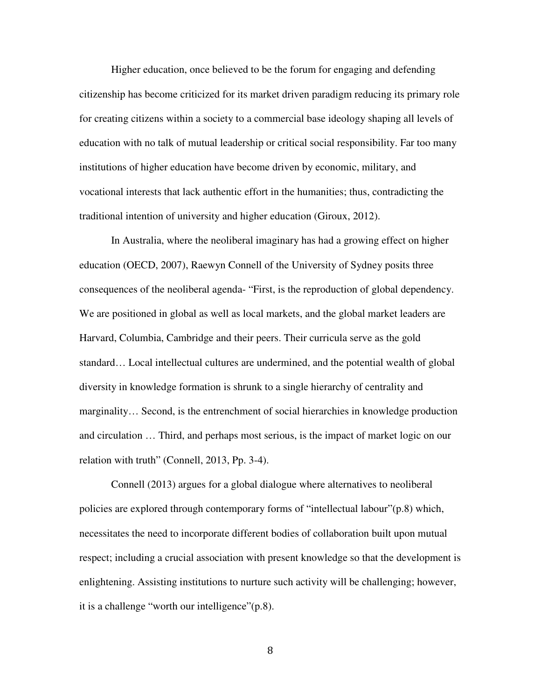Higher education, once believed to be the forum for engaging and defending citizenship has become criticized for its market driven paradigm reducing its primary role for creating citizens within a society to a commercial base ideology shaping all levels of education with no talk of mutual leadership or critical social responsibility. Far too many institutions of higher education have become driven by economic, military, and vocational interests that lack authentic effort in the humanities; thus, contradicting the traditional intention of university and higher education (Giroux, 2012).

In Australia, where the neoliberal imaginary has had a growing effect on higher education (OECD, 2007), Raewyn Connell of the University of Sydney posits three consequences of the neoliberal agenda- "First, is the reproduction of global dependency. We are positioned in global as well as local markets, and the global market leaders are Harvard, Columbia, Cambridge and their peers. Their curricula serve as the gold standard… Local intellectual cultures are undermined, and the potential wealth of global diversity in knowledge formation is shrunk to a single hierarchy of centrality and marginality… Second, is the entrenchment of social hierarchies in knowledge production and circulation … Third, and perhaps most serious, is the impact of market logic on our relation with truth" (Connell, 2013, Pp. 3-4).

Connell (2013) argues for a global dialogue where alternatives to neoliberal policies are explored through contemporary forms of "intellectual labour"(p.8) which, necessitates the need to incorporate different bodies of collaboration built upon mutual respect; including a crucial association with present knowledge so that the development is enlightening. Assisting institutions to nurture such activity will be challenging; however, it is a challenge "worth our intelligence"(p.8).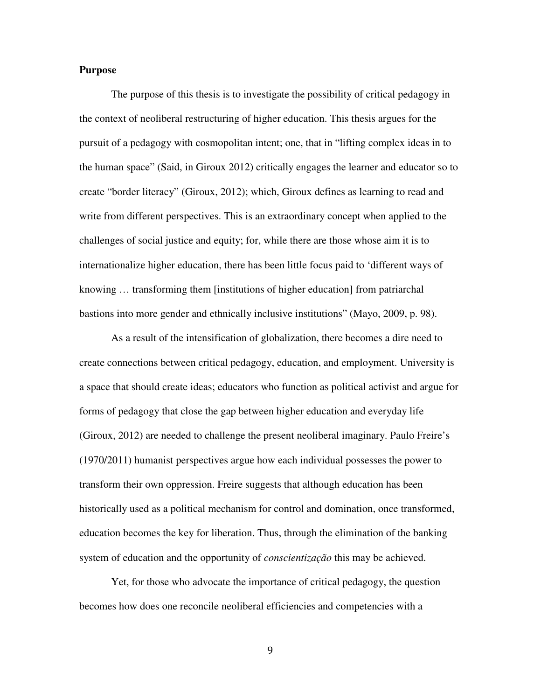# **Purpose**

The purpose of this thesis is to investigate the possibility of critical pedagogy in the context of neoliberal restructuring of higher education. This thesis argues for the pursuit of a pedagogy with cosmopolitan intent; one, that in "lifting complex ideas in to the human space" (Said, in Giroux 2012) critically engages the learner and educator so to create "border literacy" (Giroux, 2012); which, Giroux defines as learning to read and write from different perspectives. This is an extraordinary concept when applied to the challenges of social justice and equity; for, while there are those whose aim it is to internationalize higher education, there has been little focus paid to 'different ways of knowing … transforming them [institutions of higher education] from patriarchal bastions into more gender and ethnically inclusive institutions" (Mayo, 2009, p. 98).

As a result of the intensification of globalization, there becomes a dire need to create connections between critical pedagogy, education, and employment. University is a space that should create ideas; educators who function as political activist and argue for forms of pedagogy that close the gap between higher education and everyday life (Giroux, 2012) are needed to challenge the present neoliberal imaginary. Paulo Freire's (1970/2011) humanist perspectives argue how each individual possesses the power to transform their own oppression. Freire suggests that although education has been historically used as a political mechanism for control and domination, once transformed, education becomes the key for liberation. Thus, through the elimination of the banking system of education and the opportunity of *conscientização* this may be achieved.

Yet, for those who advocate the importance of critical pedagogy, the question becomes how does one reconcile neoliberal efficiencies and competencies with a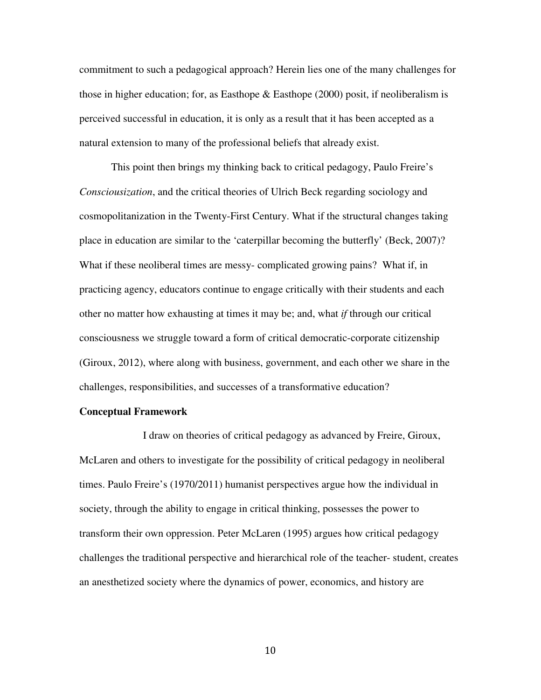commitment to such a pedagogical approach? Herein lies one of the many challenges for those in higher education; for, as Easthope  $\&$  Easthope (2000) posit, if neoliberalism is perceived successful in education, it is only as a result that it has been accepted as a natural extension to many of the professional beliefs that already exist.

This point then brings my thinking back to critical pedagogy, Paulo Freire's *Consciousization*, and the critical theories of Ulrich Beck regarding sociology and cosmopolitanization in the Twenty-First Century. What if the structural changes taking place in education are similar to the 'caterpillar becoming the butterfly' (Beck, 2007)? What if these neoliberal times are messy- complicated growing pains? What if, in practicing agency, educators continue to engage critically with their students and each other no matter how exhausting at times it may be; and, what *if* through our critical consciousness we struggle toward a form of critical democratic-corporate citizenship (Giroux, 2012), where along with business, government, and each other we share in the challenges, responsibilities, and successes of a transformative education?

### **Conceptual Framework**

 I draw on theories of critical pedagogy as advanced by Freire, Giroux, McLaren and others to investigate for the possibility of critical pedagogy in neoliberal times. Paulo Freire's (1970/2011) humanist perspectives argue how the individual in society, through the ability to engage in critical thinking, possesses the power to transform their own oppression. Peter McLaren (1995) argues how critical pedagogy challenges the traditional perspective and hierarchical role of the teacher- student, creates an anesthetized society where the dynamics of power, economics, and history are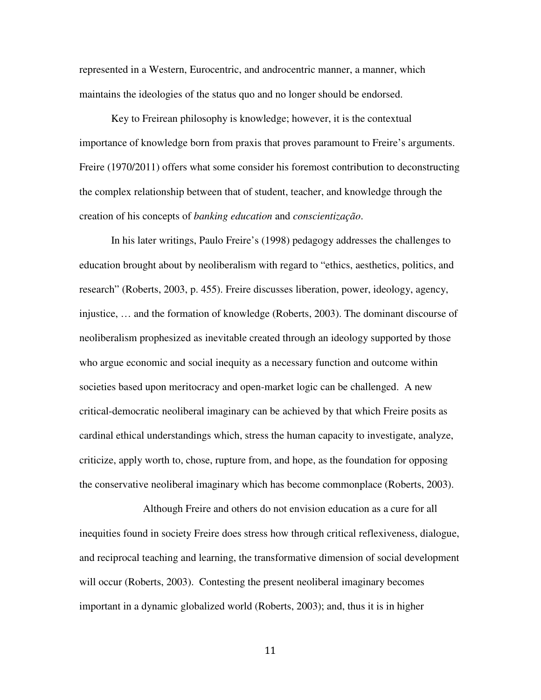represented in a Western, Eurocentric, and androcentric manner, a manner, which maintains the ideologies of the status quo and no longer should be endorsed.

Key to Freirean philosophy is knowledge; however, it is the contextual importance of knowledge born from praxis that proves paramount to Freire's arguments. Freire (1970/2011) offers what some consider his foremost contribution to deconstructing the complex relationship between that of student, teacher, and knowledge through the creation of his concepts of *banking education* and *conscientização*.

In his later writings, Paulo Freire's (1998) pedagogy addresses the challenges to education brought about by neoliberalism with regard to "ethics, aesthetics, politics, and research" (Roberts, 2003, p. 455). Freire discusses liberation, power, ideology, agency, injustice, … and the formation of knowledge (Roberts, 2003). The dominant discourse of neoliberalism prophesized as inevitable created through an ideology supported by those who argue economic and social inequity as a necessary function and outcome within societies based upon meritocracy and open-market logic can be challenged. A new critical-democratic neoliberal imaginary can be achieved by that which Freire posits as cardinal ethical understandings which, stress the human capacity to investigate, analyze, criticize, apply worth to, chose, rupture from, and hope, as the foundation for opposing the conservative neoliberal imaginary which has become commonplace (Roberts, 2003).

 Although Freire and others do not envision education as a cure for all inequities found in society Freire does stress how through critical reflexiveness, dialogue, and reciprocal teaching and learning, the transformative dimension of social development will occur (Roberts, 2003). Contesting the present neoliberal imaginary becomes important in a dynamic globalized world (Roberts, 2003); and, thus it is in higher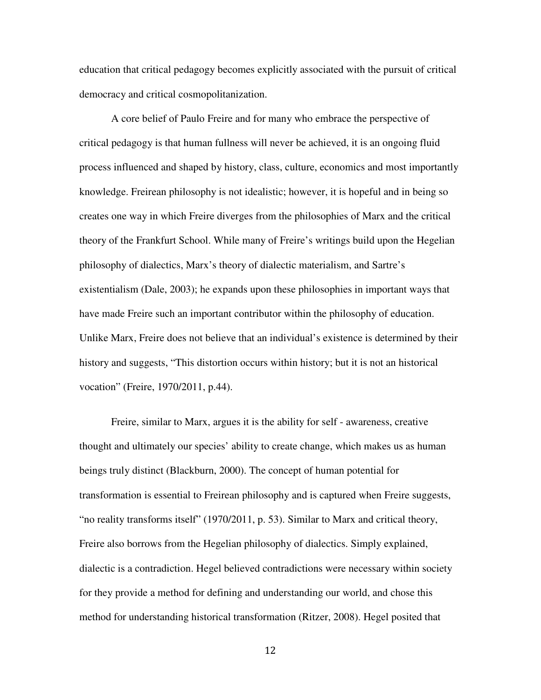education that critical pedagogy becomes explicitly associated with the pursuit of critical democracy and critical cosmopolitanization.

A core belief of Paulo Freire and for many who embrace the perspective of critical pedagogy is that human fullness will never be achieved, it is an ongoing fluid process influenced and shaped by history, class, culture, economics and most importantly knowledge. Freirean philosophy is not idealistic; however, it is hopeful and in being so creates one way in which Freire diverges from the philosophies of Marx and the critical theory of the Frankfurt School. While many of Freire's writings build upon the Hegelian philosophy of dialectics, Marx's theory of dialectic materialism, and Sartre's existentialism (Dale, 2003); he expands upon these philosophies in important ways that have made Freire such an important contributor within the philosophy of education. Unlike Marx, Freire does not believe that an individual's existence is determined by their history and suggests, "This distortion occurs within history; but it is not an historical vocation" (Freire, 1970/2011, p.44).

Freire, similar to Marx, argues it is the ability for self - awareness, creative thought and ultimately our species' ability to create change, which makes us as human beings truly distinct (Blackburn, 2000). The concept of human potential for transformation is essential to Freirean philosophy and is captured when Freire suggests, "no reality transforms itself" (1970/2011, p. 53). Similar to Marx and critical theory, Freire also borrows from the Hegelian philosophy of dialectics. Simply explained, dialectic is a contradiction. Hegel believed contradictions were necessary within society for they provide a method for defining and understanding our world, and chose this method for understanding historical transformation (Ritzer, 2008). Hegel posited that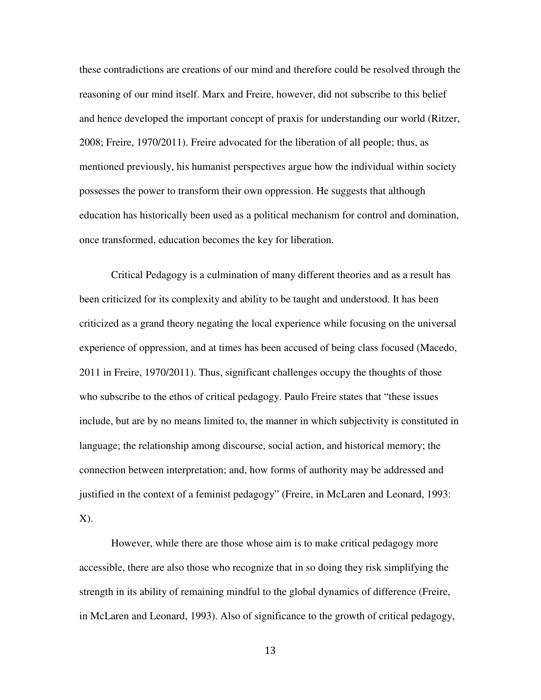these contradictions are creations of our mind and therefore could be resolved through the reasoning of our mind itself. Marx and Freire, however, did not subscribe to this belief and hence developed the important concept of praxis for understanding our world (Ritzer, 2008; Freire, 1970/2011). Freire advocated for the liberation of all people; thus, as mentioned previously, his humanist perspectives argue how the individual within society possesses the power to transform their own oppression. He suggests that although education has historically been used as a political mechanism for control and domination, once transformed, education becomes the key for liberation.

Critical Pedagogy is a culmination of many different theories and as a result has been criticized for its complexity and ability to be taught and understood. It has been criticized as a grand theory negating the local experience while focusing on the universal experience of oppression, and at times has been accused of being class focused (Macedo, 2011 in Freire, 1970/2011). Thus, significant challenges occupy the thoughts of those who subscribe to the ethos of critical pedagogy. Paulo Freire states that "these issues include, but are by no means limited to, the manner in which subjectivity is constituted in language; the relationship among discourse, social action, and historical memory; the connection between interpretation; and, how forms of authority may be addressed and justified in the context of a feminist pedagogy" (Freire, in McLaren and Leonard, 1993: X).

However, while there are those whose aim is to make critical pedagogy more accessible, there are also those who recognize that in so doing they risk simplifying the strength in its ability of remaining mindful to the global dynamics of difference (Freire, in McLaren and Leonard, 1993). Also of significance to the growth of critical pedagogy,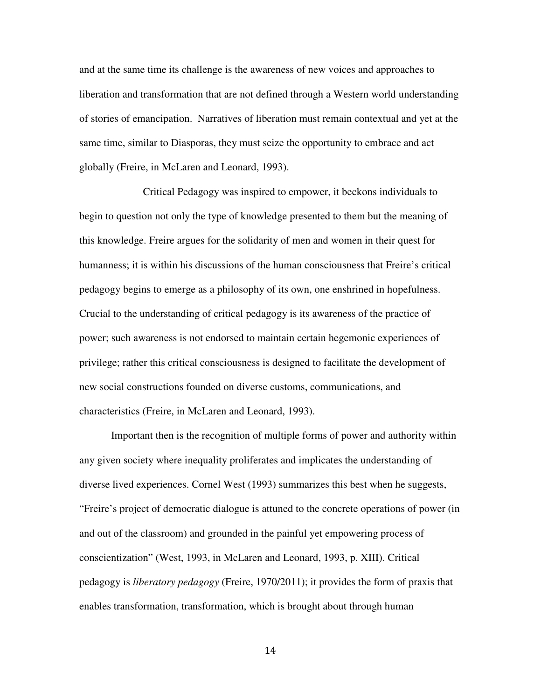and at the same time its challenge is the awareness of new voices and approaches to liberation and transformation that are not defined through a Western world understanding of stories of emancipation. Narratives of liberation must remain contextual and yet at the same time, similar to Diasporas, they must seize the opportunity to embrace and act globally (Freire, in McLaren and Leonard, 1993).

 Critical Pedagogy was inspired to empower, it beckons individuals to begin to question not only the type of knowledge presented to them but the meaning of this knowledge. Freire argues for the solidarity of men and women in their quest for humanness; it is within his discussions of the human consciousness that Freire's critical pedagogy begins to emerge as a philosophy of its own, one enshrined in hopefulness. Crucial to the understanding of critical pedagogy is its awareness of the practice of power; such awareness is not endorsed to maintain certain hegemonic experiences of privilege; rather this critical consciousness is designed to facilitate the development of new social constructions founded on diverse customs, communications, and characteristics (Freire, in McLaren and Leonard, 1993).

Important then is the recognition of multiple forms of power and authority within any given society where inequality proliferates and implicates the understanding of diverse lived experiences. Cornel West (1993) summarizes this best when he suggests, "Freire's project of democratic dialogue is attuned to the concrete operations of power (in and out of the classroom) and grounded in the painful yet empowering process of conscientization" (West, 1993, in McLaren and Leonard, 1993, p. XIII). Critical pedagogy is *liberatory pedagogy* (Freire, 1970/2011); it provides the form of praxis that enables transformation, transformation, which is brought about through human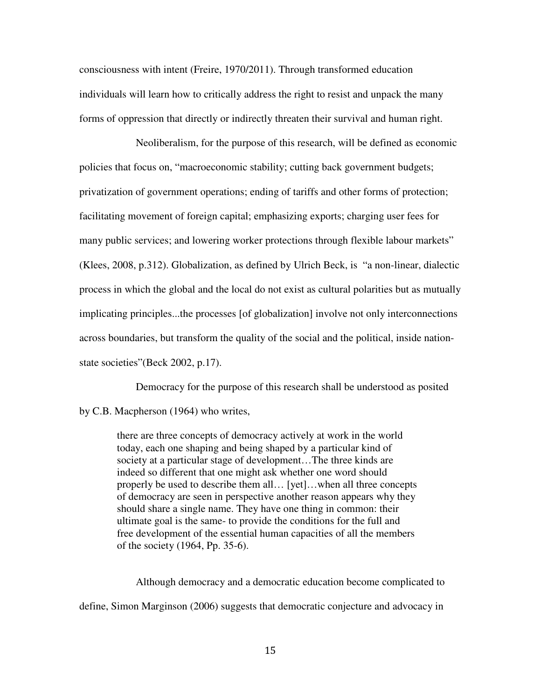consciousness with intent (Freire, 1970/2011). Through transformed education individuals will learn how to critically address the right to resist and unpack the many forms of oppression that directly or indirectly threaten their survival and human right.

Neoliberalism, for the purpose of this research, will be defined as economic policies that focus on, "macroeconomic stability; cutting back government budgets; privatization of government operations; ending of tariffs and other forms of protection; facilitating movement of foreign capital; emphasizing exports; charging user fees for many public services; and lowering worker protections through flexible labour markets" (Klees, 2008, p.312). Globalization, as defined by Ulrich Beck, is "a non-linear, dialectic process in which the global and the local do not exist as cultural polarities but as mutually implicating principles...the processes [of globalization] involve not only interconnections across boundaries, but transform the quality of the social and the political, inside nationstate societies"(Beck 2002, p.17).

Democracy for the purpose of this research shall be understood as posited

by C.B. Macpherson (1964) who writes,

there are three concepts of democracy actively at work in the world today, each one shaping and being shaped by a particular kind of society at a particular stage of development…The three kinds are indeed so different that one might ask whether one word should properly be used to describe them all… [yet]…when all three concepts of democracy are seen in perspective another reason appears why they should share a single name. They have one thing in common: their ultimate goal is the same- to provide the conditions for the full and free development of the essential human capacities of all the members of the society (1964, Pp. 35-6).

 Although democracy and a democratic education become complicated to define, Simon Marginson (2006) suggests that democratic conjecture and advocacy in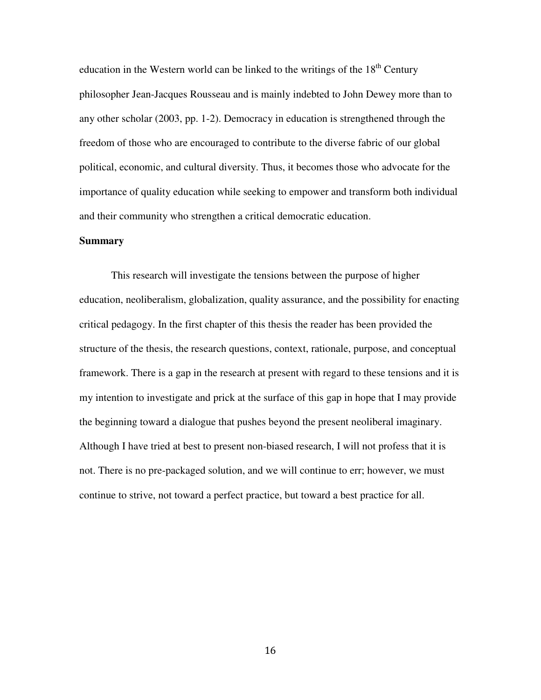education in the Western world can be linked to the writings of the  $18<sup>th</sup>$  Century philosopher Jean-Jacques Rousseau and is mainly indebted to John Dewey more than to any other scholar (2003, pp. 1-2). Democracy in education is strengthened through the freedom of those who are encouraged to contribute to the diverse fabric of our global political, economic, and cultural diversity. Thus, it becomes those who advocate for the importance of quality education while seeking to empower and transform both individual and their community who strengthen a critical democratic education.

#### **Summary**

This research will investigate the tensions between the purpose of higher education, neoliberalism, globalization, quality assurance, and the possibility for enacting critical pedagogy. In the first chapter of this thesis the reader has been provided the structure of the thesis, the research questions, context, rationale, purpose, and conceptual framework. There is a gap in the research at present with regard to these tensions and it is my intention to investigate and prick at the surface of this gap in hope that I may provide the beginning toward a dialogue that pushes beyond the present neoliberal imaginary. Although I have tried at best to present non-biased research, I will not profess that it is not. There is no pre-packaged solution, and we will continue to err; however, we must continue to strive, not toward a perfect practice, but toward a best practice for all.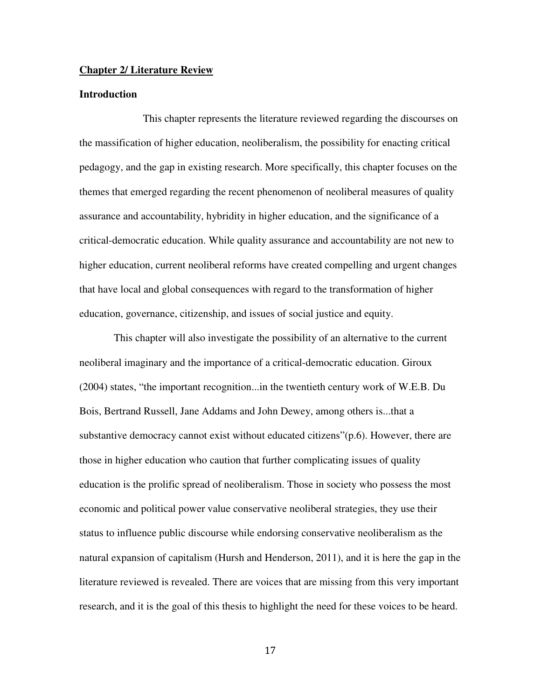#### **Chapter 2/ Literature Review**

### **Introduction**

 This chapter represents the literature reviewed regarding the discourses on the massification of higher education, neoliberalism, the possibility for enacting critical pedagogy, and the gap in existing research. More specifically, this chapter focuses on the themes that emerged regarding the recent phenomenon of neoliberal measures of quality assurance and accountability, hybridity in higher education, and the significance of a critical-democratic education. While quality assurance and accountability are not new to higher education, current neoliberal reforms have created compelling and urgent changes that have local and global consequences with regard to the transformation of higher education, governance, citizenship, and issues of social justice and equity.

 This chapter will also investigate the possibility of an alternative to the current neoliberal imaginary and the importance of a critical-democratic education. Giroux (2004) states, "the important recognition...in the twentieth century work of W.E.B. Du Bois, Bertrand Russell, Jane Addams and John Dewey, among others is...that a substantive democracy cannot exist without educated citizens"(p.6). However, there are those in higher education who caution that further complicating issues of quality education is the prolific spread of neoliberalism. Those in society who possess the most economic and political power value conservative neoliberal strategies, they use their status to influence public discourse while endorsing conservative neoliberalism as the natural expansion of capitalism (Hursh and Henderson, 2011), and it is here the gap in the literature reviewed is revealed. There are voices that are missing from this very important research, and it is the goal of this thesis to highlight the need for these voices to be heard.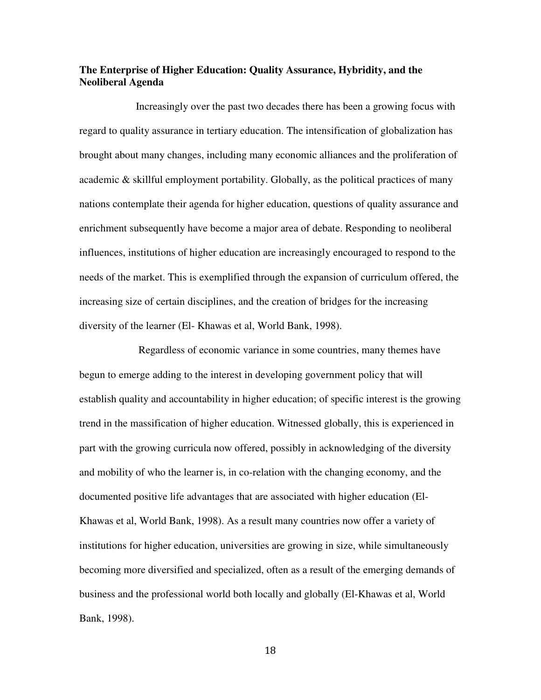# **The Enterprise of Higher Education: Quality Assurance, Hybridity, and the Neoliberal Agenda**

 Increasingly over the past two decades there has been a growing focus with regard to quality assurance in tertiary education. The intensification of globalization has brought about many changes, including many economic alliances and the proliferation of academic & skillful employment portability. Globally, as the political practices of many nations contemplate their agenda for higher education, questions of quality assurance and enrichment subsequently have become a major area of debate. Responding to neoliberal influences, institutions of higher education are increasingly encouraged to respond to the needs of the market. This is exemplified through the expansion of curriculum offered, the increasing size of certain disciplines, and the creation of bridges for the increasing diversity of the learner (El- Khawas et al, World Bank, 1998).

 Regardless of economic variance in some countries, many themes have begun to emerge adding to the interest in developing government policy that will establish quality and accountability in higher education; of specific interest is the growing trend in the massification of higher education. Witnessed globally, this is experienced in part with the growing curricula now offered, possibly in acknowledging of the diversity and mobility of who the learner is, in co-relation with the changing economy, and the documented positive life advantages that are associated with higher education (El-Khawas et al, World Bank, 1998). As a result many countries now offer a variety of institutions for higher education, universities are growing in size, while simultaneously becoming more diversified and specialized, often as a result of the emerging demands of business and the professional world both locally and globally (El-Khawas et al, World Bank, 1998).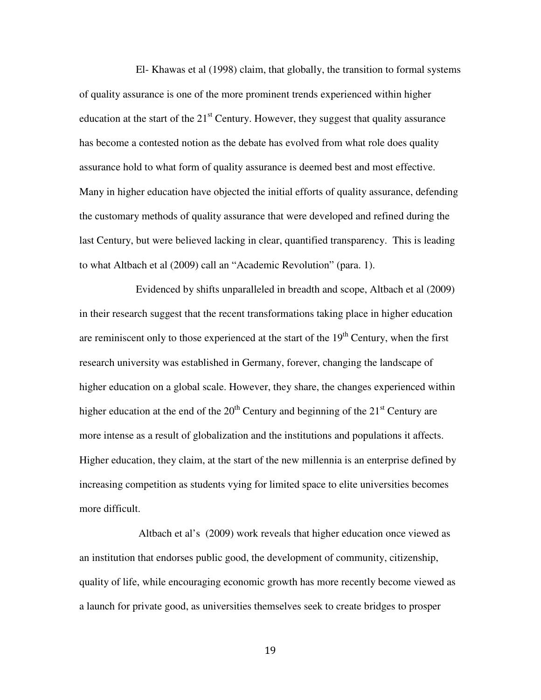El- Khawas et al (1998) claim, that globally, the transition to formal systems of quality assurance is one of the more prominent trends experienced within higher education at the start of the  $21<sup>st</sup>$  Century. However, they suggest that quality assurance has become a contested notion as the debate has evolved from what role does quality assurance hold to what form of quality assurance is deemed best and most effective. Many in higher education have objected the initial efforts of quality assurance, defending the customary methods of quality assurance that were developed and refined during the last Century, but were believed lacking in clear, quantified transparency. This is leading to what Altbach et al (2009) call an "Academic Revolution" (para. 1).

 Evidenced by shifts unparalleled in breadth and scope, Altbach et al (2009) in their research suggest that the recent transformations taking place in higher education are reminiscent only to those experienced at the start of the  $19<sup>th</sup>$  Century, when the first research university was established in Germany, forever, changing the landscape of higher education on a global scale. However, they share, the changes experienced within higher education at the end of the  $20<sup>th</sup>$  Century and beginning of the  $21<sup>st</sup>$  Century are more intense as a result of globalization and the institutions and populations it affects. Higher education, they claim, at the start of the new millennia is an enterprise defined by increasing competition as students vying for limited space to elite universities becomes more difficult.

 Altbach et al's (2009) work reveals that higher education once viewed as an institution that endorses public good, the development of community, citizenship, quality of life, while encouraging economic growth has more recently become viewed as a launch for private good, as universities themselves seek to create bridges to prosper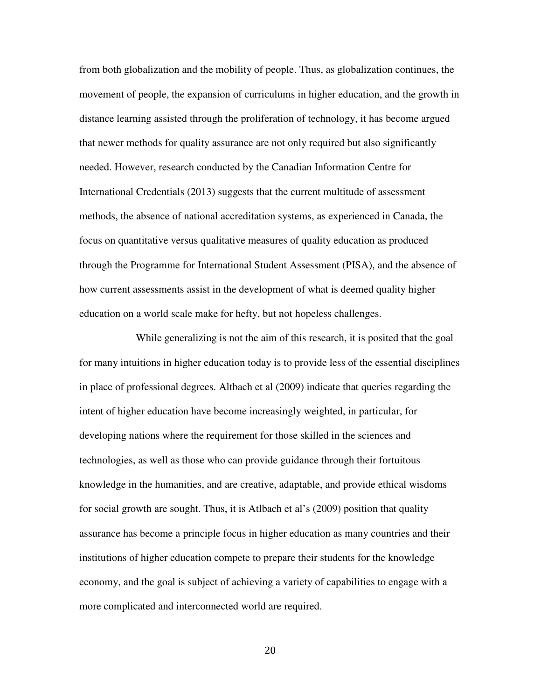from both globalization and the mobility of people. Thus, as globalization continues, the movement of people, the expansion of curriculums in higher education, and the growth in distance learning assisted through the proliferation of technology, it has become argued that newer methods for quality assurance are not only required but also significantly needed. However, research conducted by the Canadian Information Centre for International Credentials (2013) suggests that the current multitude of assessment methods, the absence of national accreditation systems, as experienced in Canada, the focus on quantitative versus qualitative measures of quality education as produced through the Programme for International Student Assessment (PISA), and the absence of how current assessments assist in the development of what is deemed quality higher education on a world scale make for hefty, but not hopeless challenges.

 While generalizing is not the aim of this research, it is posited that the goal for many intuitions in higher education today is to provide less of the essential disciplines in place of professional degrees. Altbach et al (2009) indicate that queries regarding the intent of higher education have become increasingly weighted, in particular, for developing nations where the requirement for those skilled in the sciences and technologies, as well as those who can provide guidance through their fortuitous knowledge in the humanities, and are creative, adaptable, and provide ethical wisdoms for social growth are sought. Thus, it is Atlbach et al's (2009) position that quality assurance has become a principle focus in higher education as many countries and their institutions of higher education compete to prepare their students for the knowledge economy, and the goal is subject of achieving a variety of capabilities to engage with a more complicated and interconnected world are required.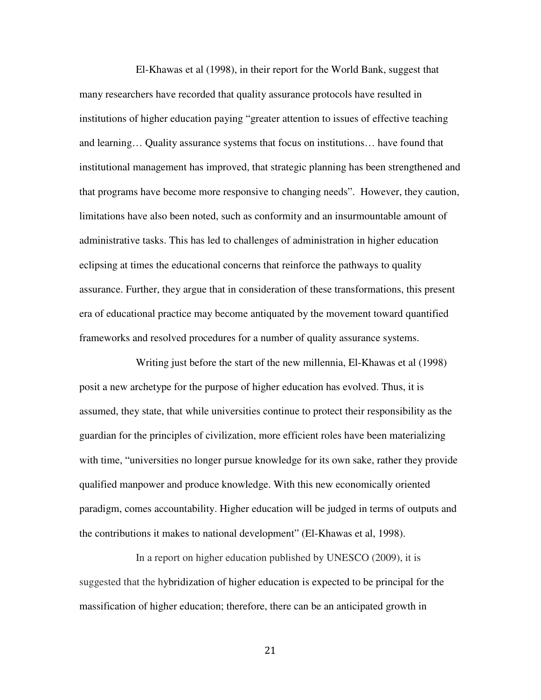El-Khawas et al (1998), in their report for the World Bank, suggest that many researchers have recorded that quality assurance protocols have resulted in institutions of higher education paying "greater attention to issues of effective teaching and learning… Quality assurance systems that focus on institutions… have found that institutional management has improved, that strategic planning has been strengthened and that programs have become more responsive to changing needs". However, they caution, limitations have also been noted, such as conformity and an insurmountable amount of administrative tasks. This has led to challenges of administration in higher education eclipsing at times the educational concerns that reinforce the pathways to quality assurance. Further, they argue that in consideration of these transformations, this present era of educational practice may become antiquated by the movement toward quantified frameworks and resolved procedures for a number of quality assurance systems.

 Writing just before the start of the new millennia, El-Khawas et al (1998) posit a new archetype for the purpose of higher education has evolved. Thus, it is assumed, they state, that while universities continue to protect their responsibility as the guardian for the principles of civilization, more efficient roles have been materializing with time, "universities no longer pursue knowledge for its own sake, rather they provide qualified manpower and produce knowledge. With this new economically oriented paradigm, comes accountability. Higher education will be judged in terms of outputs and the contributions it makes to national development" (El-Khawas et al, 1998).

In a report on higher education published by UNESCO (2009), it is suggested that the hybridization of higher education is expected to be principal for the massification of higher education; therefore, there can be an anticipated growth in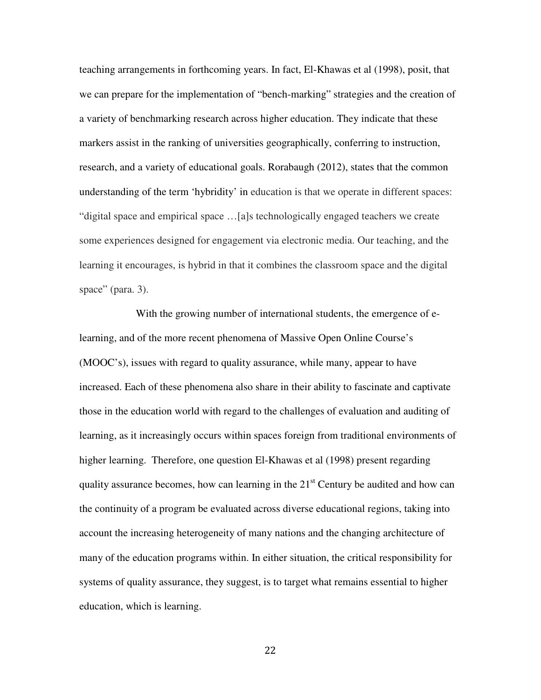teaching arrangements in forthcoming years. In fact, El-Khawas et al (1998), posit, that we can prepare for the implementation of "bench-marking" strategies and the creation of a variety of benchmarking research across higher education. They indicate that these markers assist in the ranking of universities geographically, conferring to instruction, research, and a variety of educational goals. Rorabaugh (2012), states that the common understanding of the term 'hybridity' in education is that we operate in different spaces: "digital space and empirical space …[a]s technologically engaged teachers we create some experiences designed for engagement via electronic media. Our teaching, and the learning it encourages, is hybrid in that it combines the classroom space and the digital space" (para. 3).

 With the growing number of international students, the emergence of elearning, and of the more recent phenomena of Massive Open Online Course's (MOOC's), issues with regard to quality assurance, while many, appear to have increased. Each of these phenomena also share in their ability to fascinate and captivate those in the education world with regard to the challenges of evaluation and auditing of learning, as it increasingly occurs within spaces foreign from traditional environments of higher learning. Therefore, one question El-Khawas et al (1998) present regarding quality assurance becomes, how can learning in the  $21<sup>st</sup>$  Century be audited and how can the continuity of a program be evaluated across diverse educational regions, taking into account the increasing heterogeneity of many nations and the changing architecture of many of the education programs within. In either situation, the critical responsibility for systems of quality assurance, they suggest, is to target what remains essential to higher education, which is learning.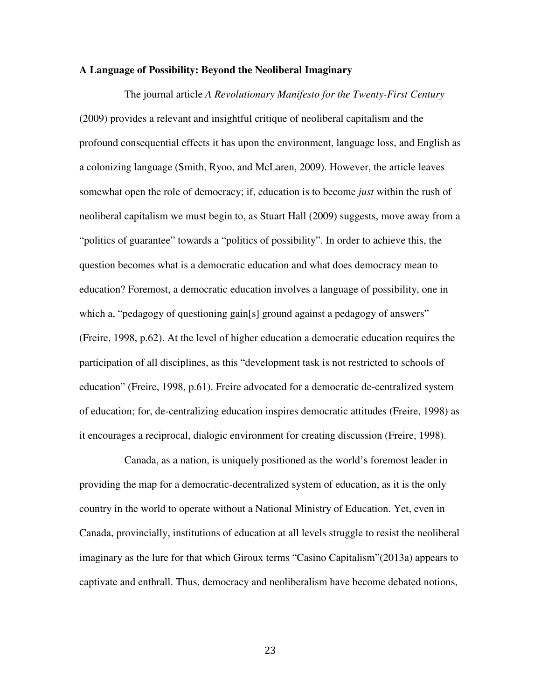### **A Language of Possibility: Beyond the Neoliberal Imaginary**

 The journal article *A Revolutionary Manifesto for the Twenty-First Century* (2009) provides a relevant and insightful critique of neoliberal capitalism and the profound consequential effects it has upon the environment, language loss, and English as a colonizing language (Smith, Ryoo, and McLaren, 2009). However, the article leaves somewhat open the role of democracy; if, education is to become *just* within the rush of neoliberal capitalism we must begin to, as Stuart Hall (2009) suggests, move away from a "politics of guarantee" towards a "politics of possibility". In order to achieve this, the question becomes what is a democratic education and what does democracy mean to education? Foremost, a democratic education involves a language of possibility, one in which a, "pedagogy of questioning gain[s] ground against a pedagogy of answers" (Freire, 1998, p.62). At the level of higher education a democratic education requires the participation of all disciplines, as this "development task is not restricted to schools of education" (Freire, 1998, p.61). Freire advocated for a democratic de-centralized system of education; for, de-centralizing education inspires democratic attitudes (Freire, 1998) as it encourages a reciprocal, dialogic environment for creating discussion (Freire, 1998).

 Canada, as a nation, is uniquely positioned as the world's foremost leader in providing the map for a democratic-decentralized system of education, as it is the only country in the world to operate without a National Ministry of Education. Yet, even in Canada, provincially, institutions of education at all levels struggle to resist the neoliberal imaginary as the lure for that which Giroux terms "Casino Capitalism"(2013a) appears to captivate and enthrall. Thus, democracy and neoliberalism have become debated notions,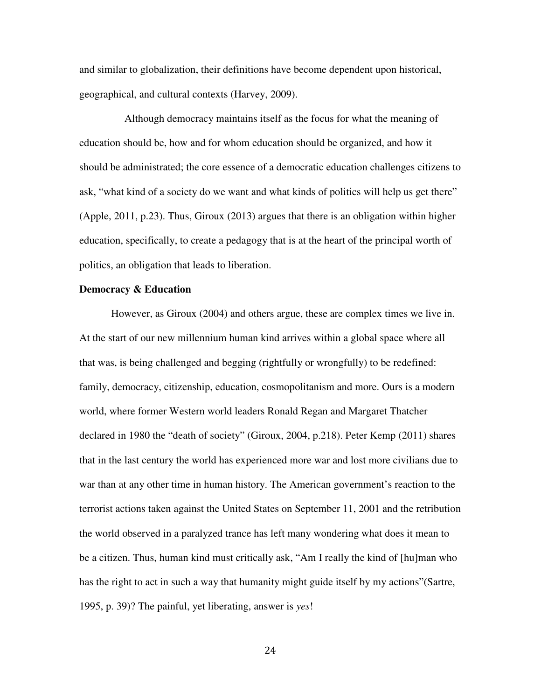and similar to globalization, their definitions have become dependent upon historical, geographical, and cultural contexts (Harvey, 2009).

 Although democracy maintains itself as the focus for what the meaning of education should be, how and for whom education should be organized, and how it should be administrated; the core essence of a democratic education challenges citizens to ask, "what kind of a society do we want and what kinds of politics will help us get there" (Apple, 2011, p.23). Thus, Giroux (2013) argues that there is an obligation within higher education, specifically, to create a pedagogy that is at the heart of the principal worth of politics, an obligation that leads to liberation.

# **Democracy & Education**

However, as Giroux (2004) and others argue, these are complex times we live in. At the start of our new millennium human kind arrives within a global space where all that was, is being challenged and begging (rightfully or wrongfully) to be redefined: family, democracy, citizenship, education, cosmopolitanism and more. Ours is a modern world, where former Western world leaders Ronald Regan and Margaret Thatcher declared in 1980 the "death of society" (Giroux, 2004, p.218). Peter Kemp (2011) shares that in the last century the world has experienced more war and lost more civilians due to war than at any other time in human history. The American government's reaction to the terrorist actions taken against the United States on September 11, 2001 and the retribution the world observed in a paralyzed trance has left many wondering what does it mean to be a citizen. Thus, human kind must critically ask, "Am I really the kind of [hu]man who has the right to act in such a way that humanity might guide itself by my actions"(Sartre, 1995, p. 39)? The painful, yet liberating, answer is *yes*!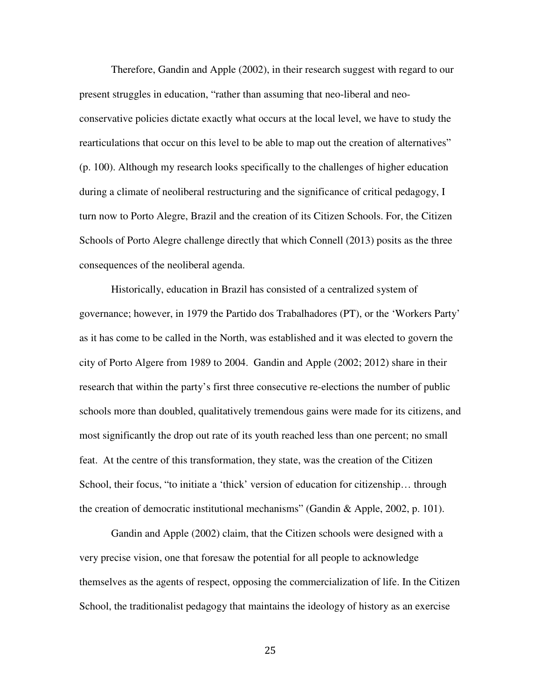Therefore, Gandin and Apple (2002), in their research suggest with regard to our present struggles in education, "rather than assuming that neo-liberal and neoconservative policies dictate exactly what occurs at the local level, we have to study the rearticulations that occur on this level to be able to map out the creation of alternatives" (p. 100). Although my research looks specifically to the challenges of higher education during a climate of neoliberal restructuring and the significance of critical pedagogy, I turn now to Porto Alegre, Brazil and the creation of its Citizen Schools. For, the Citizen Schools of Porto Alegre challenge directly that which Connell (2013) posits as the three consequences of the neoliberal agenda.

Historically, education in Brazil has consisted of a centralized system of governance; however, in 1979 the Partido dos Trabalhadores (PT), or the 'Workers Party' as it has come to be called in the North, was established and it was elected to govern the city of Porto Algere from 1989 to 2004. Gandin and Apple (2002; 2012) share in their research that within the party's first three consecutive re-elections the number of public schools more than doubled, qualitatively tremendous gains were made for its citizens, and most significantly the drop out rate of its youth reached less than one percent; no small feat. At the centre of this transformation, they state, was the creation of the Citizen School, their focus, "to initiate a 'thick' version of education for citizenship… through the creation of democratic institutional mechanisms" (Gandin & Apple, 2002, p. 101).

Gandin and Apple (2002) claim, that the Citizen schools were designed with a very precise vision, one that foresaw the potential for all people to acknowledge themselves as the agents of respect, opposing the commercialization of life. In the Citizen School, the traditionalist pedagogy that maintains the ideology of history as an exercise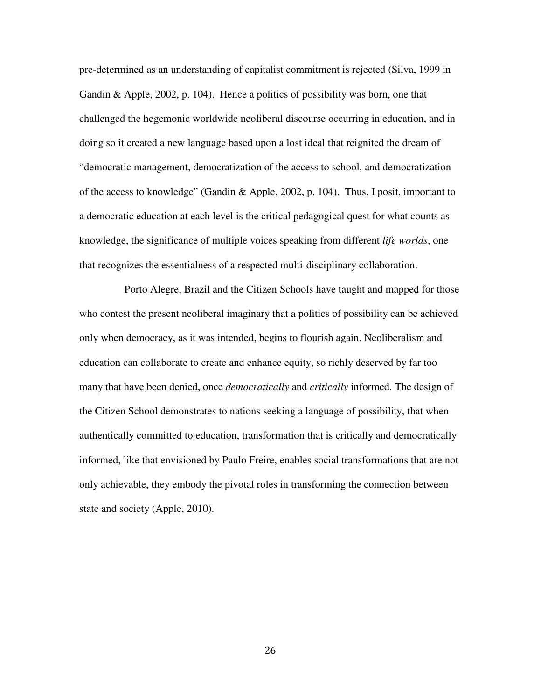pre-determined as an understanding of capitalist commitment is rejected (Silva, 1999 in Gandin & Apple, 2002, p. 104). Hence a politics of possibility was born, one that challenged the hegemonic worldwide neoliberal discourse occurring in education, and in doing so it created a new language based upon a lost ideal that reignited the dream of "democratic management, democratization of the access to school, and democratization of the access to knowledge" (Gandin & Apple, 2002, p. 104). Thus, I posit, important to a democratic education at each level is the critical pedagogical quest for what counts as knowledge, the significance of multiple voices speaking from different *life worlds*, one that recognizes the essentialness of a respected multi-disciplinary collaboration.

 Porto Alegre, Brazil and the Citizen Schools have taught and mapped for those who contest the present neoliberal imaginary that a politics of possibility can be achieved only when democracy, as it was intended, begins to flourish again. Neoliberalism and education can collaborate to create and enhance equity, so richly deserved by far too many that have been denied, once *democratically* and *critically* informed. The design of the Citizen School demonstrates to nations seeking a language of possibility, that when authentically committed to education, transformation that is critically and democratically informed, like that envisioned by Paulo Freire, enables social transformations that are not only achievable, they embody the pivotal roles in transforming the connection between state and society (Apple, 2010).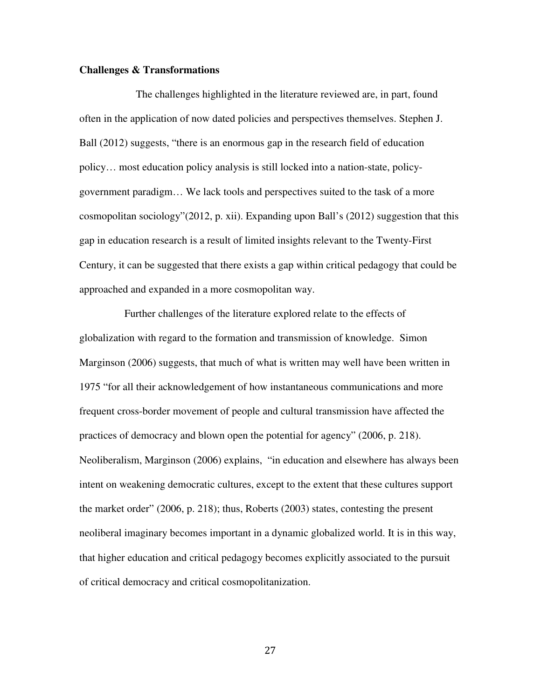## **Challenges & Transformations**

 The challenges highlighted in the literature reviewed are, in part, found often in the application of now dated policies and perspectives themselves. Stephen J. Ball (2012) suggests, "there is an enormous gap in the research field of education policy… most education policy analysis is still locked into a nation-state, policygovernment paradigm… We lack tools and perspectives suited to the task of a more cosmopolitan sociology"(2012, p. xii). Expanding upon Ball's (2012) suggestion that this gap in education research is a result of limited insights relevant to the Twenty-First Century, it can be suggested that there exists a gap within critical pedagogy that could be approached and expanded in a more cosmopolitan way.

 Further challenges of the literature explored relate to the effects of globalization with regard to the formation and transmission of knowledge. Simon Marginson (2006) suggests, that much of what is written may well have been written in 1975 "for all their acknowledgement of how instantaneous communications and more frequent cross-border movement of people and cultural transmission have affected the practices of democracy and blown open the potential for agency" (2006, p. 218). Neoliberalism, Marginson (2006) explains, "in education and elsewhere has always been intent on weakening democratic cultures, except to the extent that these cultures support the market order" (2006, p. 218); thus, Roberts (2003) states, contesting the present neoliberal imaginary becomes important in a dynamic globalized world. It is in this way, that higher education and critical pedagogy becomes explicitly associated to the pursuit of critical democracy and critical cosmopolitanization.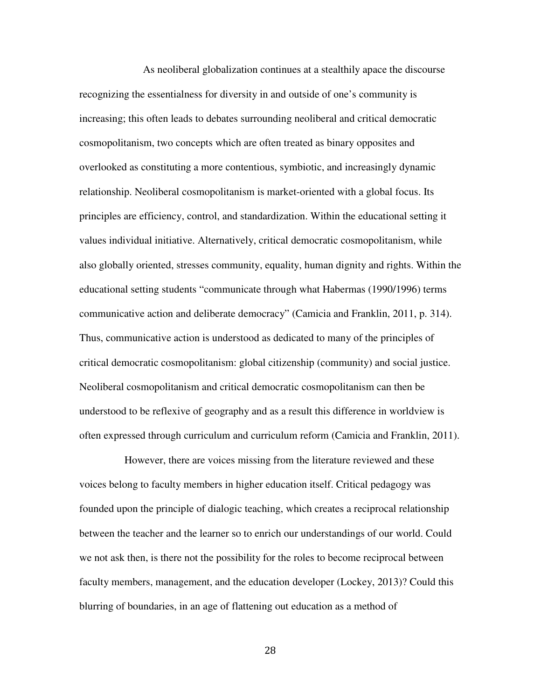As neoliberal globalization continues at a stealthily apace the discourse recognizing the essentialness for diversity in and outside of one's community is increasing; this often leads to debates surrounding neoliberal and critical democratic cosmopolitanism, two concepts which are often treated as binary opposites and overlooked as constituting a more contentious, symbiotic, and increasingly dynamic relationship. Neoliberal cosmopolitanism is market-oriented with a global focus. Its principles are efficiency, control, and standardization. Within the educational setting it values individual initiative. Alternatively, critical democratic cosmopolitanism, while also globally oriented, stresses community, equality, human dignity and rights. Within the educational setting students "communicate through what Habermas (1990/1996) terms communicative action and deliberate democracy" (Camicia and Franklin, 2011, p. 314). Thus, communicative action is understood as dedicated to many of the principles of critical democratic cosmopolitanism: global citizenship (community) and social justice. Neoliberal cosmopolitanism and critical democratic cosmopolitanism can then be understood to be reflexive of geography and as a result this difference in worldview is often expressed through curriculum and curriculum reform (Camicia and Franklin, 2011).

 However, there are voices missing from the literature reviewed and these voices belong to faculty members in higher education itself. Critical pedagogy was founded upon the principle of dialogic teaching, which creates a reciprocal relationship between the teacher and the learner so to enrich our understandings of our world. Could we not ask then, is there not the possibility for the roles to become reciprocal between faculty members, management, and the education developer (Lockey, 2013)? Could this blurring of boundaries, in an age of flattening out education as a method of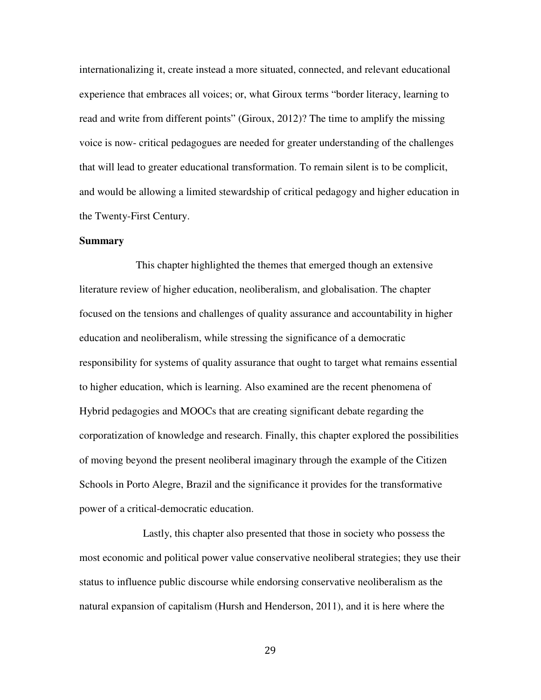internationalizing it, create instead a more situated, connected, and relevant educational experience that embraces all voices; or, what Giroux terms "border literacy, learning to read and write from different points" (Giroux, 2012)? The time to amplify the missing voice is now- critical pedagogues are needed for greater understanding of the challenges that will lead to greater educational transformation. To remain silent is to be complicit, and would be allowing a limited stewardship of critical pedagogy and higher education in the Twenty-First Century.

#### **Summary**

 This chapter highlighted the themes that emerged though an extensive literature review of higher education, neoliberalism, and globalisation. The chapter focused on the tensions and challenges of quality assurance and accountability in higher education and neoliberalism, while stressing the significance of a democratic responsibility for systems of quality assurance that ought to target what remains essential to higher education, which is learning. Also examined are the recent phenomena of Hybrid pedagogies and MOOCs that are creating significant debate regarding the corporatization of knowledge and research. Finally, this chapter explored the possibilities of moving beyond the present neoliberal imaginary through the example of the Citizen Schools in Porto Alegre, Brazil and the significance it provides for the transformative power of a critical-democratic education.

 Lastly, this chapter also presented that those in society who possess the most economic and political power value conservative neoliberal strategies; they use their status to influence public discourse while endorsing conservative neoliberalism as the natural expansion of capitalism (Hursh and Henderson, 2011), and it is here where the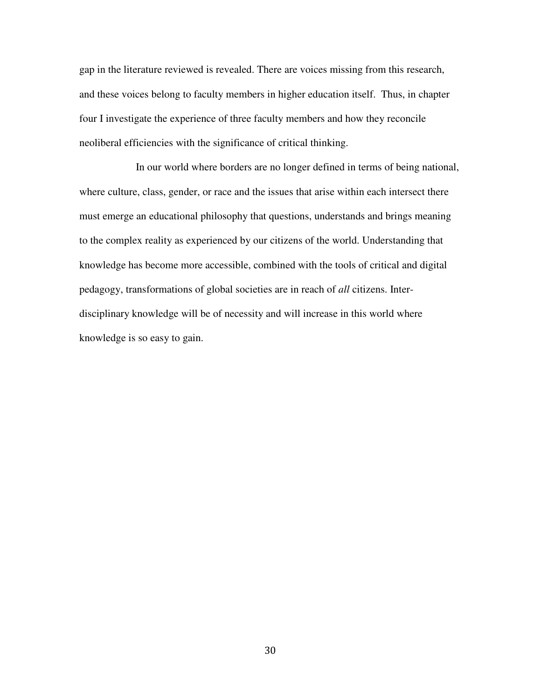gap in the literature reviewed is revealed. There are voices missing from this research, and these voices belong to faculty members in higher education itself. Thus, in chapter four I investigate the experience of three faculty members and how they reconcile neoliberal efficiencies with the significance of critical thinking.

 In our world where borders are no longer defined in terms of being national, where culture, class, gender, or race and the issues that arise within each intersect there must emerge an educational philosophy that questions, understands and brings meaning to the complex reality as experienced by our citizens of the world. Understanding that knowledge has become more accessible, combined with the tools of critical and digital pedagogy, transformations of global societies are in reach of *all* citizens. Interdisciplinary knowledge will be of necessity and will increase in this world where knowledge is so easy to gain.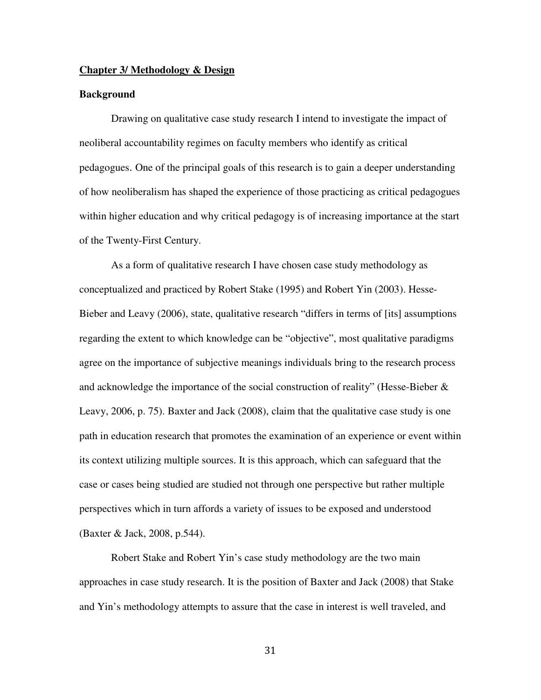#### **Chapter 3/ Methodology & Design**

# **Background**

Drawing on qualitative case study research I intend to investigate the impact of neoliberal accountability regimes on faculty members who identify as critical pedagogues. One of the principal goals of this research is to gain a deeper understanding of how neoliberalism has shaped the experience of those practicing as critical pedagogues within higher education and why critical pedagogy is of increasing importance at the start of the Twenty-First Century.

As a form of qualitative research I have chosen case study methodology as conceptualized and practiced by Robert Stake (1995) and Robert Yin (2003). Hesse-Bieber and Leavy (2006), state, qualitative research "differs in terms of [its] assumptions regarding the extent to which knowledge can be "objective", most qualitative paradigms agree on the importance of subjective meanings individuals bring to the research process and acknowledge the importance of the social construction of reality" (Hesse-Bieber  $\&$ Leavy, 2006, p. 75). Baxter and Jack (2008), claim that the qualitative case study is one path in education research that promotes the examination of an experience or event within its context utilizing multiple sources. It is this approach, which can safeguard that the case or cases being studied are studied not through one perspective but rather multiple perspectives which in turn affords a variety of issues to be exposed and understood (Baxter & Jack, 2008, p.544).

Robert Stake and Robert Yin's case study methodology are the two main approaches in case study research. It is the position of Baxter and Jack (2008) that Stake and Yin's methodology attempts to assure that the case in interest is well traveled, and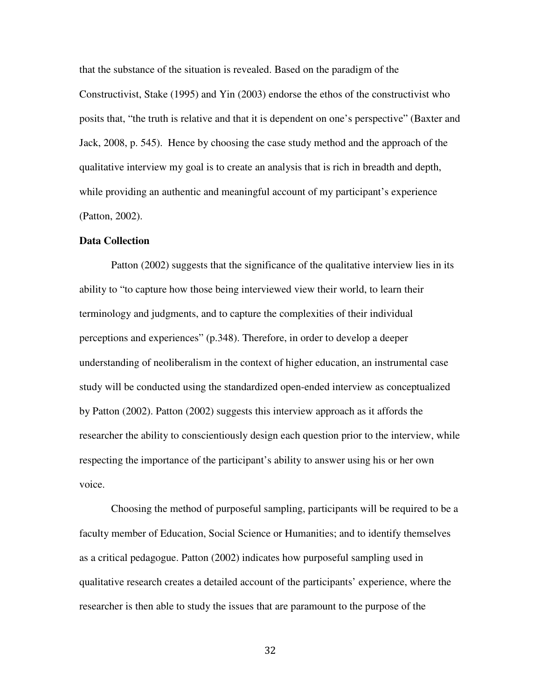that the substance of the situation is revealed. Based on the paradigm of the Constructivist, Stake (1995) and Yin (2003) endorse the ethos of the constructivist who posits that, "the truth is relative and that it is dependent on one's perspective" (Baxter and Jack, 2008, p. 545). Hence by choosing the case study method and the approach of the qualitative interview my goal is to create an analysis that is rich in breadth and depth, while providing an authentic and meaningful account of my participant's experience (Patton, 2002).

### **Data Collection**

Patton (2002) suggests that the significance of the qualitative interview lies in its ability to "to capture how those being interviewed view their world, to learn their terminology and judgments, and to capture the complexities of their individual perceptions and experiences" (p.348). Therefore, in order to develop a deeper understanding of neoliberalism in the context of higher education, an instrumental case study will be conducted using the standardized open-ended interview as conceptualized by Patton (2002). Patton (2002) suggests this interview approach as it affords the researcher the ability to conscientiously design each question prior to the interview, while respecting the importance of the participant's ability to answer using his or her own voice.

Choosing the method of purposeful sampling, participants will be required to be a faculty member of Education, Social Science or Humanities; and to identify themselves as a critical pedagogue. Patton (2002) indicates how purposeful sampling used in qualitative research creates a detailed account of the participants' experience, where the researcher is then able to study the issues that are paramount to the purpose of the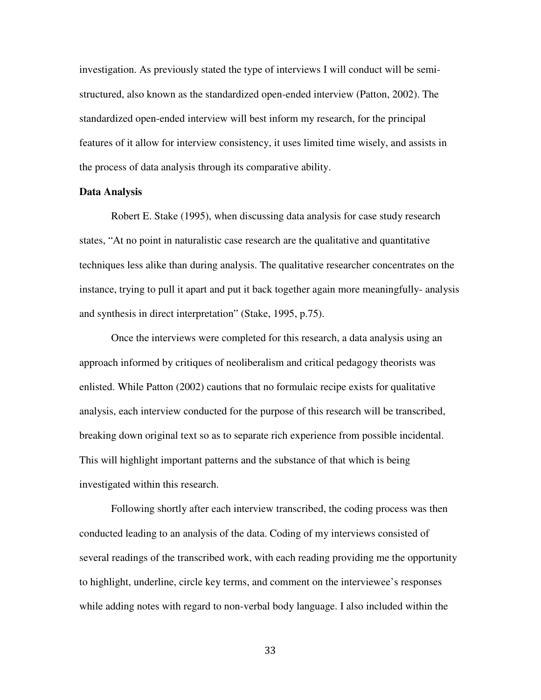investigation. As previously stated the type of interviews I will conduct will be semistructured, also known as the standardized open-ended interview (Patton, 2002). The standardized open-ended interview will best inform my research, for the principal features of it allow for interview consistency, it uses limited time wisely, and assists in the process of data analysis through its comparative ability.

### **Data Analysis**

Robert E. Stake (1995), when discussing data analysis for case study research states, "At no point in naturalistic case research are the qualitative and quantitative techniques less alike than during analysis. The qualitative researcher concentrates on the instance, trying to pull it apart and put it back together again more meaningfully- analysis and synthesis in direct interpretation" (Stake, 1995, p.75).

Once the interviews were completed for this research, a data analysis using an approach informed by critiques of neoliberalism and critical pedagogy theorists was enlisted. While Patton (2002) cautions that no formulaic recipe exists for qualitative analysis, each interview conducted for the purpose of this research will be transcribed, breaking down original text so as to separate rich experience from possible incidental. This will highlight important patterns and the substance of that which is being investigated within this research.

Following shortly after each interview transcribed, the coding process was then conducted leading to an analysis of the data. Coding of my interviews consisted of several readings of the transcribed work, with each reading providing me the opportunity to highlight, underline, circle key terms, and comment on the interviewee's responses while adding notes with regard to non-verbal body language. I also included within the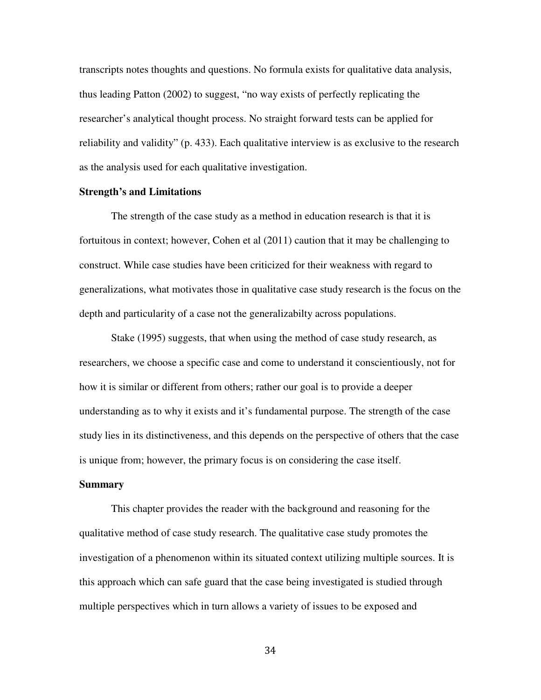transcripts notes thoughts and questions. No formula exists for qualitative data analysis, thus leading Patton (2002) to suggest, "no way exists of perfectly replicating the researcher's analytical thought process. No straight forward tests can be applied for reliability and validity" (p. 433). Each qualitative interview is as exclusive to the research as the analysis used for each qualitative investigation.

# **Strength's and Limitations**

The strength of the case study as a method in education research is that it is fortuitous in context; however, Cohen et al (2011) caution that it may be challenging to construct. While case studies have been criticized for their weakness with regard to generalizations, what motivates those in qualitative case study research is the focus on the depth and particularity of a case not the generalizabilty across populations.

Stake (1995) suggests, that when using the method of case study research, as researchers, we choose a specific case and come to understand it conscientiously, not for how it is similar or different from others; rather our goal is to provide a deeper understanding as to why it exists and it's fundamental purpose. The strength of the case study lies in its distinctiveness, and this depends on the perspective of others that the case is unique from; however, the primary focus is on considering the case itself.

### **Summary**

 This chapter provides the reader with the background and reasoning for the qualitative method of case study research. The qualitative case study promotes the investigation of a phenomenon within its situated context utilizing multiple sources. It is this approach which can safe guard that the case being investigated is studied through multiple perspectives which in turn allows a variety of issues to be exposed and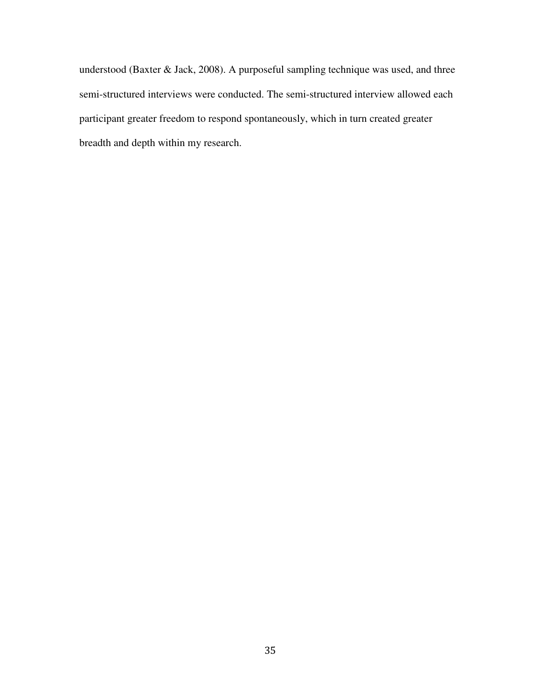understood (Baxter & Jack, 2008). A purposeful sampling technique was used, and three semi-structured interviews were conducted. The semi-structured interview allowed each participant greater freedom to respond spontaneously, which in turn created greater breadth and depth within my research.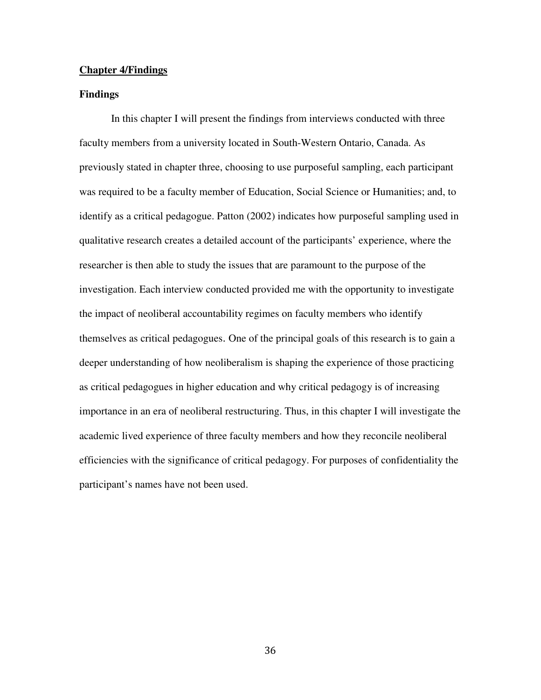## **Chapter 4/Findings**

# **Findings**

In this chapter I will present the findings from interviews conducted with three faculty members from a university located in South-Western Ontario, Canada. As previously stated in chapter three, choosing to use purposeful sampling, each participant was required to be a faculty member of Education, Social Science or Humanities; and, to identify as a critical pedagogue. Patton (2002) indicates how purposeful sampling used in qualitative research creates a detailed account of the participants' experience, where the researcher is then able to study the issues that are paramount to the purpose of the investigation. Each interview conducted provided me with the opportunity to investigate the impact of neoliberal accountability regimes on faculty members who identify themselves as critical pedagogues. One of the principal goals of this research is to gain a deeper understanding of how neoliberalism is shaping the experience of those practicing as critical pedagogues in higher education and why critical pedagogy is of increasing importance in an era of neoliberal restructuring. Thus, in this chapter I will investigate the academic lived experience of three faculty members and how they reconcile neoliberal efficiencies with the significance of critical pedagogy. For purposes of confidentiality the participant's names have not been used.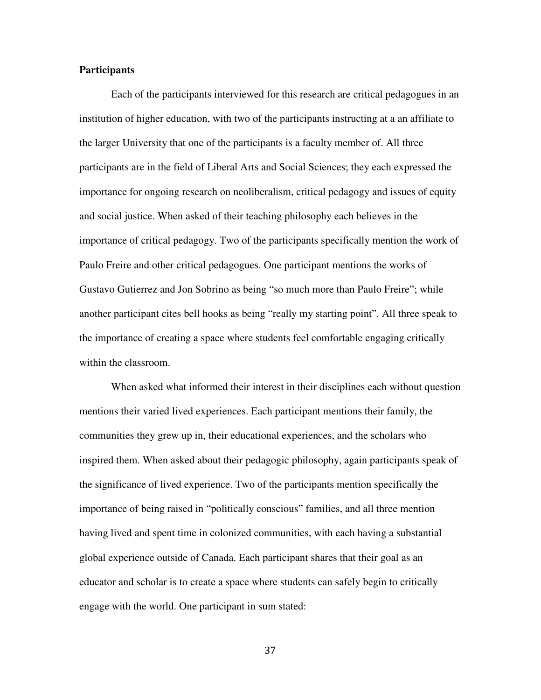# **Participants**

 Each of the participants interviewed for this research are critical pedagogues in an institution of higher education, with two of the participants instructing at a an affiliate to the larger University that one of the participants is a faculty member of. All three participants are in the field of Liberal Arts and Social Sciences; they each expressed the importance for ongoing research on neoliberalism, critical pedagogy and issues of equity and social justice. When asked of their teaching philosophy each believes in the importance of critical pedagogy. Two of the participants specifically mention the work of Paulo Freire and other critical pedagogues. One participant mentions the works of Gustavo Gutierrez and Jon Sobrino as being "so much more than Paulo Freire"; while another participant cites bell hooks as being "really my starting point". All three speak to the importance of creating a space where students feel comfortable engaging critically within the classroom.

When asked what informed their interest in their disciplines each without question mentions their varied lived experiences. Each participant mentions their family, the communities they grew up in, their educational experiences, and the scholars who inspired them. When asked about their pedagogic philosophy, again participants speak of the significance of lived experience. Two of the participants mention specifically the importance of being raised in "politically conscious" families, and all three mention having lived and spent time in colonized communities, with each having a substantial global experience outside of Canada. Each participant shares that their goal as an educator and scholar is to create a space where students can safely begin to critically engage with the world. One participant in sum stated: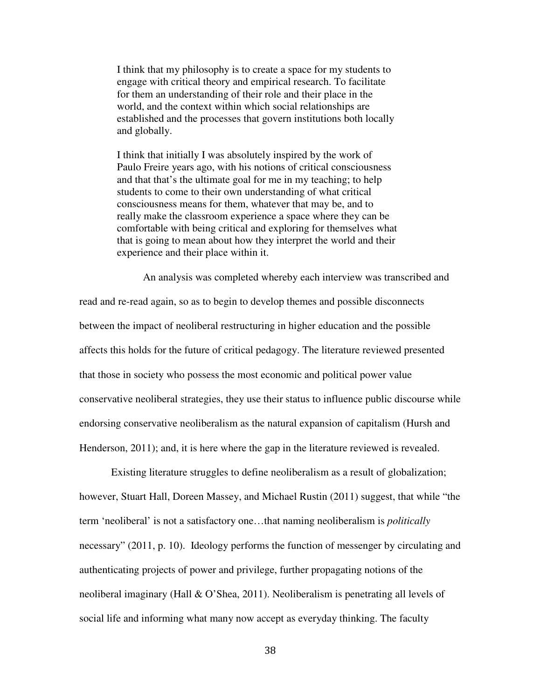I think that my philosophy is to create a space for my students to engage with critical theory and empirical research. To facilitate for them an understanding of their role and their place in the world, and the context within which social relationships are established and the processes that govern institutions both locally and globally.

I think that initially I was absolutely inspired by the work of Paulo Freire years ago, with his notions of critical consciousness and that that's the ultimate goal for me in my teaching; to help students to come to their own understanding of what critical consciousness means for them, whatever that may be, and to really make the classroom experience a space where they can be comfortable with being critical and exploring for themselves what that is going to mean about how they interpret the world and their experience and their place within it.

 An analysis was completed whereby each interview was transcribed and read and re-read again, so as to begin to develop themes and possible disconnects between the impact of neoliberal restructuring in higher education and the possible affects this holds for the future of critical pedagogy. The literature reviewed presented that those in society who possess the most economic and political power value conservative neoliberal strategies, they use their status to influence public discourse while endorsing conservative neoliberalism as the natural expansion of capitalism (Hursh and Henderson, 2011); and, it is here where the gap in the literature reviewed is revealed.

Existing literature struggles to define neoliberalism as a result of globalization; however, Stuart Hall, Doreen Massey, and Michael Rustin (2011) suggest, that while "the term 'neoliberal' is not a satisfactory one…that naming neoliberalism is *politically* necessary" (2011, p. 10). Ideology performs the function of messenger by circulating and authenticating projects of power and privilege, further propagating notions of the neoliberal imaginary (Hall & O'Shea, 2011). Neoliberalism is penetrating all levels of social life and informing what many now accept as everyday thinking. The faculty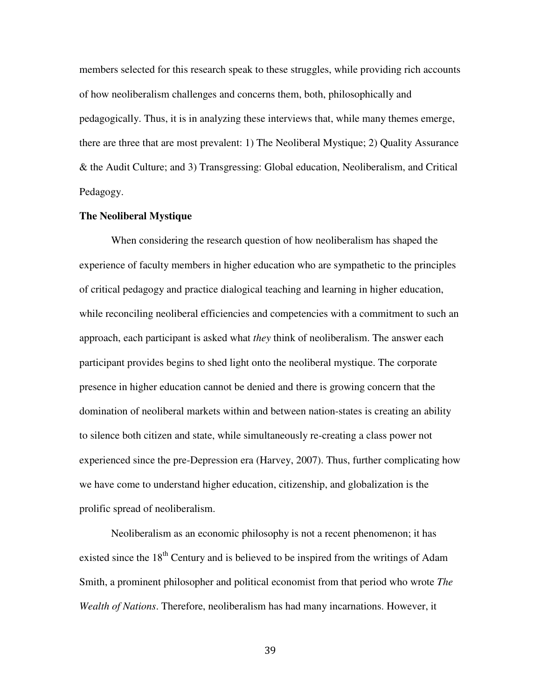members selected for this research speak to these struggles, while providing rich accounts of how neoliberalism challenges and concerns them, both, philosophically and pedagogically. Thus, it is in analyzing these interviews that, while many themes emerge, there are three that are most prevalent: 1) The Neoliberal Mystique; 2) Quality Assurance & the Audit Culture; and 3) Transgressing: Global education, Neoliberalism, and Critical Pedagogy.

# **The Neoliberal Mystique**

 When considering the research question of how neoliberalism has shaped the experience of faculty members in higher education who are sympathetic to the principles of critical pedagogy and practice dialogical teaching and learning in higher education, while reconciling neoliberal efficiencies and competencies with a commitment to such an approach, each participant is asked what *they* think of neoliberalism. The answer each participant provides begins to shed light onto the neoliberal mystique. The corporate presence in higher education cannot be denied and there is growing concern that the domination of neoliberal markets within and between nation-states is creating an ability to silence both citizen and state, while simultaneously re-creating a class power not experienced since the pre-Depression era (Harvey, 2007). Thus, further complicating how we have come to understand higher education, citizenship, and globalization is the prolific spread of neoliberalism.

Neoliberalism as an economic philosophy is not a recent phenomenon; it has existed since the  $18<sup>th</sup>$  Century and is believed to be inspired from the writings of Adam Smith, a prominent philosopher and political economist from that period who wrote *The Wealth of Nations*. Therefore, neoliberalism has had many incarnations. However, it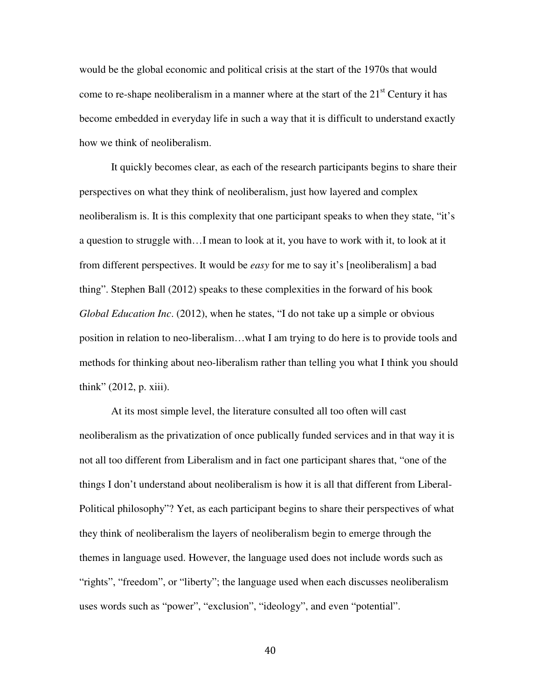would be the global economic and political crisis at the start of the 1970s that would come to re-shape neoliberalism in a manner where at the start of the  $21<sup>st</sup>$  Century it has become embedded in everyday life in such a way that it is difficult to understand exactly how we think of neoliberalism.

It quickly becomes clear, as each of the research participants begins to share their perspectives on what they think of neoliberalism, just how layered and complex neoliberalism is. It is this complexity that one participant speaks to when they state, "it's a question to struggle with…I mean to look at it, you have to work with it, to look at it from different perspectives. It would be *easy* for me to say it's [neoliberalism] a bad thing". Stephen Ball (2012) speaks to these complexities in the forward of his book *Global Education Inc*. (2012), when he states, "I do not take up a simple or obvious position in relation to neo-liberalism…what I am trying to do here is to provide tools and methods for thinking about neo-liberalism rather than telling you what I think you should think" (2012, p. xiii).

At its most simple level, the literature consulted all too often will cast neoliberalism as the privatization of once publically funded services and in that way it is not all too different from Liberalism and in fact one participant shares that, "one of the things I don't understand about neoliberalism is how it is all that different from Liberal-Political philosophy"? Yet, as each participant begins to share their perspectives of what they think of neoliberalism the layers of neoliberalism begin to emerge through the themes in language used. However, the language used does not include words such as "rights", "freedom", or "liberty"; the language used when each discusses neoliberalism uses words such as "power", "exclusion", "ideology", and even "potential".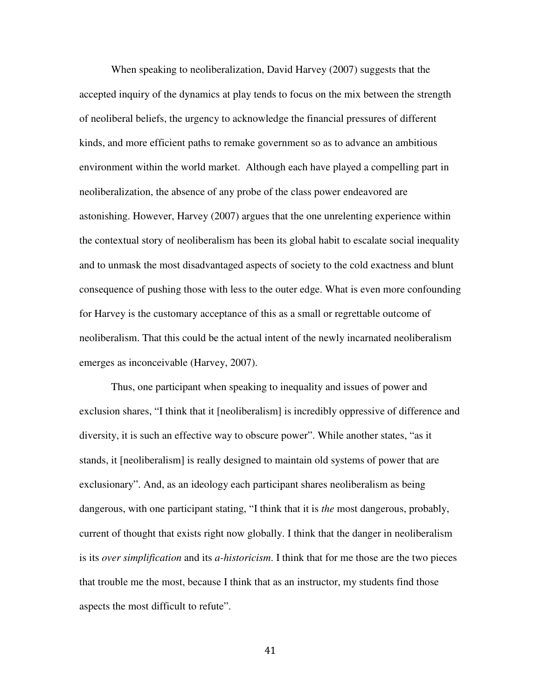When speaking to neoliberalization, David Harvey (2007) suggests that the accepted inquiry of the dynamics at play tends to focus on the mix between the strength of neoliberal beliefs, the urgency to acknowledge the financial pressures of different kinds, and more efficient paths to remake government so as to advance an ambitious environment within the world market. Although each have played a compelling part in neoliberalization, the absence of any probe of the class power endeavored are astonishing. However, Harvey (2007) argues that the one unrelenting experience within the contextual story of neoliberalism has been its global habit to escalate social inequality and to unmask the most disadvantaged aspects of society to the cold exactness and blunt consequence of pushing those with less to the outer edge. What is even more confounding for Harvey is the customary acceptance of this as a small or regrettable outcome of neoliberalism. That this could be the actual intent of the newly incarnated neoliberalism emerges as inconceivable (Harvey, 2007).

Thus, one participant when speaking to inequality and issues of power and exclusion shares, "I think that it [neoliberalism] is incredibly oppressive of difference and diversity, it is such an effective way to obscure power". While another states, "as it stands, it [neoliberalism] is really designed to maintain old systems of power that are exclusionary". And, as an ideology each participant shares neoliberalism as being dangerous, with one participant stating, "I think that it is *the* most dangerous, probably, current of thought that exists right now globally. I think that the danger in neoliberalism is its *over simplification* and its *a-historicism*. I think that for me those are the two pieces that trouble me the most, because I think that as an instructor, my students find those aspects the most difficult to refute".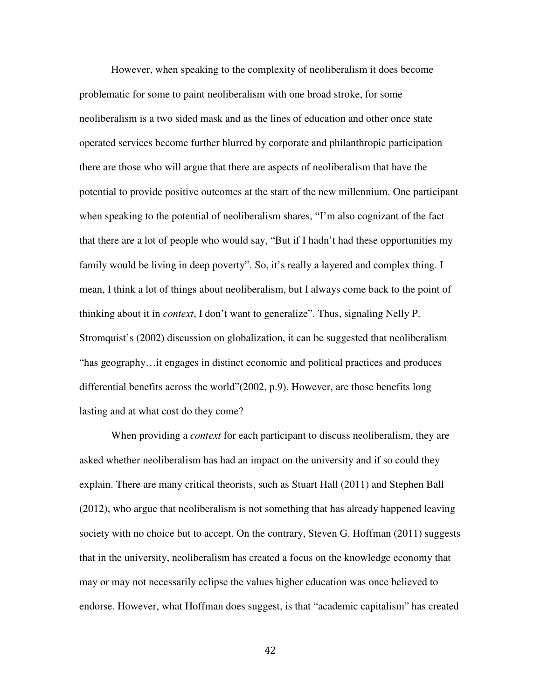However, when speaking to the complexity of neoliberalism it does become problematic for some to paint neoliberalism with one broad stroke, for some neoliberalism is a two sided mask and as the lines of education and other once state operated services become further blurred by corporate and philanthropic participation there are those who will argue that there are aspects of neoliberalism that have the potential to provide positive outcomes at the start of the new millennium. One participant when speaking to the potential of neoliberalism shares, "I'm also cognizant of the fact that there are a lot of people who would say, "But if I hadn't had these opportunities my family would be living in deep poverty". So, it's really a layered and complex thing. I mean, I think a lot of things about neoliberalism, but I always come back to the point of thinking about it in *context*, I don't want to generalize". Thus, signaling Nelly P. Stromquist's (2002) discussion on globalization, it can be suggested that neoliberalism "has geography…it engages in distinct economic and political practices and produces differential benefits across the world"(2002, p.9). However, are those benefits long lasting and at what cost do they come?

When providing a *context* for each participant to discuss neoliberalism, they are asked whether neoliberalism has had an impact on the university and if so could they explain. There are many critical theorists, such as Stuart Hall (2011) and Stephen Ball (2012), who argue that neoliberalism is not something that has already happened leaving society with no choice but to accept. On the contrary, Steven G. Hoffman (2011) suggests that in the university, neoliberalism has created a focus on the knowledge economy that may or may not necessarily eclipse the values higher education was once believed to endorse. However, what Hoffman does suggest, is that "academic capitalism" has created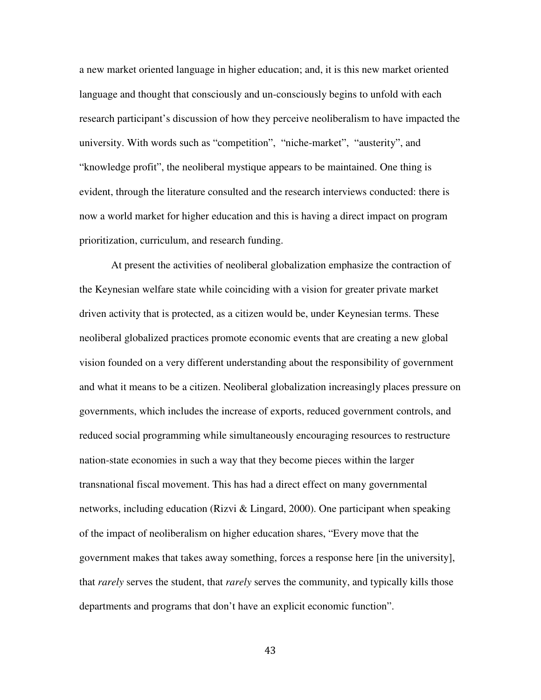a new market oriented language in higher education; and, it is this new market oriented language and thought that consciously and un-consciously begins to unfold with each research participant's discussion of how they perceive neoliberalism to have impacted the university. With words such as "competition", "niche-market", "austerity", and "knowledge profit", the neoliberal mystique appears to be maintained. One thing is evident, through the literature consulted and the research interviews conducted: there is now a world market for higher education and this is having a direct impact on program prioritization, curriculum, and research funding.

At present the activities of neoliberal globalization emphasize the contraction of the Keynesian welfare state while coinciding with a vision for greater private market driven activity that is protected, as a citizen would be, under Keynesian terms. These neoliberal globalized practices promote economic events that are creating a new global vision founded on a very different understanding about the responsibility of government and what it means to be a citizen. Neoliberal globalization increasingly places pressure on governments, which includes the increase of exports, reduced government controls, and reduced social programming while simultaneously encouraging resources to restructure nation-state economies in such a way that they become pieces within the larger transnational fiscal movement. This has had a direct effect on many governmental networks, including education (Rizvi & Lingard, 2000). One participant when speaking of the impact of neoliberalism on higher education shares, "Every move that the government makes that takes away something, forces a response here [in the university], that *rarely* serves the student, that *rarely* serves the community, and typically kills those departments and programs that don't have an explicit economic function".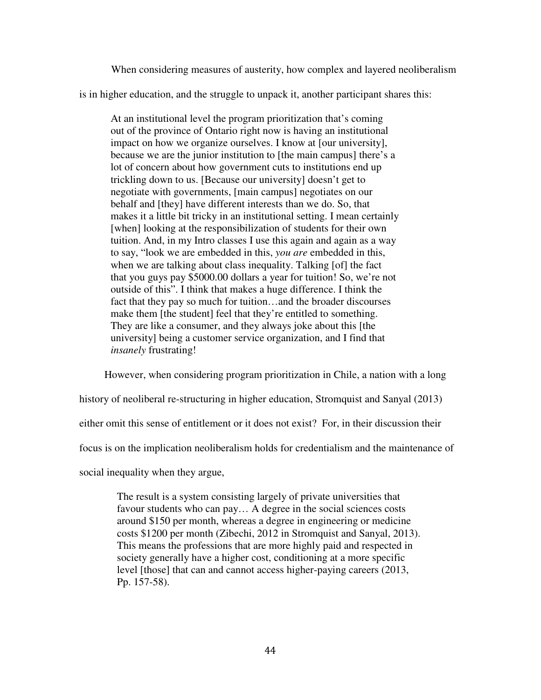When considering measures of austerity, how complex and layered neoliberalism

is in higher education, and the struggle to unpack it, another participant shares this:

At an institutional level the program prioritization that's coming out of the province of Ontario right now is having an institutional impact on how we organize ourselves. I know at [our university], because we are the junior institution to [the main campus] there's a lot of concern about how government cuts to institutions end up trickling down to us. [Because our university] doesn't get to negotiate with governments, [main campus] negotiates on our behalf and [they] have different interests than we do. So, that makes it a little bit tricky in an institutional setting. I mean certainly [when] looking at the responsibilization of students for their own tuition. And, in my Intro classes I use this again and again as a way to say, "look we are embedded in this, *you are* embedded in this, when we are talking about class inequality. Talking [of] the fact that you guys pay \$5000.00 dollars a year for tuition! So, we're not outside of this". I think that makes a huge difference. I think the fact that they pay so much for tuition…and the broader discourses make them [the student] feel that they're entitled to something. They are like a consumer, and they always joke about this [the university] being a customer service organization, and I find that *insanely* frustrating!

However, when considering program prioritization in Chile, a nation with a long

history of neoliberal re-structuring in higher education, Stromquist and Sanyal (2013)

either omit this sense of entitlement or it does not exist? For, in their discussion their

focus is on the implication neoliberalism holds for credentialism and the maintenance of

social inequality when they argue,

The result is a system consisting largely of private universities that favour students who can pay… A degree in the social sciences costs around \$150 per month, whereas a degree in engineering or medicine costs \$1200 per month (Zibechi, 2012 in Stromquist and Sanyal, 2013). This means the professions that are more highly paid and respected in society generally have a higher cost, conditioning at a more specific level [those] that can and cannot access higher-paying careers (2013, Pp. 157-58).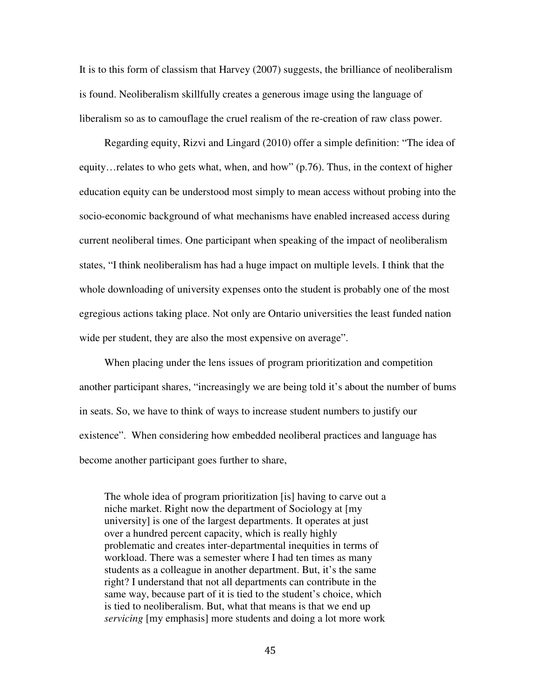It is to this form of classism that Harvey (2007) suggests, the brilliance of neoliberalism is found. Neoliberalism skillfully creates a generous image using the language of liberalism so as to camouflage the cruel realism of the re-creation of raw class power.

Regarding equity, Rizvi and Lingard (2010) offer a simple definition: "The idea of equity…relates to who gets what, when, and how" (p.76). Thus, in the context of higher education equity can be understood most simply to mean access without probing into the socio-economic background of what mechanisms have enabled increased access during current neoliberal times. One participant when speaking of the impact of neoliberalism states, "I think neoliberalism has had a huge impact on multiple levels. I think that the whole downloading of university expenses onto the student is probably one of the most egregious actions taking place. Not only are Ontario universities the least funded nation wide per student, they are also the most expensive on average".

When placing under the lens issues of program prioritization and competition another participant shares, "increasingly we are being told it's about the number of bums in seats. So, we have to think of ways to increase student numbers to justify our existence". When considering how embedded neoliberal practices and language has become another participant goes further to share,

The whole idea of program prioritization [is] having to carve out a niche market. Right now the department of Sociology at [my university] is one of the largest departments. It operates at just over a hundred percent capacity, which is really highly problematic and creates inter-departmental inequities in terms of workload. There was a semester where I had ten times as many students as a colleague in another department. But, it's the same right? I understand that not all departments can contribute in the same way, because part of it is tied to the student's choice, which is tied to neoliberalism. But, what that means is that we end up *servicing* [my emphasis] more students and doing a lot more work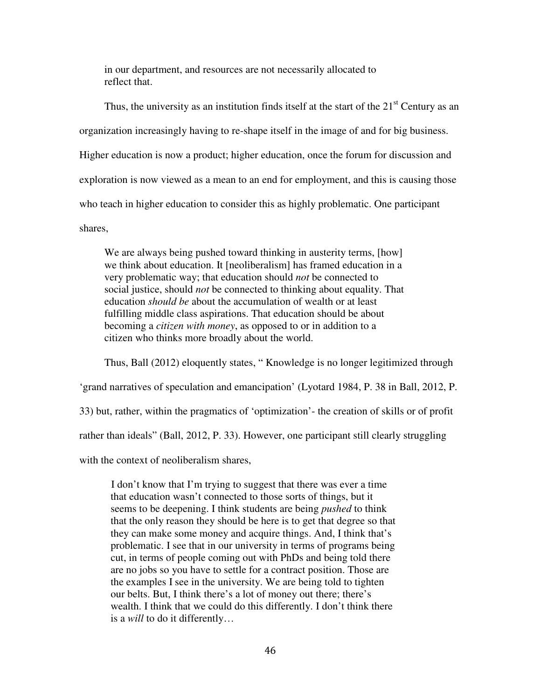in our department, and resources are not necessarily allocated to reflect that.

Thus, the university as an institution finds itself at the start of the  $21<sup>st</sup>$  Century as an organization increasingly having to re-shape itself in the image of and for big business. Higher education is now a product; higher education, once the forum for discussion and exploration is now viewed as a mean to an end for employment, and this is causing those who teach in higher education to consider this as highly problematic. One participant shares,

We are always being pushed toward thinking in austerity terms, [how] we think about education. It [neoliberalism] has framed education in a very problematic way; that education should *not* be connected to social justice, should *not* be connected to thinking about equality. That education *should be* about the accumulation of wealth or at least fulfilling middle class aspirations. That education should be about becoming a *citizen with money*, as opposed to or in addition to a citizen who thinks more broadly about the world.

Thus, Ball (2012) eloquently states, " Knowledge is no longer legitimized through 'grand narratives of speculation and emancipation' (Lyotard 1984, P. 38 in Ball, 2012, P. 33) but, rather, within the pragmatics of 'optimization'- the creation of skills or of profit rather than ideals" (Ball, 2012, P. 33). However, one participant still clearly struggling with the context of neoliberalism shares,

I don't know that I'm trying to suggest that there was ever a time that education wasn't connected to those sorts of things, but it seems to be deepening. I think students are being *pushed* to think that the only reason they should be here is to get that degree so that they can make some money and acquire things. And, I think that's problematic. I see that in our university in terms of programs being cut, in terms of people coming out with PhDs and being told there are no jobs so you have to settle for a contract position. Those are the examples I see in the university. We are being told to tighten our belts. But, I think there's a lot of money out there; there's wealth. I think that we could do this differently. I don't think there is a *will* to do it differently…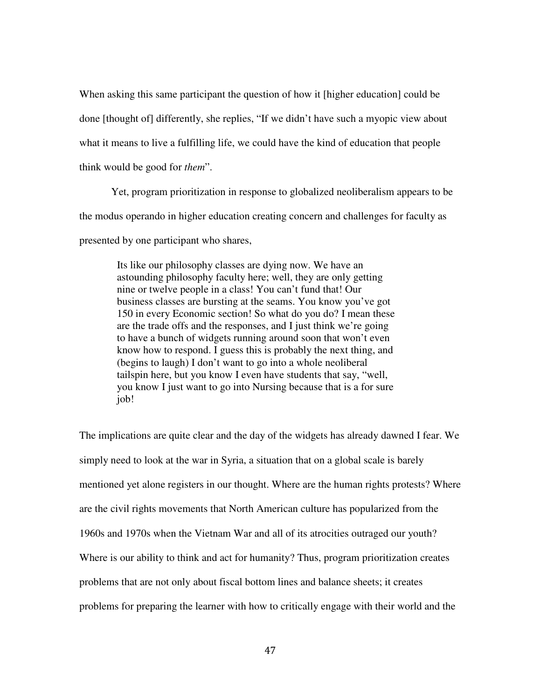When asking this same participant the question of how it [higher education] could be done [thought of] differently, she replies, "If we didn't have such a myopic view about what it means to live a fulfilling life, we could have the kind of education that people think would be good for *them*".

Yet, program prioritization in response to globalized neoliberalism appears to be the modus operando in higher education creating concern and challenges for faculty as presented by one participant who shares,

Its like our philosophy classes are dying now. We have an astounding philosophy faculty here; well, they are only getting nine or twelve people in a class! You can't fund that! Our business classes are bursting at the seams. You know you've got 150 in every Economic section! So what do you do? I mean these are the trade offs and the responses, and I just think we're going to have a bunch of widgets running around soon that won't even know how to respond. I guess this is probably the next thing, and (begins to laugh) I don't want to go into a whole neoliberal tailspin here, but you know I even have students that say, "well, you know I just want to go into Nursing because that is a for sure job!

The implications are quite clear and the day of the widgets has already dawned I fear. We simply need to look at the war in Syria, a situation that on a global scale is barely mentioned yet alone registers in our thought. Where are the human rights protests? Where are the civil rights movements that North American culture has popularized from the 1960s and 1970s when the Vietnam War and all of its atrocities outraged our youth? Where is our ability to think and act for humanity? Thus, program prioritization creates problems that are not only about fiscal bottom lines and balance sheets; it creates problems for preparing the learner with how to critically engage with their world and the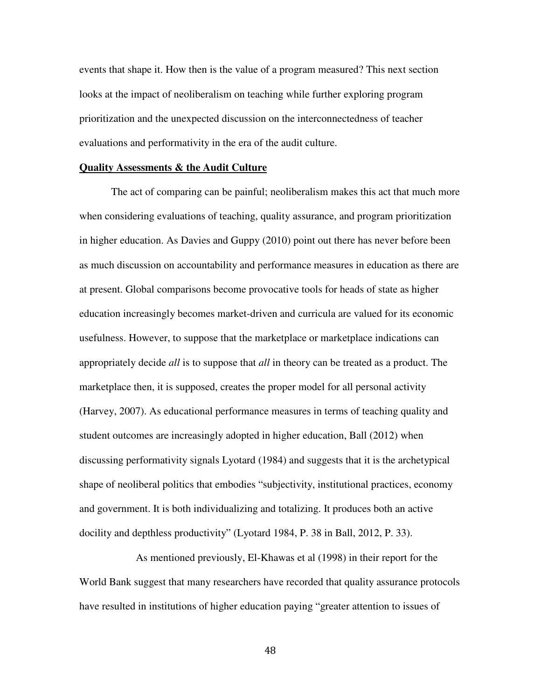events that shape it. How then is the value of a program measured? This next section looks at the impact of neoliberalism on teaching while further exploring program prioritization and the unexpected discussion on the interconnectedness of teacher evaluations and performativity in the era of the audit culture.

### **Quality Assessments & the Audit Culture**

The act of comparing can be painful; neoliberalism makes this act that much more when considering evaluations of teaching, quality assurance, and program prioritization in higher education. As Davies and Guppy (2010) point out there has never before been as much discussion on accountability and performance measures in education as there are at present. Global comparisons become provocative tools for heads of state as higher education increasingly becomes market-driven and curricula are valued for its economic usefulness. However, to suppose that the marketplace or marketplace indications can appropriately decide *all* is to suppose that *all* in theory can be treated as a product. The marketplace then, it is supposed, creates the proper model for all personal activity (Harvey, 2007). As educational performance measures in terms of teaching quality and student outcomes are increasingly adopted in higher education, Ball (2012) when discussing performativity signals Lyotard (1984) and suggests that it is the archetypical shape of neoliberal politics that embodies "subjectivity, institutional practices, economy and government. It is both individualizing and totalizing. It produces both an active docility and depthless productivity" (Lyotard 1984, P. 38 in Ball, 2012, P. 33).

 As mentioned previously, El-Khawas et al (1998) in their report for the World Bank suggest that many researchers have recorded that quality assurance protocols have resulted in institutions of higher education paying "greater attention to issues of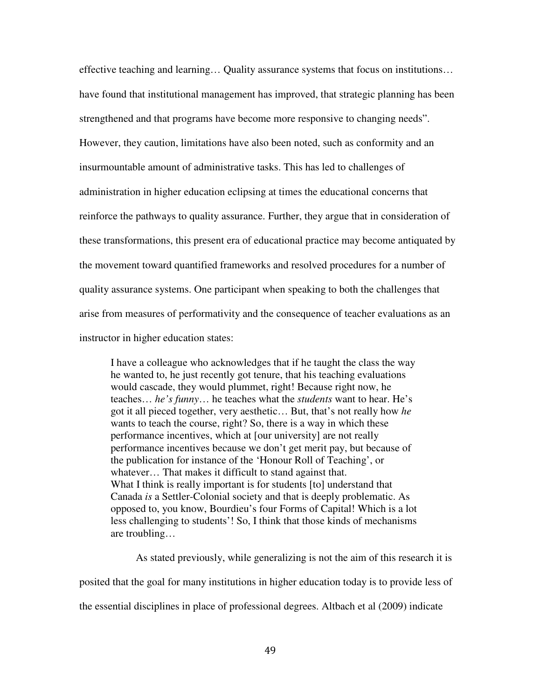effective teaching and learning… Quality assurance systems that focus on institutions… have found that institutional management has improved, that strategic planning has been strengthened and that programs have become more responsive to changing needs". However, they caution, limitations have also been noted, such as conformity and an insurmountable amount of administrative tasks. This has led to challenges of administration in higher education eclipsing at times the educational concerns that reinforce the pathways to quality assurance. Further, they argue that in consideration of these transformations, this present era of educational practice may become antiquated by the movement toward quantified frameworks and resolved procedures for a number of quality assurance systems. One participant when speaking to both the challenges that arise from measures of performativity and the consequence of teacher evaluations as an instructor in higher education states:

I have a colleague who acknowledges that if he taught the class the way he wanted to, he just recently got tenure, that his teaching evaluations would cascade, they would plummet, right! Because right now, he teaches… *he's funny*… he teaches what the *students* want to hear. He's got it all pieced together, very aesthetic… But, that's not really how *he*  wants to teach the course, right? So, there is a way in which these performance incentives, which at [our university] are not really performance incentives because we don't get merit pay, but because of the publication for instance of the 'Honour Roll of Teaching', or whatever... That makes it difficult to stand against that. What I think is really important is for students [to] understand that Canada *is* a Settler-Colonial society and that is deeply problematic. As opposed to, you know, Bourdieu's four Forms of Capital! Which is a lot less challenging to students'! So, I think that those kinds of mechanisms are troubling…

 As stated previously, while generalizing is not the aim of this research it is posited that the goal for many institutions in higher education today is to provide less of the essential disciplines in place of professional degrees. Altbach et al (2009) indicate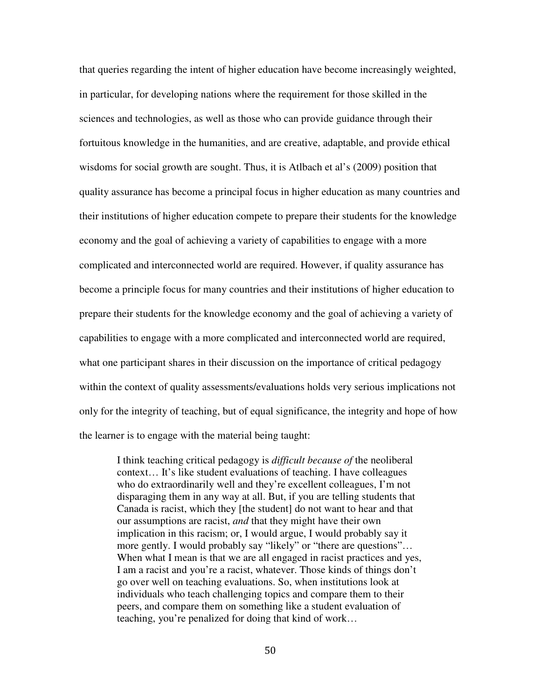that queries regarding the intent of higher education have become increasingly weighted, in particular, for developing nations where the requirement for those skilled in the sciences and technologies, as well as those who can provide guidance through their fortuitous knowledge in the humanities, and are creative, adaptable, and provide ethical wisdoms for social growth are sought. Thus, it is Atlbach et al's (2009) position that quality assurance has become a principal focus in higher education as many countries and their institutions of higher education compete to prepare their students for the knowledge economy and the goal of achieving a variety of capabilities to engage with a more complicated and interconnected world are required. However, if quality assurance has become a principle focus for many countries and their institutions of higher education to prepare their students for the knowledge economy and the goal of achieving a variety of capabilities to engage with a more complicated and interconnected world are required, what one participant shares in their discussion on the importance of critical pedagogy within the context of quality assessments/evaluations holds very serious implications not only for the integrity of teaching, but of equal significance, the integrity and hope of how the learner is to engage with the material being taught:

I think teaching critical pedagogy is *difficult because of* the neoliberal context… It's like student evaluations of teaching. I have colleagues who do extraordinarily well and they're excellent colleagues, I'm not disparaging them in any way at all. But, if you are telling students that Canada is racist, which they [the student] do not want to hear and that our assumptions are racist, *and* that they might have their own implication in this racism; or, I would argue, I would probably say it more gently. I would probably say "likely" or "there are questions"… When what I mean is that we are all engaged in racist practices and yes, I am a racist and you're a racist, whatever. Those kinds of things don't go over well on teaching evaluations. So, when institutions look at individuals who teach challenging topics and compare them to their peers, and compare them on something like a student evaluation of teaching, you're penalized for doing that kind of work…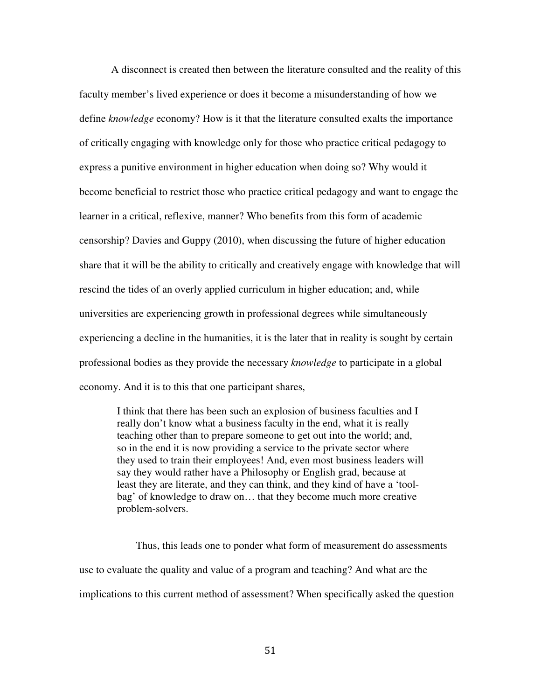A disconnect is created then between the literature consulted and the reality of this faculty member's lived experience or does it become a misunderstanding of how we define *knowledge* economy? How is it that the literature consulted exalts the importance of critically engaging with knowledge only for those who practice critical pedagogy to express a punitive environment in higher education when doing so? Why would it become beneficial to restrict those who practice critical pedagogy and want to engage the learner in a critical, reflexive, manner? Who benefits from this form of academic censorship? Davies and Guppy (2010), when discussing the future of higher education share that it will be the ability to critically and creatively engage with knowledge that will rescind the tides of an overly applied curriculum in higher education; and, while universities are experiencing growth in professional degrees while simultaneously experiencing a decline in the humanities, it is the later that in reality is sought by certain professional bodies as they provide the necessary *knowledge* to participate in a global economy. And it is to this that one participant shares,

I think that there has been such an explosion of business faculties and I really don't know what a business faculty in the end, what it is really teaching other than to prepare someone to get out into the world; and, so in the end it is now providing a service to the private sector where they used to train their employees! And, even most business leaders will say they would rather have a Philosophy or English grad, because at least they are literate, and they can think, and they kind of have a 'toolbag' of knowledge to draw on… that they become much more creative problem-solvers.

 Thus, this leads one to ponder what form of measurement do assessments use to evaluate the quality and value of a program and teaching? And what are the implications to this current method of assessment? When specifically asked the question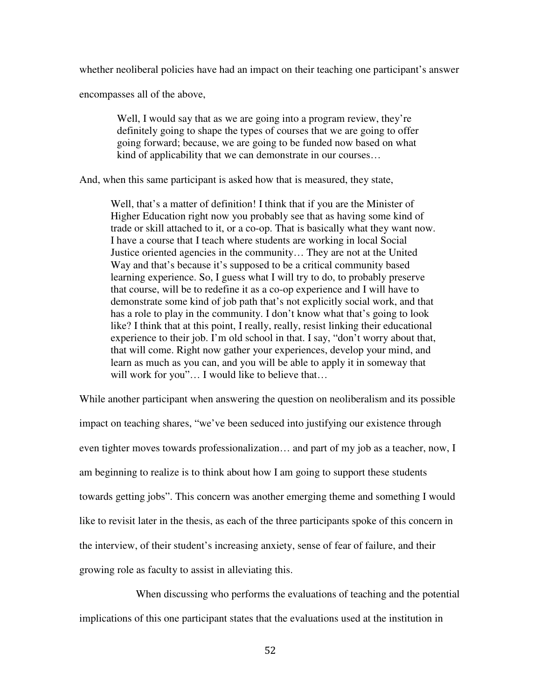whether neoliberal policies have had an impact on their teaching one participant's answer

encompasses all of the above,

Well, I would say that as we are going into a program review, they're definitely going to shape the types of courses that we are going to offer going forward; because, we are going to be funded now based on what kind of applicability that we can demonstrate in our courses…

And, when this same participant is asked how that is measured, they state,

Well, that's a matter of definition! I think that if you are the Minister of Higher Education right now you probably see that as having some kind of trade or skill attached to it, or a co-op. That is basically what they want now. I have a course that I teach where students are working in local Social Justice oriented agencies in the community… They are not at the United Way and that's because it's supposed to be a critical community based learning experience. So, I guess what I will try to do, to probably preserve that course, will be to redefine it as a co-op experience and I will have to demonstrate some kind of job path that's not explicitly social work, and that has a role to play in the community. I don't know what that's going to look like? I think that at this point, I really, really, resist linking their educational experience to their job. I'm old school in that. I say, "don't worry about that, that will come. Right now gather your experiences, develop your mind, and learn as much as you can, and you will be able to apply it in someway that will work for you"... I would like to believe that...

While another participant when answering the question on neoliberalism and its possible impact on teaching shares, "we've been seduced into justifying our existence through even tighter moves towards professionalization… and part of my job as a teacher, now, I am beginning to realize is to think about how I am going to support these students towards getting jobs". This concern was another emerging theme and something I would like to revisit later in the thesis, as each of the three participants spoke of this concern in the interview, of their student's increasing anxiety, sense of fear of failure, and their growing role as faculty to assist in alleviating this.

 When discussing who performs the evaluations of teaching and the potential implications of this one participant states that the evaluations used at the institution in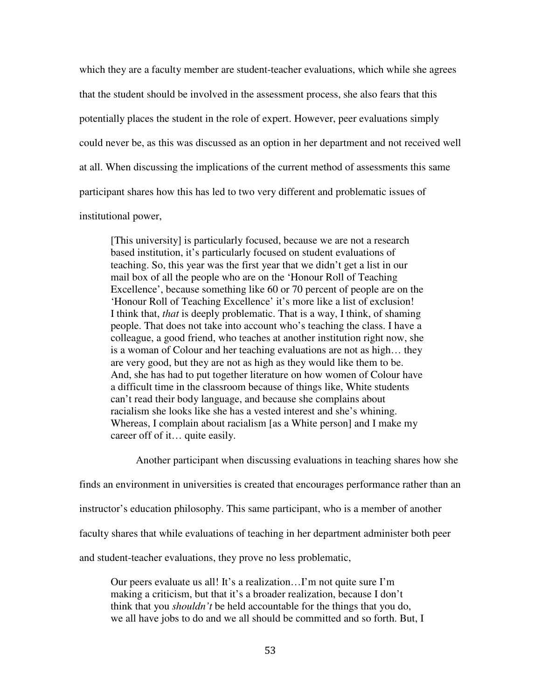which they are a faculty member are student-teacher evaluations, which while she agrees that the student should be involved in the assessment process, she also fears that this potentially places the student in the role of expert. However, peer evaluations simply could never be, as this was discussed as an option in her department and not received well at all. When discussing the implications of the current method of assessments this same participant shares how this has led to two very different and problematic issues of

institutional power,

[This university] is particularly focused, because we are not a research based institution, it's particularly focused on student evaluations of teaching. So, this year was the first year that we didn't get a list in our mail box of all the people who are on the 'Honour Roll of Teaching Excellence', because something like 60 or 70 percent of people are on the 'Honour Roll of Teaching Excellence' it's more like a list of exclusion! I think that, *that* is deeply problematic. That is a way, I think, of shaming people. That does not take into account who's teaching the class. I have a colleague, a good friend, who teaches at another institution right now, she is a woman of Colour and her teaching evaluations are not as high… they are very good, but they are not as high as they would like them to be. And, she has had to put together literature on how women of Colour have a difficult time in the classroom because of things like, White students can't read their body language, and because she complains about racialism she looks like she has a vested interest and she's whining. Whereas, I complain about racialism [as a White person] and I make my career off of it… quite easily.

Another participant when discussing evaluations in teaching shares how she

finds an environment in universities is created that encourages performance rather than an

instructor's education philosophy. This same participant, who is a member of another

faculty shares that while evaluations of teaching in her department administer both peer

and student-teacher evaluations, they prove no less problematic,

Our peers evaluate us all! It's a realization…I'm not quite sure I'm making a criticism, but that it's a broader realization, because I don't think that you *shouldn't* be held accountable for the things that you do, we all have jobs to do and we all should be committed and so forth. But, I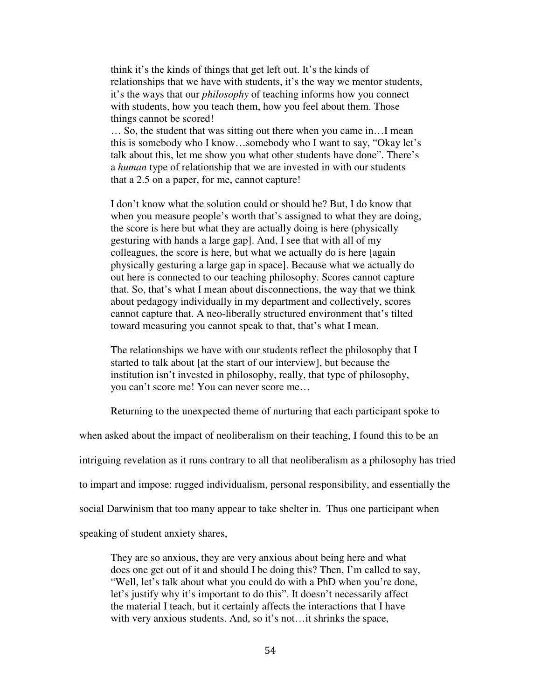think it's the kinds of things that get left out. It's the kinds of relationships that we have with students, it's the way we mentor students, it's the ways that our *philosophy* of teaching informs how you connect with students, how you teach them, how you feel about them. Those things cannot be scored!

… So, the student that was sitting out there when you came in…I mean this is somebody who I know…somebody who I want to say, "Okay let's talk about this, let me show you what other students have done". There's a *human* type of relationship that we are invested in with our students that a 2.5 on a paper, for me, cannot capture!

I don't know what the solution could or should be? But, I do know that when you measure people's worth that's assigned to what they are doing, the score is here but what they are actually doing is here (physically gesturing with hands a large gap]. And, I see that with all of my colleagues, the score is here, but what we actually do is here [again physically gesturing a large gap in space]. Because what we actually do out here is connected to our teaching philosophy. Scores cannot capture that. So, that's what I mean about disconnections, the way that we think about pedagogy individually in my department and collectively, scores cannot capture that. A neo-liberally structured environment that's tilted toward measuring you cannot speak to that, that's what I mean.

The relationships we have with our students reflect the philosophy that I started to talk about [at the start of our interview], but because the institution isn't invested in philosophy, really, that type of philosophy, you can't score me! You can never score me…

Returning to the unexpected theme of nurturing that each participant spoke to

when asked about the impact of neoliberalism on their teaching, I found this to be an

intriguing revelation as it runs contrary to all that neoliberalism as a philosophy has tried

to impart and impose: rugged individualism, personal responsibility, and essentially the

social Darwinism that too many appear to take shelter in. Thus one participant when

speaking of student anxiety shares,

They are so anxious, they are very anxious about being here and what does one get out of it and should I be doing this? Then, I'm called to say, "Well, let's talk about what you could do with a PhD when you're done, let's justify why it's important to do this". It doesn't necessarily affect the material I teach, but it certainly affects the interactions that I have with very anxious students. And, so it's not... it shrinks the space,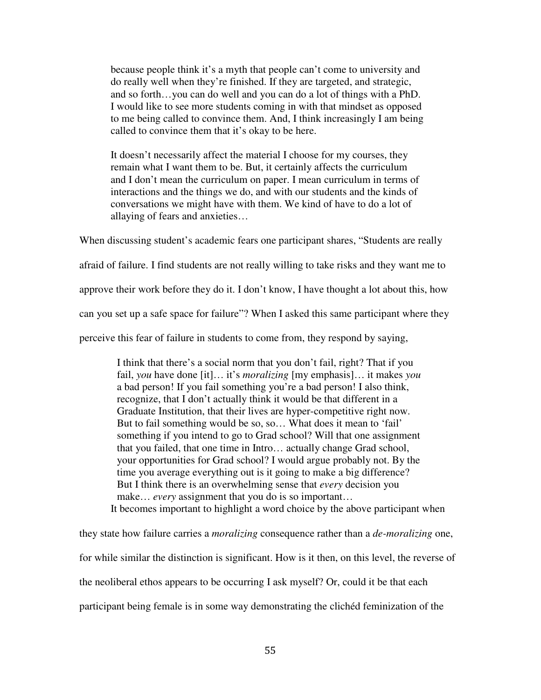because people think it's a myth that people can't come to university and do really well when they're finished. If they are targeted, and strategic, and so forth…you can do well and you can do a lot of things with a PhD. I would like to see more students coming in with that mindset as opposed to me being called to convince them. And, I think increasingly I am being called to convince them that it's okay to be here.

It doesn't necessarily affect the material I choose for my courses, they remain what I want them to be. But, it certainly affects the curriculum and I don't mean the curriculum on paper. I mean curriculum in terms of interactions and the things we do, and with our students and the kinds of conversations we might have with them. We kind of have to do a lot of allaying of fears and anxieties…

When discussing student's academic fears one participant shares, "Students are really afraid of failure. I find students are not really willing to take risks and they want me to approve their work before they do it. I don't know, I have thought a lot about this, how can you set up a safe space for failure"? When I asked this same participant where they perceive this fear of failure in students to come from, they respond by saying,

I think that there's a social norm that you don't fail, right? That if you fail, *you* have done [it]… it's *moralizing* [my emphasis]… it makes *you* a bad person! If you fail something you're a bad person! I also think, recognize, that I don't actually think it would be that different in a Graduate Institution, that their lives are hyper-competitive right now. But to fail something would be so, so… What does it mean to 'fail' something if you intend to go to Grad school? Will that one assignment that you failed, that one time in Intro… actually change Grad school, your opportunities for Grad school? I would argue probably not. By the time you average everything out is it going to make a big difference? But I think there is an overwhelming sense that *every* decision you make... *every* assignment that you do is so important...

It becomes important to highlight a word choice by the above participant when

they state how failure carries a *moralizing* consequence rather than a *de-moralizing* one, for while similar the distinction is significant. How is it then, on this level, the reverse of the neoliberal ethos appears to be occurring I ask myself? Or, could it be that each participant being female is in some way demonstrating the clichéd feminization of the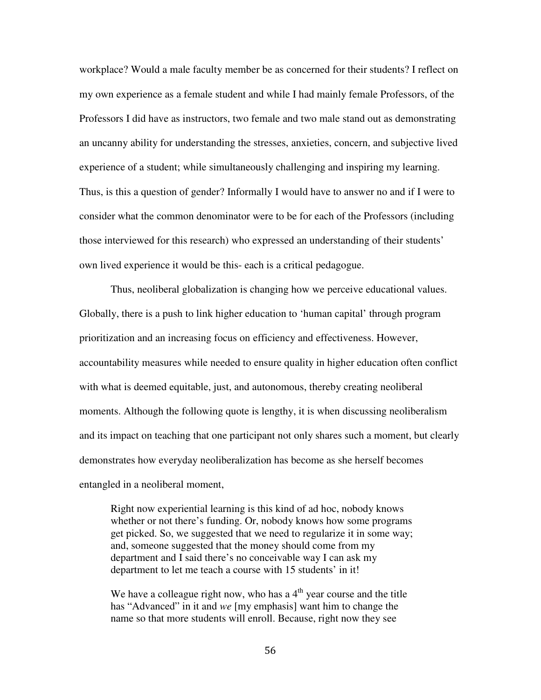workplace? Would a male faculty member be as concerned for their students? I reflect on my own experience as a female student and while I had mainly female Professors, of the Professors I did have as instructors, two female and two male stand out as demonstrating an uncanny ability for understanding the stresses, anxieties, concern, and subjective lived experience of a student; while simultaneously challenging and inspiring my learning. Thus, is this a question of gender? Informally I would have to answer no and if I were to consider what the common denominator were to be for each of the Professors (including those interviewed for this research) who expressed an understanding of their students' own lived experience it would be this- each is a critical pedagogue.

Thus, neoliberal globalization is changing how we perceive educational values. Globally, there is a push to link higher education to 'human capital' through program prioritization and an increasing focus on efficiency and effectiveness. However, accountability measures while needed to ensure quality in higher education often conflict with what is deemed equitable, just, and autonomous, thereby creating neoliberal moments. Although the following quote is lengthy, it is when discussing neoliberalism and its impact on teaching that one participant not only shares such a moment, but clearly demonstrates how everyday neoliberalization has become as she herself becomes entangled in a neoliberal moment,

Right now experiential learning is this kind of ad hoc, nobody knows whether or not there's funding. Or, nobody knows how some programs get picked. So, we suggested that we need to regularize it in some way; and, someone suggested that the money should come from my department and I said there's no conceivable way I can ask my department to let me teach a course with 15 students' in it!

We have a colleague right now, who has a  $4<sup>th</sup>$  year course and the title has "Advanced" in it and *we* [my emphasis] want him to change the name so that more students will enroll. Because, right now they see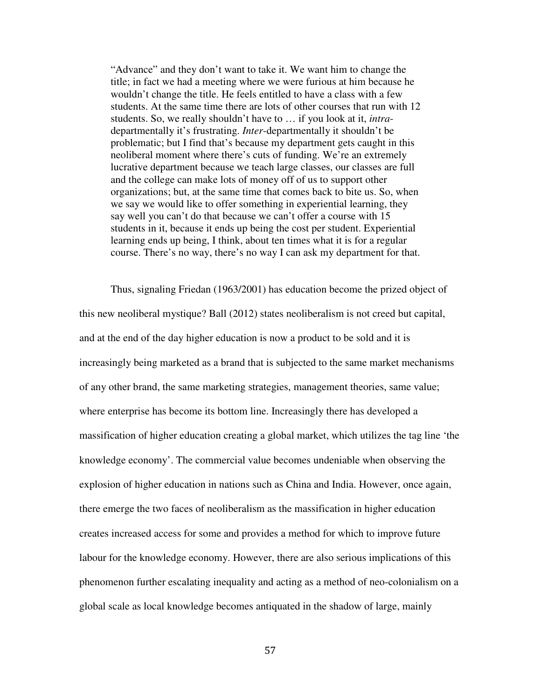"Advance" and they don't want to take it. We want him to change the title; in fact we had a meeting where we were furious at him because he wouldn't change the title. He feels entitled to have a class with a few students. At the same time there are lots of other courses that run with 12 students. So, we really shouldn't have to … if you look at it, *intra*departmentally it's frustrating. *Inter*-departmentally it shouldn't be problematic; but I find that's because my department gets caught in this neoliberal moment where there's cuts of funding. We're an extremely lucrative department because we teach large classes, our classes are full and the college can make lots of money off of us to support other organizations; but, at the same time that comes back to bite us. So, when we say we would like to offer something in experiential learning, they say well you can't do that because we can't offer a course with 15 students in it, because it ends up being the cost per student. Experiential learning ends up being, I think, about ten times what it is for a regular course. There's no way, there's no way I can ask my department for that.

Thus, signaling Friedan (1963/2001) has education become the prized object of this new neoliberal mystique? Ball (2012) states neoliberalism is not creed but capital, and at the end of the day higher education is now a product to be sold and it is increasingly being marketed as a brand that is subjected to the same market mechanisms of any other brand, the same marketing strategies, management theories, same value; where enterprise has become its bottom line. Increasingly there has developed a massification of higher education creating a global market, which utilizes the tag line 'the knowledge economy'. The commercial value becomes undeniable when observing the explosion of higher education in nations such as China and India. However, once again, there emerge the two faces of neoliberalism as the massification in higher education creates increased access for some and provides a method for which to improve future labour for the knowledge economy. However, there are also serious implications of this phenomenon further escalating inequality and acting as a method of neo-colonialism on a global scale as local knowledge becomes antiquated in the shadow of large, mainly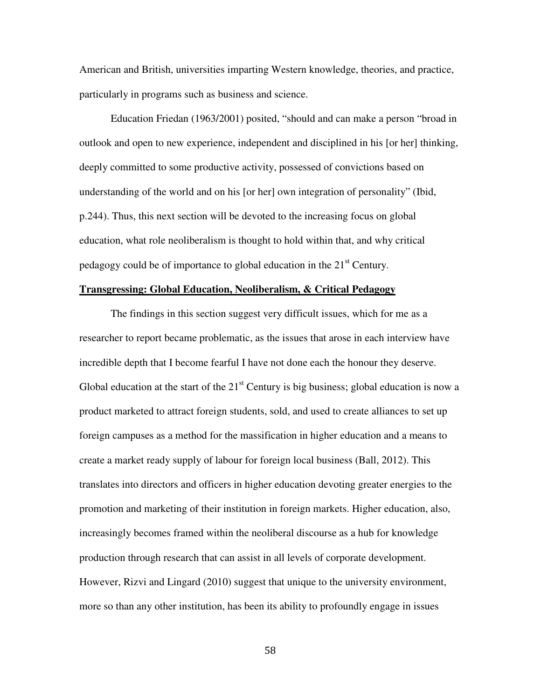American and British, universities imparting Western knowledge, theories, and practice, particularly in programs such as business and science.

Education Friedan (1963/2001) posited, "should and can make a person "broad in outlook and open to new experience, independent and disciplined in his [or her] thinking, deeply committed to some productive activity, possessed of convictions based on understanding of the world and on his [or her] own integration of personality" (Ibid, p.244). Thus, this next section will be devoted to the increasing focus on global education, what role neoliberalism is thought to hold within that, and why critical pedagogy could be of importance to global education in the  $21<sup>st</sup>$  Century.

# **Transgressing: Global Education, Neoliberalism, & Critical Pedagogy**

The findings in this section suggest very difficult issues, which for me as a researcher to report became problematic, as the issues that arose in each interview have incredible depth that I become fearful I have not done each the honour they deserve. Global education at the start of the  $21<sup>st</sup>$  Century is big business; global education is now a product marketed to attract foreign students, sold, and used to create alliances to set up foreign campuses as a method for the massification in higher education and a means to create a market ready supply of labour for foreign local business (Ball, 2012). This translates into directors and officers in higher education devoting greater energies to the promotion and marketing of their institution in foreign markets. Higher education, also, increasingly becomes framed within the neoliberal discourse as a hub for knowledge production through research that can assist in all levels of corporate development. However, Rizvi and Lingard (2010) suggest that unique to the university environment, more so than any other institution, has been its ability to profoundly engage in issues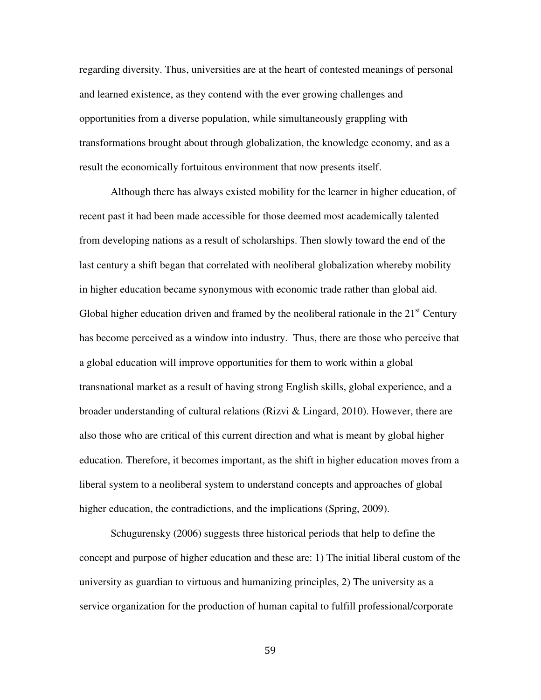regarding diversity. Thus, universities are at the heart of contested meanings of personal and learned existence, as they contend with the ever growing challenges and opportunities from a diverse population, while simultaneously grappling with transformations brought about through globalization, the knowledge economy, and as a result the economically fortuitous environment that now presents itself.

Although there has always existed mobility for the learner in higher education, of recent past it had been made accessible for those deemed most academically talented from developing nations as a result of scholarships. Then slowly toward the end of the last century a shift began that correlated with neoliberal globalization whereby mobility in higher education became synonymous with economic trade rather than global aid. Global higher education driven and framed by the neoliberal rationale in the  $21<sup>st</sup>$  Century has become perceived as a window into industry. Thus, there are those who perceive that a global education will improve opportunities for them to work within a global transnational market as a result of having strong English skills, global experience, and a broader understanding of cultural relations (Rizvi & Lingard, 2010). However, there are also those who are critical of this current direction and what is meant by global higher education. Therefore, it becomes important, as the shift in higher education moves from a liberal system to a neoliberal system to understand concepts and approaches of global higher education, the contradictions, and the implications (Spring, 2009).

Schugurensky (2006) suggests three historical periods that help to define the concept and purpose of higher education and these are: 1) The initial liberal custom of the university as guardian to virtuous and humanizing principles, 2) The university as a service organization for the production of human capital to fulfill professional/corporate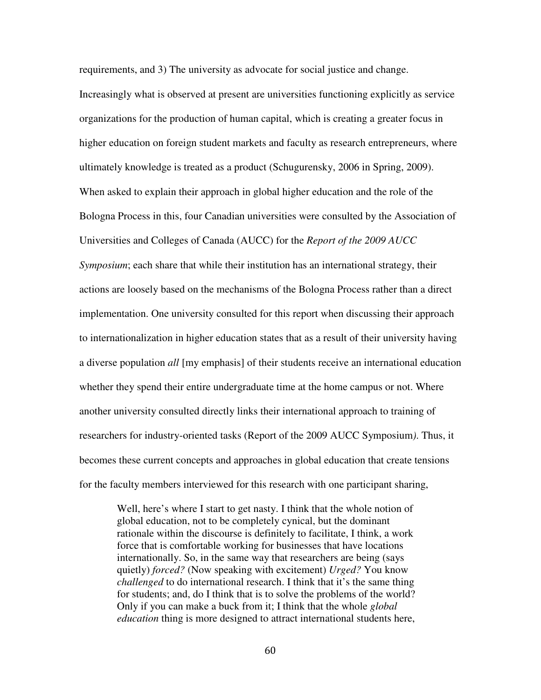requirements, and 3) The university as advocate for social justice and change. Increasingly what is observed at present are universities functioning explicitly as service organizations for the production of human capital, which is creating a greater focus in higher education on foreign student markets and faculty as research entrepreneurs, where ultimately knowledge is treated as a product (Schugurensky, 2006 in Spring, 2009). When asked to explain their approach in global higher education and the role of the Bologna Process in this, four Canadian universities were consulted by the Association of Universities and Colleges of Canada (AUCC) for the *Report of the 2009 AUCC Symposium*; each share that while their institution has an international strategy, their actions are loosely based on the mechanisms of the Bologna Process rather than a direct implementation. One university consulted for this report when discussing their approach to internationalization in higher education states that as a result of their university having a diverse population *all* [my emphasis] of their students receive an international education whether they spend their entire undergraduate time at the home campus or not. Where another university consulted directly links their international approach to training of researchers for industry-oriented tasks (Report of the 2009 AUCC Symposium*)*. Thus, it becomes these current concepts and approaches in global education that create tensions for the faculty members interviewed for this research with one participant sharing,

Well, here's where I start to get nasty. I think that the whole notion of global education, not to be completely cynical, but the dominant rationale within the discourse is definitely to facilitate, I think, a work force that is comfortable working for businesses that have locations internationally. So, in the same way that researchers are being (says quietly) *forced?* (Now speaking with excitement) *Urged?* You know *challenged* to do international research. I think that it's the same thing for students; and, do I think that is to solve the problems of the world? Only if you can make a buck from it; I think that the whole *global education* thing is more designed to attract international students here,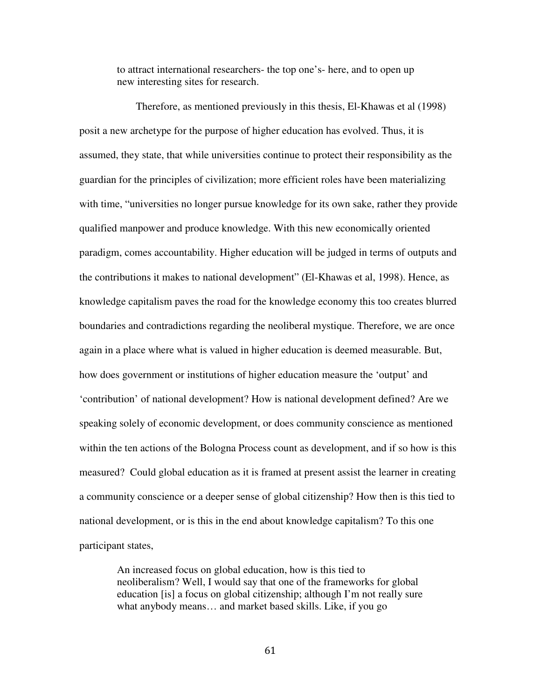to attract international researchers- the top one's- here, and to open up new interesting sites for research.

 Therefore, as mentioned previously in this thesis, El-Khawas et al (1998) posit a new archetype for the purpose of higher education has evolved. Thus, it is assumed, they state, that while universities continue to protect their responsibility as the guardian for the principles of civilization; more efficient roles have been materializing with time, "universities no longer pursue knowledge for its own sake, rather they provide qualified manpower and produce knowledge. With this new economically oriented paradigm, comes accountability. Higher education will be judged in terms of outputs and the contributions it makes to national development" (El-Khawas et al, 1998). Hence, as knowledge capitalism paves the road for the knowledge economy this too creates blurred boundaries and contradictions regarding the neoliberal mystique. Therefore, we are once again in a place where what is valued in higher education is deemed measurable. But, how does government or institutions of higher education measure the 'output' and 'contribution' of national development? How is national development defined? Are we speaking solely of economic development, or does community conscience as mentioned within the ten actions of the Bologna Process count as development, and if so how is this measured? Could global education as it is framed at present assist the learner in creating a community conscience or a deeper sense of global citizenship? How then is this tied to national development, or is this in the end about knowledge capitalism? To this one participant states,

An increased focus on global education, how is this tied to neoliberalism? Well, I would say that one of the frameworks for global education [is] a focus on global citizenship; although I'm not really sure what anybody means… and market based skills. Like, if you go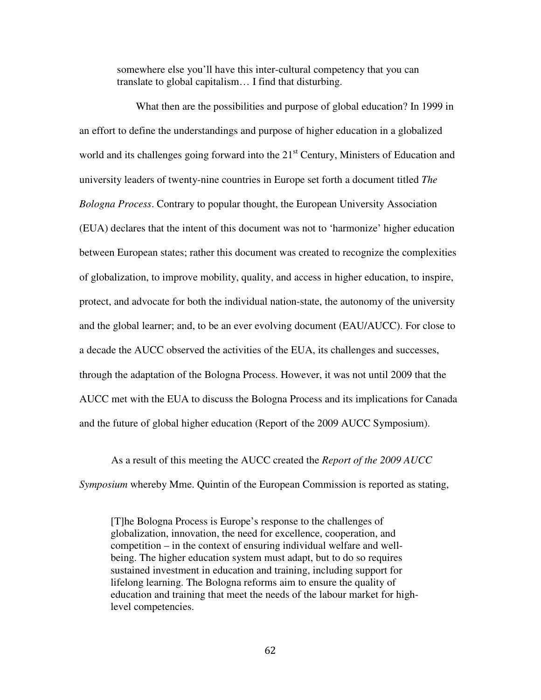somewhere else you'll have this inter-cultural competency that you can translate to global capitalism… I find that disturbing.

 What then are the possibilities and purpose of global education? In 1999 in an effort to define the understandings and purpose of higher education in a globalized world and its challenges going forward into the  $21<sup>st</sup>$  Century, Ministers of Education and university leaders of twenty-nine countries in Europe set forth a document titled *The Bologna Process*. Contrary to popular thought, the European University Association (EUA) declares that the intent of this document was not to 'harmonize' higher education between European states; rather this document was created to recognize the complexities of globalization, to improve mobility, quality, and access in higher education, to inspire, protect, and advocate for both the individual nation-state, the autonomy of the university and the global learner; and, to be an ever evolving document (EAU/AUCC). For close to a decade the AUCC observed the activities of the EUA, its challenges and successes, through the adaptation of the Bologna Process. However, it was not until 2009 that the AUCC met with the EUA to discuss the Bologna Process and its implications for Canada and the future of global higher education (Report of the 2009 AUCC Symposium).

 As a result of this meeting the AUCC created the *Report of the 2009 AUCC Symposium* whereby Mme. Quintin of the European Commission is reported as stating,

[T]he Bologna Process is Europe's response to the challenges of globalization, innovation, the need for excellence, cooperation, and competition – in the context of ensuring individual welfare and wellbeing. The higher education system must adapt, but to do so requires sustained investment in education and training, including support for lifelong learning. The Bologna reforms aim to ensure the quality of education and training that meet the needs of the labour market for highlevel competencies.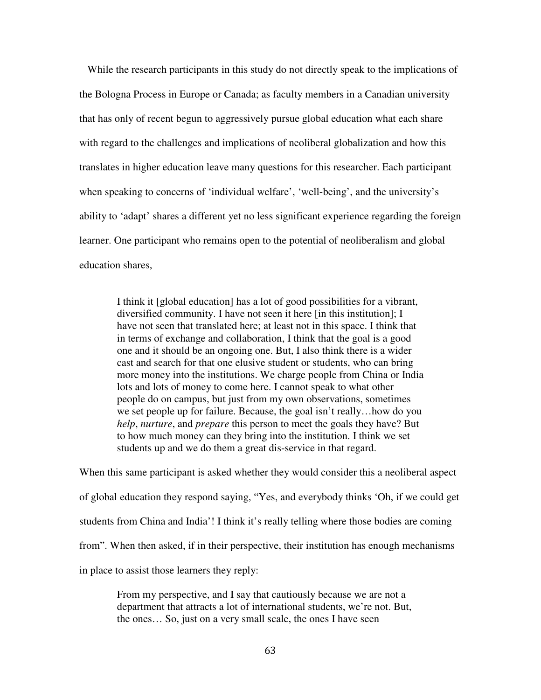While the research participants in this study do not directly speak to the implications of the Bologna Process in Europe or Canada; as faculty members in a Canadian university that has only of recent begun to aggressively pursue global education what each share with regard to the challenges and implications of neoliberal globalization and how this translates in higher education leave many questions for this researcher. Each participant when speaking to concerns of 'individual welfare', 'well-being', and the university's ability to 'adapt' shares a different yet no less significant experience regarding the foreign learner. One participant who remains open to the potential of neoliberalism and global education shares,

I think it [global education] has a lot of good possibilities for a vibrant, diversified community. I have not seen it here [in this institution]; I have not seen that translated here; at least not in this space. I think that in terms of exchange and collaboration, I think that the goal is a good one and it should be an ongoing one. But, I also think there is a wider cast and search for that one elusive student or students, who can bring more money into the institutions. We charge people from China or India lots and lots of money to come here. I cannot speak to what other people do on campus, but just from my own observations, sometimes we set people up for failure. Because, the goal isn't really…how do you *help*, *nurture*, and *prepare* this person to meet the goals they have? But to how much money can they bring into the institution. I think we set students up and we do them a great dis-service in that regard.

When this same participant is asked whether they would consider this a neoliberal aspect of global education they respond saying, "Yes, and everybody thinks 'Oh, if we could get students from China and India'! I think it's really telling where those bodies are coming from". When then asked, if in their perspective, their institution has enough mechanisms in place to assist those learners they reply:

From my perspective, and I say that cautiously because we are not a department that attracts a lot of international students, we're not. But, the ones… So, just on a very small scale, the ones I have seen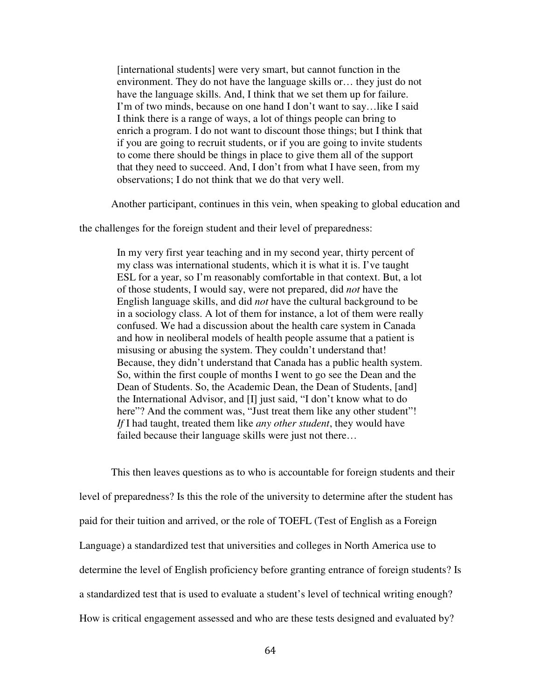[international students] were very smart, but cannot function in the environment. They do not have the language skills or… they just do not have the language skills. And, I think that we set them up for failure. I'm of two minds, because on one hand I don't want to say…like I said I think there is a range of ways, a lot of things people can bring to enrich a program. I do not want to discount those things; but I think that if you are going to recruit students, or if you are going to invite students to come there should be things in place to give them all of the support that they need to succeed. And, I don't from what I have seen, from my observations; I do not think that we do that very well.

Another participant, continues in this vein, when speaking to global education and

the challenges for the foreign student and their level of preparedness:

In my very first year teaching and in my second year, thirty percent of my class was international students, which it is what it is. I've taught ESL for a year, so I'm reasonably comfortable in that context. But, a lot of those students, I would say, were not prepared, did *not* have the English language skills, and did *not* have the cultural background to be in a sociology class. A lot of them for instance, a lot of them were really confused. We had a discussion about the health care system in Canada and how in neoliberal models of health people assume that a patient is misusing or abusing the system. They couldn't understand that! Because, they didn't understand that Canada has a public health system. So, within the first couple of months I went to go see the Dean and the Dean of Students. So, the Academic Dean, the Dean of Students, [and] the International Advisor, and [I] just said, "I don't know what to do here"? And the comment was, "Just treat them like any other student"! *If* I had taught, treated them like *any other student*, they would have failed because their language skills were just not there...

This then leaves questions as to who is accountable for foreign students and their level of preparedness? Is this the role of the university to determine after the student has paid for their tuition and arrived, or the role of TOEFL (Test of English as a Foreign Language) a standardized test that universities and colleges in North America use to determine the level of English proficiency before granting entrance of foreign students? Is a standardized test that is used to evaluate a student's level of technical writing enough? How is critical engagement assessed and who are these tests designed and evaluated by?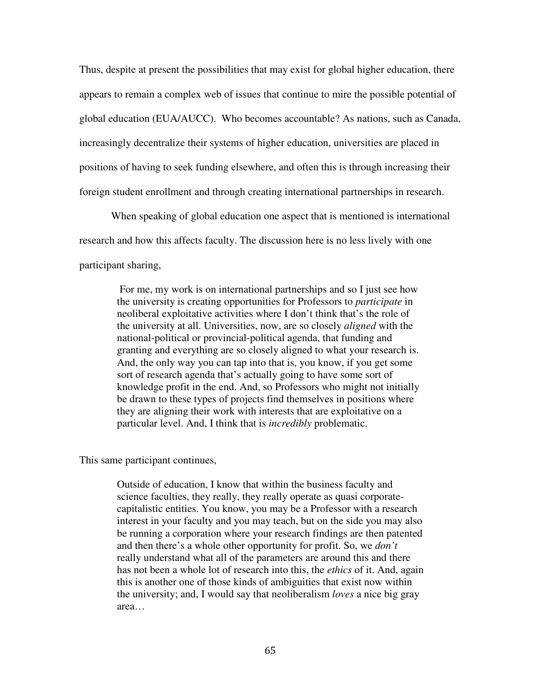Thus, despite at present the possibilities that may exist for global higher education, there appears to remain a complex web of issues that continue to mire the possible potential of global education (EUA/AUCC). Who becomes accountable? As nations, such as Canada, increasingly decentralize their systems of higher education, universities are placed in positions of having to seek funding elsewhere, and often this is through increasing their foreign student enrollment and through creating international partnerships in research.

When speaking of global education one aspect that is mentioned is international research and how this affects faculty. The discussion here is no less lively with one participant sharing,

 For me, my work is on international partnerships and so I just see how the university is creating opportunities for Professors to *participate* in neoliberal exploitative activities where I don't think that's the role of the university at all. Universities, now, are so closely *aligned* with the national-political or provincial-political agenda, that funding and granting and everything are so closely aligned to what your research is. And, the only way you can tap into that is, you know, if you get some sort of research agenda that's actually going to have some sort of knowledge profit in the end. And, so Professors who might not initially be drawn to these types of projects find themselves in positions where they are aligning their work with interests that are exploitative on a particular level. And, I think that is *incredibly* problematic.

This same participant continues,

Outside of education, I know that within the business faculty and science faculties, they really, they really operate as quasi corporatecapitalistic entities. You know, you may be a Professor with a research interest in your faculty and you may teach, but on the side you may also be running a corporation where your research findings are then patented and then there's a whole other opportunity for profit. So, we *don't*  really understand what all of the parameters are around this and there has not been a whole lot of research into this, the *ethics* of it. And, again this is another one of those kinds of ambiguities that exist now within the university; and, I would say that neoliberalism *loves* a nice big gray area…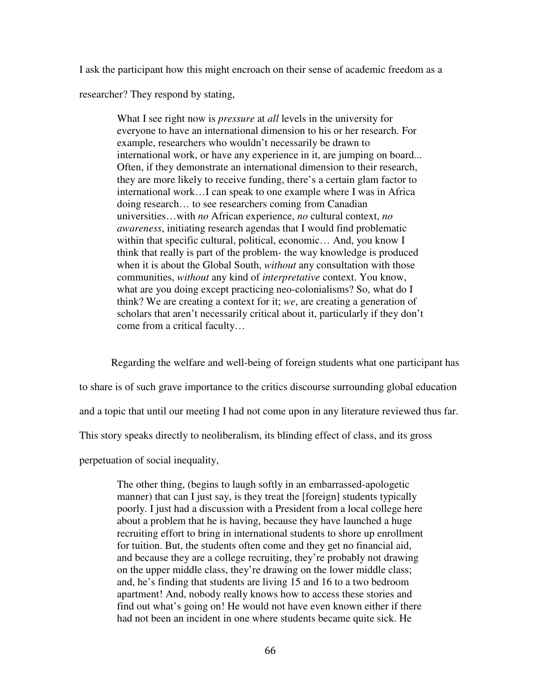I ask the participant how this might encroach on their sense of academic freedom as a

researcher? They respond by stating,

What I see right now is *pressure* at *all* levels in the university for everyone to have an international dimension to his or her research. For example, researchers who wouldn't necessarily be drawn to international work, or have any experience in it, are jumping on board... Often, if they demonstrate an international dimension to their research, they are more likely to receive funding, there's a certain glam factor to international work…I can speak to one example where I was in Africa doing research… to see researchers coming from Canadian universities…with *no* African experience, *no* cultural context, *no awareness*, initiating research agendas that I would find problematic within that specific cultural, political, economic... And, you know I think that really is part of the problem- the way knowledge is produced when it is about the Global South, *without* any consultation with those communities, *without* any kind of *interpretative* context. You know, what are you doing except practicing neo-colonialisms? So, what do I think? We are creating a context for it; *we*, are creating a generation of scholars that aren't necessarily critical about it, particularly if they don't come from a critical faculty…

Regarding the welfare and well-being of foreign students what one participant has to share is of such grave importance to the critics discourse surrounding global education and a topic that until our meeting I had not come upon in any literature reviewed thus far. This story speaks directly to neoliberalism, its blinding effect of class, and its gross perpetuation of social inequality,

The other thing, (begins to laugh softly in an embarrassed-apologetic manner) that can I just say, is they treat the [foreign] students typically poorly. I just had a discussion with a President from a local college here about a problem that he is having, because they have launched a huge recruiting effort to bring in international students to shore up enrollment for tuition. But, the students often come and they get no financial aid, and because they are a college recruiting, they're probably not drawing on the upper middle class, they're drawing on the lower middle class; and, he's finding that students are living 15 and 16 to a two bedroom apartment! And, nobody really knows how to access these stories and find out what's going on! He would not have even known either if there had not been an incident in one where students became quite sick. He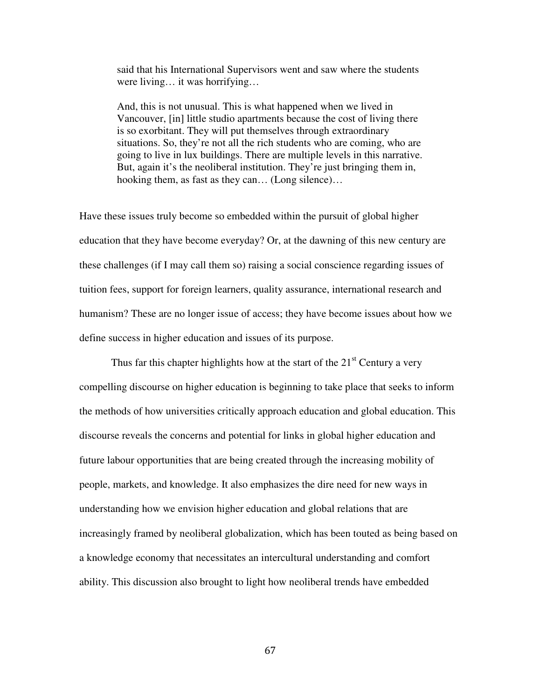said that his International Supervisors went and saw where the students were living… it was horrifying…

And, this is not unusual. This is what happened when we lived in Vancouver, [in] little studio apartments because the cost of living there is so exorbitant. They will put themselves through extraordinary situations. So, they're not all the rich students who are coming, who are going to live in lux buildings. There are multiple levels in this narrative. But, again it's the neoliberal institution. They're just bringing them in, hooking them, as fast as they can… (Long silence)…

Have these issues truly become so embedded within the pursuit of global higher education that they have become everyday? Or, at the dawning of this new century are these challenges (if I may call them so) raising a social conscience regarding issues of tuition fees, support for foreign learners, quality assurance, international research and humanism? These are no longer issue of access; they have become issues about how we define success in higher education and issues of its purpose.

Thus far this chapter highlights how at the start of the  $21<sup>st</sup>$  Century a very compelling discourse on higher education is beginning to take place that seeks to inform the methods of how universities critically approach education and global education. This discourse reveals the concerns and potential for links in global higher education and future labour opportunities that are being created through the increasing mobility of people, markets, and knowledge. It also emphasizes the dire need for new ways in understanding how we envision higher education and global relations that are increasingly framed by neoliberal globalization, which has been touted as being based on a knowledge economy that necessitates an intercultural understanding and comfort ability. This discussion also brought to light how neoliberal trends have embedded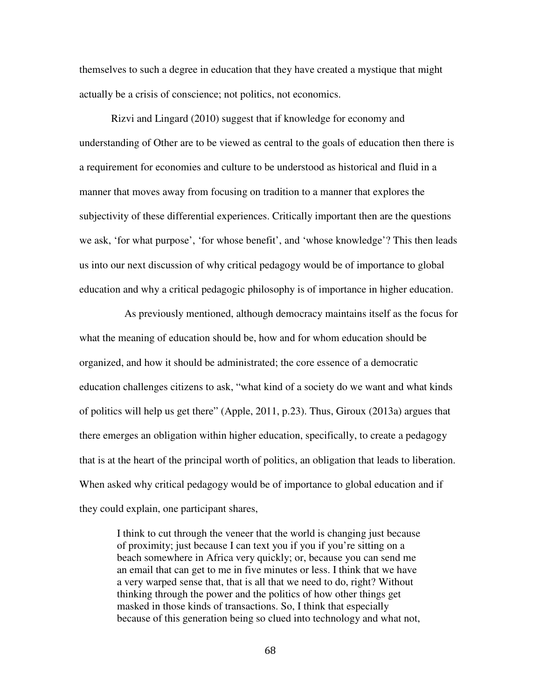themselves to such a degree in education that they have created a mystique that might actually be a crisis of conscience; not politics, not economics.

Rizvi and Lingard (2010) suggest that if knowledge for economy and understanding of Other are to be viewed as central to the goals of education then there is a requirement for economies and culture to be understood as historical and fluid in a manner that moves away from focusing on tradition to a manner that explores the subjectivity of these differential experiences. Critically important then are the questions we ask, 'for what purpose', 'for whose benefit', and 'whose knowledge'? This then leads us into our next discussion of why critical pedagogy would be of importance to global education and why a critical pedagogic philosophy is of importance in higher education.

 As previously mentioned, although democracy maintains itself as the focus for what the meaning of education should be, how and for whom education should be organized, and how it should be administrated; the core essence of a democratic education challenges citizens to ask, "what kind of a society do we want and what kinds of politics will help us get there" (Apple, 2011, p.23). Thus, Giroux (2013a) argues that there emerges an obligation within higher education, specifically, to create a pedagogy that is at the heart of the principal worth of politics, an obligation that leads to liberation. When asked why critical pedagogy would be of importance to global education and if they could explain, one participant shares,

I think to cut through the veneer that the world is changing just because of proximity; just because I can text you if you if you're sitting on a beach somewhere in Africa very quickly; or, because you can send me an email that can get to me in five minutes or less. I think that we have a very warped sense that, that is all that we need to do, right? Without thinking through the power and the politics of how other things get masked in those kinds of transactions. So, I think that especially because of this generation being so clued into technology and what not,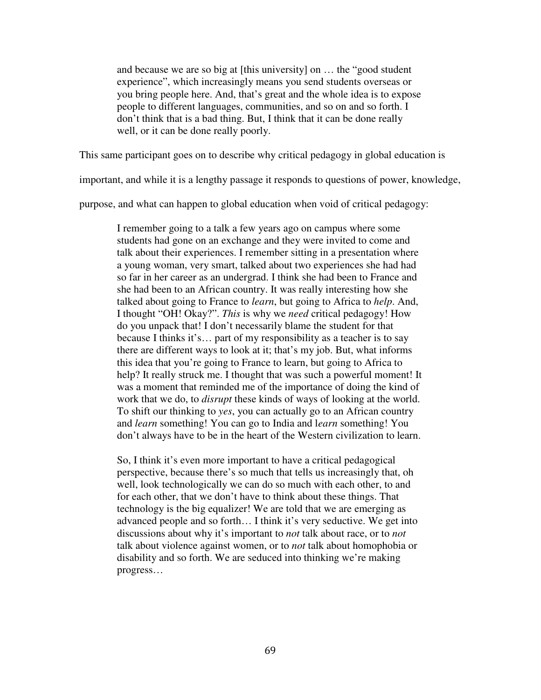and because we are so big at [this university] on … the "good student experience", which increasingly means you send students overseas or you bring people here. And, that's great and the whole idea is to expose people to different languages, communities, and so on and so forth. I don't think that is a bad thing. But, I think that it can be done really well, or it can be done really poorly.

This same participant goes on to describe why critical pedagogy in global education is

important, and while it is a lengthy passage it responds to questions of power, knowledge,

purpose, and what can happen to global education when void of critical pedagogy:

I remember going to a talk a few years ago on campus where some students had gone on an exchange and they were invited to come and talk about their experiences. I remember sitting in a presentation where a young woman, very smart, talked about two experiences she had had so far in her career as an undergrad. I think she had been to France and she had been to an African country. It was really interesting how she talked about going to France to *learn*, but going to Africa to *help*. And, I thought "OH! Okay?". *This* is why we *need* critical pedagogy! How do you unpack that! I don't necessarily blame the student for that because I thinks it's… part of my responsibility as a teacher is to say there are different ways to look at it; that's my job. But, what informs this idea that you're going to France to learn, but going to Africa to help? It really struck me. I thought that was such a powerful moment! It was a moment that reminded me of the importance of doing the kind of work that we do, to *disrupt* these kinds of ways of looking at the world. To shift our thinking to *yes*, you can actually go to an African country and *learn* something! You can go to India and l*earn* something! You don't always have to be in the heart of the Western civilization to learn.

So, I think it's even more important to have a critical pedagogical perspective, because there's so much that tells us increasingly that, oh well, look technologically we can do so much with each other, to and for each other, that we don't have to think about these things. That technology is the big equalizer! We are told that we are emerging as advanced people and so forth… I think it's very seductive. We get into discussions about why it's important to *not* talk about race, or to *not* talk about violence against women, or to *not* talk about homophobia or disability and so forth. We are seduced into thinking we're making progress…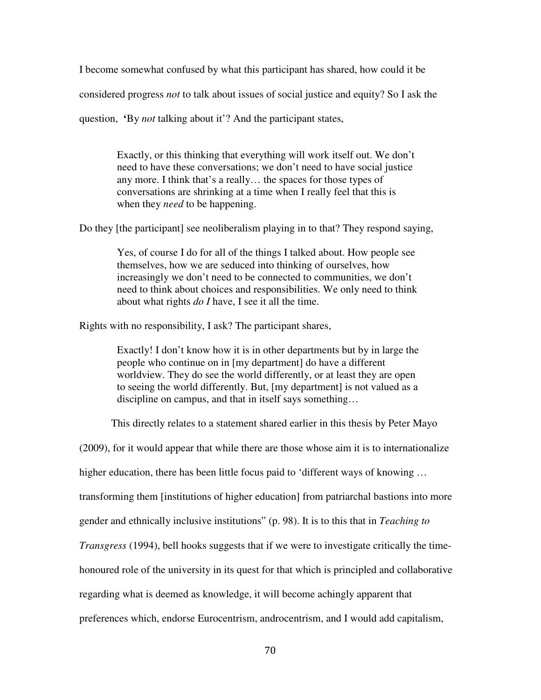I become somewhat confused by what this participant has shared, how could it be

considered progress *not* to talk about issues of social justice and equity? So I ask the

question, **'**By *not* talking about it'? And the participant states,

Exactly, or this thinking that everything will work itself out. We don't need to have these conversations; we don't need to have social justice any more. I think that's a really… the spaces for those types of conversations are shrinking at a time when I really feel that this is when they *need* to be happening.

Do they [the participant] see neoliberalism playing in to that? They respond saying,

Yes, of course I do for all of the things I talked about. How people see themselves, how we are seduced into thinking of ourselves, how increasingly we don't need to be connected to communities, we don't need to think about choices and responsibilities. We only need to think about what rights *do I* have, I see it all the time.

Rights with no responsibility, I ask? The participant shares,

Exactly! I don't know how it is in other departments but by in large the people who continue on in [my department] do have a different worldview. They do see the world differently, or at least they are open to seeing the world differently. But, [my department] is not valued as a discipline on campus, and that in itself says something…

This directly relates to a statement shared earlier in this thesis by Peter Mayo

(2009), for it would appear that while there are those whose aim it is to internationalize

higher education, there has been little focus paid to 'different ways of knowing ...

transforming them [institutions of higher education] from patriarchal bastions into more

gender and ethnically inclusive institutions" (p. 98). It is to this that in *Teaching to* 

*Transgress* (1994), bell hooks suggests that if we were to investigate critically the time-

honoured role of the university in its quest for that which is principled and collaborative

regarding what is deemed as knowledge, it will become achingly apparent that

preferences which, endorse Eurocentrism, androcentrism, and I would add capitalism,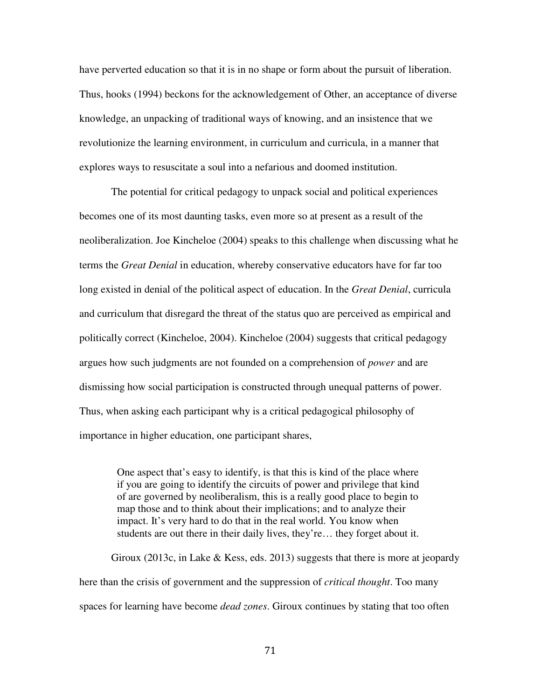have perverted education so that it is in no shape or form about the pursuit of liberation. Thus, hooks (1994) beckons for the acknowledgement of Other, an acceptance of diverse knowledge, an unpacking of traditional ways of knowing, and an insistence that we revolutionize the learning environment, in curriculum and curricula, in a manner that explores ways to resuscitate a soul into a nefarious and doomed institution.

The potential for critical pedagogy to unpack social and political experiences becomes one of its most daunting tasks, even more so at present as a result of the neoliberalization. Joe Kincheloe (2004) speaks to this challenge when discussing what he terms the *Great Denial* in education, whereby conservative educators have for far too long existed in denial of the political aspect of education. In the *Great Denial*, curricula and curriculum that disregard the threat of the status quo are perceived as empirical and politically correct (Kincheloe, 2004). Kincheloe (2004) suggests that critical pedagogy argues how such judgments are not founded on a comprehension of *power* and are dismissing how social participation is constructed through unequal patterns of power. Thus, when asking each participant why is a critical pedagogical philosophy of importance in higher education, one participant shares,

One aspect that's easy to identify, is that this is kind of the place where if you are going to identify the circuits of power and privilege that kind of are governed by neoliberalism, this is a really good place to begin to map those and to think about their implications; and to analyze their impact. It's very hard to do that in the real world. You know when students are out there in their daily lives, they're… they forget about it.

Giroux (2013c, in Lake & Kess, eds. 2013) suggests that there is more at jeopardy here than the crisis of government and the suppression of *critical thought*. Too many spaces for learning have become *dead zones*. Giroux continues by stating that too often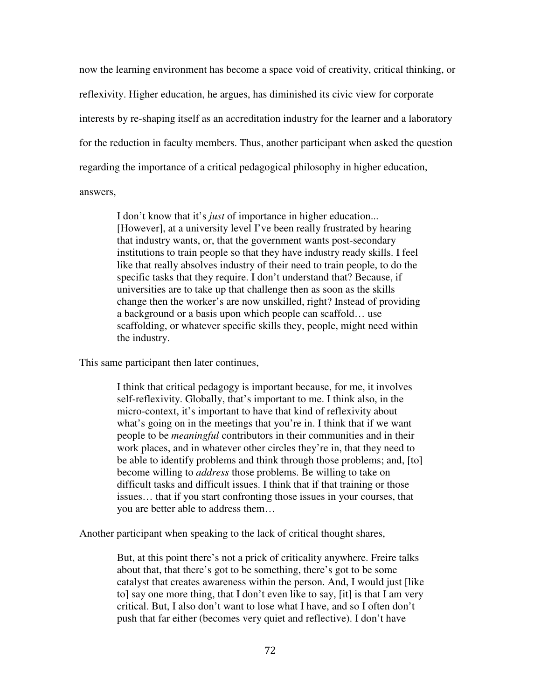now the learning environment has become a space void of creativity, critical thinking, or reflexivity. Higher education, he argues, has diminished its civic view for corporate interests by re-shaping itself as an accreditation industry for the learner and a laboratory for the reduction in faculty members. Thus, another participant when asked the question regarding the importance of a critical pedagogical philosophy in higher education, answers,

I don't know that it's *just* of importance in higher education... [However], at a university level I've been really frustrated by hearing that industry wants, or, that the government wants post-secondary institutions to train people so that they have industry ready skills. I feel like that really absolves industry of their need to train people, to do the specific tasks that they require. I don't understand that? Because, if universities are to take up that challenge then as soon as the skills change then the worker's are now unskilled, right? Instead of providing a background or a basis upon which people can scaffold… use scaffolding, or whatever specific skills they, people, might need within the industry.

This same participant then later continues,

I think that critical pedagogy is important because, for me, it involves self-reflexivity. Globally, that's important to me. I think also, in the micro-context, it's important to have that kind of reflexivity about what's going on in the meetings that you're in. I think that if we want people to be *meaningful* contributors in their communities and in their work places, and in whatever other circles they're in, that they need to be able to identify problems and think through those problems; and, [to] become willing to *address* those problems. Be willing to take on difficult tasks and difficult issues. I think that if that training or those issues… that if you start confronting those issues in your courses, that you are better able to address them…

Another participant when speaking to the lack of critical thought shares,

But, at this point there's not a prick of criticality anywhere. Freire talks about that, that there's got to be something, there's got to be some catalyst that creates awareness within the person. And, I would just [like to] say one more thing, that I don't even like to say, [it] is that I am very critical. But, I also don't want to lose what I have, and so I often don't push that far either (becomes very quiet and reflective). I don't have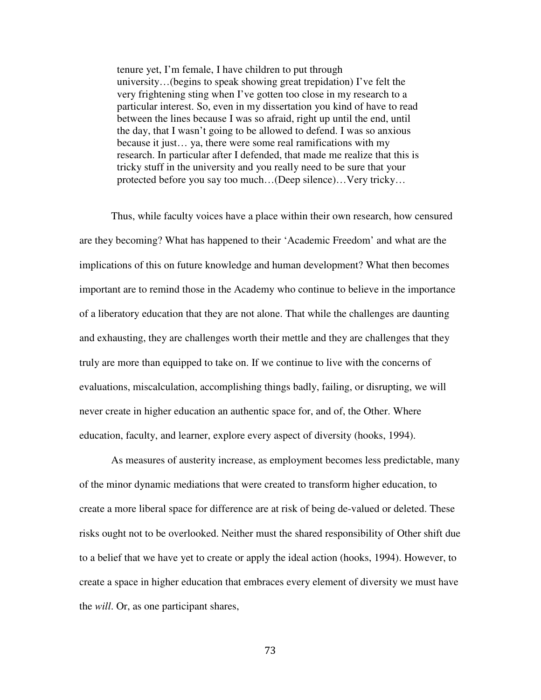tenure yet, I'm female, I have children to put through university…(begins to speak showing great trepidation) I've felt the very frightening sting when I've gotten too close in my research to a particular interest. So, even in my dissertation you kind of have to read between the lines because I was so afraid, right up until the end, until the day, that I wasn't going to be allowed to defend. I was so anxious because it just… ya, there were some real ramifications with my research. In particular after I defended, that made me realize that this is tricky stuff in the university and you really need to be sure that your protected before you say too much…(Deep silence)…Very tricky…

Thus, while faculty voices have a place within their own research, how censured are they becoming? What has happened to their 'Academic Freedom' and what are the implications of this on future knowledge and human development? What then becomes important are to remind those in the Academy who continue to believe in the importance of a liberatory education that they are not alone. That while the challenges are daunting and exhausting, they are challenges worth their mettle and they are challenges that they truly are more than equipped to take on. If we continue to live with the concerns of evaluations, miscalculation, accomplishing things badly, failing, or disrupting, we will never create in higher education an authentic space for, and of, the Other. Where education, faculty, and learner, explore every aspect of diversity (hooks, 1994).

As measures of austerity increase, as employment becomes less predictable, many of the minor dynamic mediations that were created to transform higher education, to create a more liberal space for difference are at risk of being de-valued or deleted. These risks ought not to be overlooked. Neither must the shared responsibility of Other shift due to a belief that we have yet to create or apply the ideal action (hooks, 1994). However, to create a space in higher education that embraces every element of diversity we must have the *will*. Or, as one participant shares,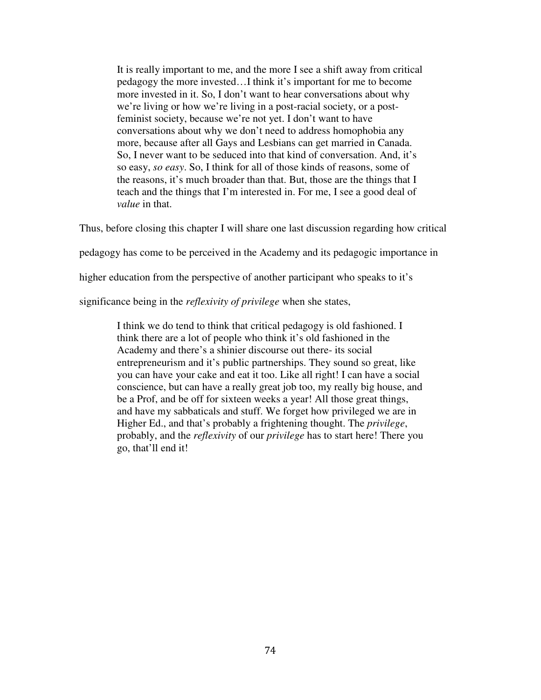It is really important to me, and the more I see a shift away from critical pedagogy the more invested…I think it's important for me to become more invested in it. So, I don't want to hear conversations about why we're living or how we're living in a post-racial society, or a postfeminist society, because we're not yet. I don't want to have conversations about why we don't need to address homophobia any more, because after all Gays and Lesbians can get married in Canada. So, I never want to be seduced into that kind of conversation. And, it's so easy, *so easy*. So, I think for all of those kinds of reasons, some of the reasons, it's much broader than that. But, those are the things that I teach and the things that I'm interested in. For me, I see a good deal of *value* in that.

Thus, before closing this chapter I will share one last discussion regarding how critical

pedagogy has come to be perceived in the Academy and its pedagogic importance in

higher education from the perspective of another participant who speaks to it's

significance being in the *reflexivity of privilege* when she states,

I think we do tend to think that critical pedagogy is old fashioned. I think there are a lot of people who think it's old fashioned in the Academy and there's a shinier discourse out there- its social entrepreneurism and it's public partnerships. They sound so great, like you can have your cake and eat it too. Like all right! I can have a social conscience, but can have a really great job too, my really big house, and be a Prof, and be off for sixteen weeks a year! All those great things, and have my sabbaticals and stuff. We forget how privileged we are in Higher Ed., and that's probably a frightening thought. The *privilege*, probably, and the *reflexivity* of our *privilege* has to start here! There you go, that'll end it!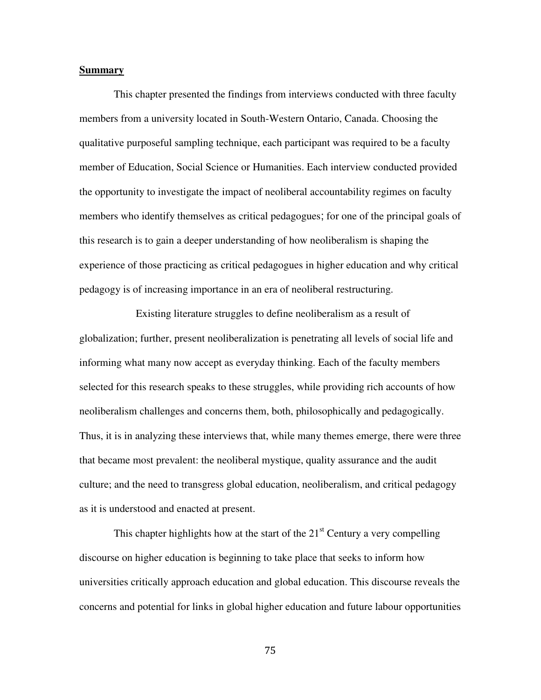#### **Summary**

 This chapter presented the findings from interviews conducted with three faculty members from a university located in South-Western Ontario, Canada. Choosing the qualitative purposeful sampling technique, each participant was required to be a faculty member of Education, Social Science or Humanities. Each interview conducted provided the opportunity to investigate the impact of neoliberal accountability regimes on faculty members who identify themselves as critical pedagogues; for one of the principal goals of this research is to gain a deeper understanding of how neoliberalism is shaping the experience of those practicing as critical pedagogues in higher education and why critical pedagogy is of increasing importance in an era of neoliberal restructuring.

 Existing literature struggles to define neoliberalism as a result of globalization; further, present neoliberalization is penetrating all levels of social life and informing what many now accept as everyday thinking. Each of the faculty members selected for this research speaks to these struggles, while providing rich accounts of how neoliberalism challenges and concerns them, both, philosophically and pedagogically. Thus, it is in analyzing these interviews that, while many themes emerge, there were three that became most prevalent: the neoliberal mystique, quality assurance and the audit culture; and the need to transgress global education, neoliberalism, and critical pedagogy as it is understood and enacted at present.

This chapter highlights how at the start of the  $21<sup>st</sup>$  Century a very compelling discourse on higher education is beginning to take place that seeks to inform how universities critically approach education and global education. This discourse reveals the concerns and potential for links in global higher education and future labour opportunities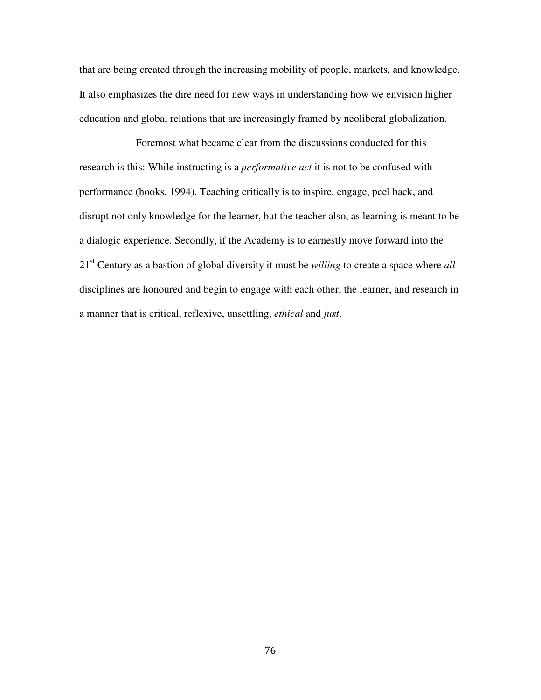that are being created through the increasing mobility of people, markets, and knowledge. It also emphasizes the dire need for new ways in understanding how we envision higher education and global relations that are increasingly framed by neoliberal globalization.

 Foremost what became clear from the discussions conducted for this research is this: While instructing is a *performative act* it is not to be confused with performance (hooks, 1994). Teaching critically is to inspire, engage, peel back, and disrupt not only knowledge for the learner, but the teacher also, as learning is meant to be a dialogic experience. Secondly, if the Academy is to earnestly move forward into the 21st Century as a bastion of global diversity it must be *willing* to create a space where *all*  disciplines are honoured and begin to engage with each other, the learner, and research in a manner that is critical, reflexive, unsettling, *ethical* and *just*.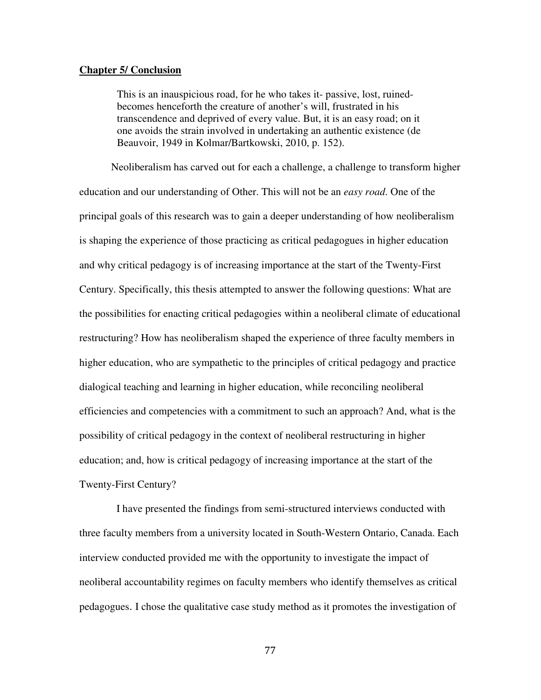#### **Chapter 5/ Conclusion**

This is an inauspicious road, for he who takes it- passive, lost, ruinedbecomes henceforth the creature of another's will, frustrated in his transcendence and deprived of every value. But, it is an easy road; on it one avoids the strain involved in undertaking an authentic existence (de Beauvoir, 1949 in Kolmar/Bartkowski, 2010, p. 152).

Neoliberalism has carved out for each a challenge, a challenge to transform higher education and our understanding of Other. This will not be an *easy road*. One of the principal goals of this research was to gain a deeper understanding of how neoliberalism is shaping the experience of those practicing as critical pedagogues in higher education and why critical pedagogy is of increasing importance at the start of the Twenty-First Century. Specifically, this thesis attempted to answer the following questions: What are the possibilities for enacting critical pedagogies within a neoliberal climate of educational restructuring? How has neoliberalism shaped the experience of three faculty members in higher education, who are sympathetic to the principles of critical pedagogy and practice dialogical teaching and learning in higher education, while reconciling neoliberal efficiencies and competencies with a commitment to such an approach? And, what is the possibility of critical pedagogy in the context of neoliberal restructuring in higher education; and, how is critical pedagogy of increasing importance at the start of the Twenty-First Century?

 I have presented the findings from semi-structured interviews conducted with three faculty members from a university located in South-Western Ontario, Canada. Each interview conducted provided me with the opportunity to investigate the impact of neoliberal accountability regimes on faculty members who identify themselves as critical pedagogues. I chose the qualitative case study method as it promotes the investigation of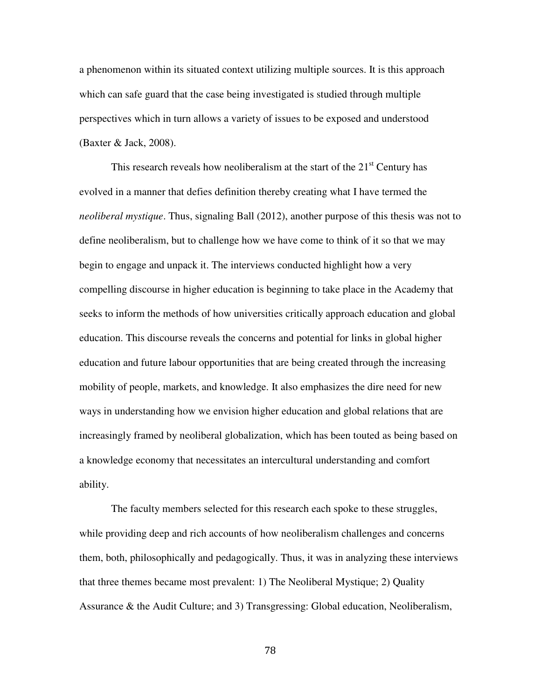a phenomenon within its situated context utilizing multiple sources. It is this approach which can safe guard that the case being investigated is studied through multiple perspectives which in turn allows a variety of issues to be exposed and understood (Baxter & Jack, 2008).

This research reveals how neoliberalism at the start of the  $21<sup>st</sup>$  Century has evolved in a manner that defies definition thereby creating what I have termed the *neoliberal mystique*. Thus, signaling Ball (2012), another purpose of this thesis was not to define neoliberalism, but to challenge how we have come to think of it so that we may begin to engage and unpack it. The interviews conducted highlight how a very compelling discourse in higher education is beginning to take place in the Academy that seeks to inform the methods of how universities critically approach education and global education. This discourse reveals the concerns and potential for links in global higher education and future labour opportunities that are being created through the increasing mobility of people, markets, and knowledge. It also emphasizes the dire need for new ways in understanding how we envision higher education and global relations that are increasingly framed by neoliberal globalization, which has been touted as being based on a knowledge economy that necessitates an intercultural understanding and comfort ability.

The faculty members selected for this research each spoke to these struggles, while providing deep and rich accounts of how neoliberalism challenges and concerns them, both, philosophically and pedagogically. Thus, it was in analyzing these interviews that three themes became most prevalent: 1) The Neoliberal Mystique; 2) Quality Assurance & the Audit Culture; and 3) Transgressing: Global education, Neoliberalism,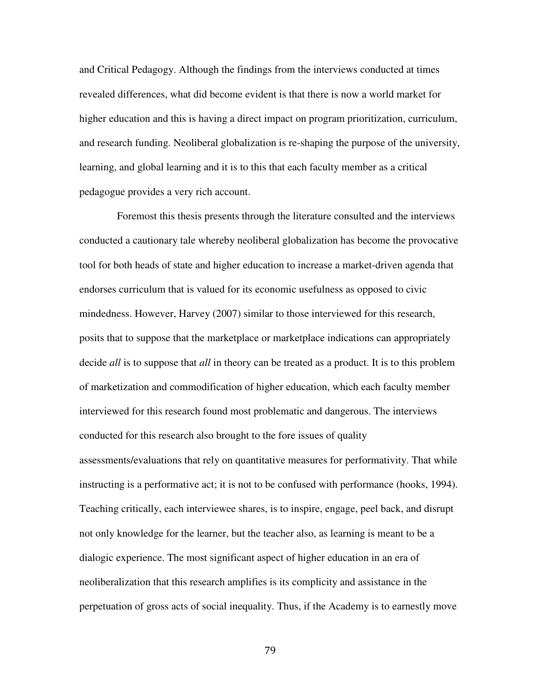and Critical Pedagogy. Although the findings from the interviews conducted at times revealed differences, what did become evident is that there is now a world market for higher education and this is having a direct impact on program prioritization, curriculum, and research funding. Neoliberal globalization is re-shaping the purpose of the university, learning, and global learning and it is to this that each faculty member as a critical pedagogue provides a very rich account.

Foremost this thesis presents through the literature consulted and the interviews conducted a cautionary tale whereby neoliberal globalization has become the provocative tool for both heads of state and higher education to increase a market-driven agenda that endorses curriculum that is valued for its economic usefulness as opposed to civic mindedness. However, Harvey (2007) similar to those interviewed for this research, posits that to suppose that the marketplace or marketplace indications can appropriately decide *all* is to suppose that *all* in theory can be treated as a product. It is to this problem of marketization and commodification of higher education, which each faculty member interviewed for this research found most problematic and dangerous. The interviews conducted for this research also brought to the fore issues of quality assessments/evaluations that rely on quantitative measures for performativity. That while instructing is a performative act; it is not to be confused with performance (hooks, 1994). Teaching critically, each interviewee shares, is to inspire, engage, peel back, and disrupt not only knowledge for the learner, but the teacher also, as learning is meant to be a dialogic experience. The most significant aspect of higher education in an era of neoliberalization that this research amplifies is its complicity and assistance in the perpetuation of gross acts of social inequality. Thus, if the Academy is to earnestly move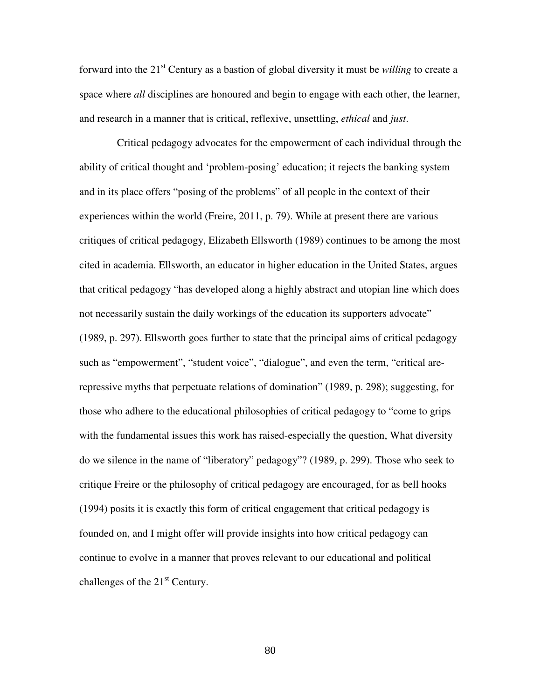forward into the 21<sup>st</sup> Century as a bastion of global diversity it must be *willing* to create a space where *all* disciplines are honoured and begin to engage with each other, the learner, and research in a manner that is critical, reflexive, unsettling, *ethical* and *just*.

Critical pedagogy advocates for the empowerment of each individual through the ability of critical thought and 'problem-posing' education; it rejects the banking system and in its place offers "posing of the problems" of all people in the context of their experiences within the world (Freire, 2011, p. 79). While at present there are various critiques of critical pedagogy, Elizabeth Ellsworth (1989) continues to be among the most cited in academia. Ellsworth, an educator in higher education in the United States, argues that critical pedagogy "has developed along a highly abstract and utopian line which does not necessarily sustain the daily workings of the education its supporters advocate" (1989, p. 297). Ellsworth goes further to state that the principal aims of critical pedagogy such as "empowerment", "student voice", "dialogue", and even the term, "critical arerepressive myths that perpetuate relations of domination" (1989, p. 298); suggesting, for those who adhere to the educational philosophies of critical pedagogy to "come to grips with the fundamental issues this work has raised-especially the question, What diversity do we silence in the name of "liberatory" pedagogy"? (1989, p. 299). Those who seek to critique Freire or the philosophy of critical pedagogy are encouraged, for as bell hooks (1994) posits it is exactly this form of critical engagement that critical pedagogy is founded on, and I might offer will provide insights into how critical pedagogy can continue to evolve in a manner that proves relevant to our educational and political challenges of the  $21<sup>st</sup>$  Century.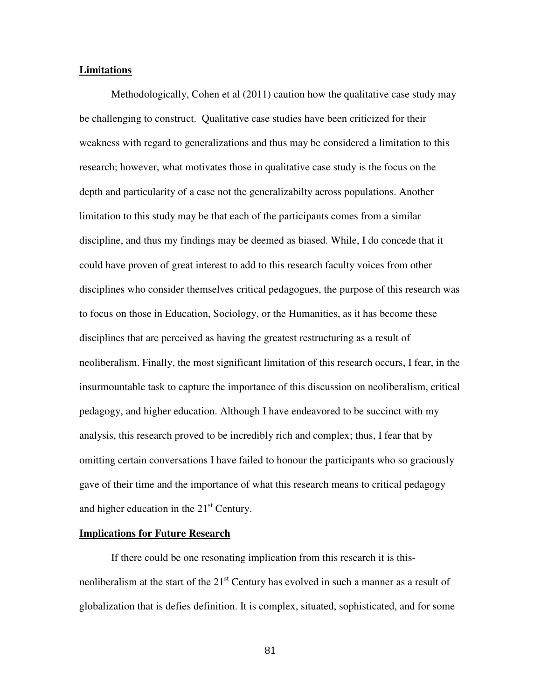#### **Limitations**

Methodologically, Cohen et al (2011) caution how the qualitative case study may be challenging to construct. Qualitative case studies have been criticized for their weakness with regard to generalizations and thus may be considered a limitation to this research; however, what motivates those in qualitative case study is the focus on the depth and particularity of a case not the generalizabilty across populations. Another limitation to this study may be that each of the participants comes from a similar discipline, and thus my findings may be deemed as biased. While, I do concede that it could have proven of great interest to add to this research faculty voices from other disciplines who consider themselves critical pedagogues, the purpose of this research was to focus on those in Education, Sociology, or the Humanities, as it has become these disciplines that are perceived as having the greatest restructuring as a result of neoliberalism. Finally, the most significant limitation of this research occurs, I fear, in the insurmountable task to capture the importance of this discussion on neoliberalism, critical pedagogy, and higher education. Although I have endeavored to be succinct with my analysis, this research proved to be incredibly rich and complex; thus, I fear that by omitting certain conversations I have failed to honour the participants who so graciously gave of their time and the importance of what this research means to critical pedagogy and higher education in the  $21<sup>st</sup>$  Century.

#### **Implications for Future Research**

 If there could be one resonating implication from this research it is thisneoliberalism at the start of the  $21<sup>st</sup>$  Century has evolved in such a manner as a result of globalization that is defies definition. It is complex, situated, sophisticated, and for some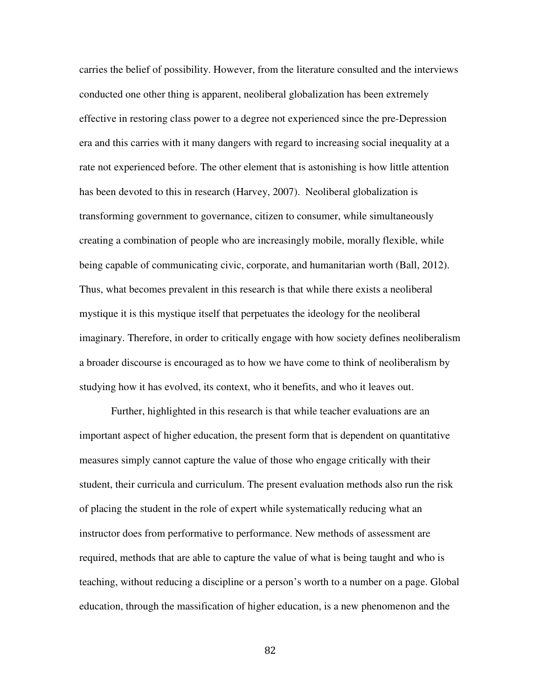carries the belief of possibility. However, from the literature consulted and the interviews conducted one other thing is apparent, neoliberal globalization has been extremely effective in restoring class power to a degree not experienced since the pre-Depression era and this carries with it many dangers with regard to increasing social inequality at a rate not experienced before. The other element that is astonishing is how little attention has been devoted to this in research (Harvey, 2007). Neoliberal globalization is transforming government to governance, citizen to consumer, while simultaneously creating a combination of people who are increasingly mobile, morally flexible, while being capable of communicating civic, corporate, and humanitarian worth (Ball, 2012). Thus, what becomes prevalent in this research is that while there exists a neoliberal mystique it is this mystique itself that perpetuates the ideology for the neoliberal imaginary. Therefore, in order to critically engage with how society defines neoliberalism a broader discourse is encouraged as to how we have come to think of neoliberalism by studying how it has evolved, its context, who it benefits, and who it leaves out.

 Further, highlighted in this research is that while teacher evaluations are an important aspect of higher education, the present form that is dependent on quantitative measures simply cannot capture the value of those who engage critically with their student, their curricula and curriculum. The present evaluation methods also run the risk of placing the student in the role of expert while systematically reducing what an instructor does from performative to performance. New methods of assessment are required, methods that are able to capture the value of what is being taught and who is teaching, without reducing a discipline or a person's worth to a number on a page. Global education, through the massification of higher education, is a new phenomenon and the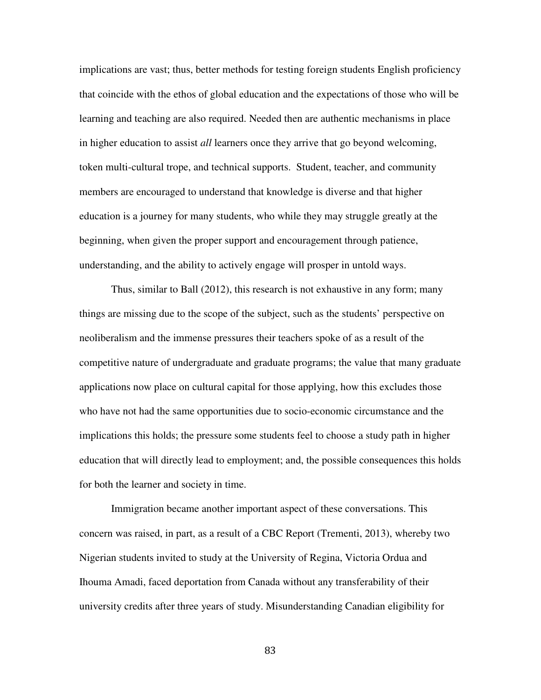implications are vast; thus, better methods for testing foreign students English proficiency that coincide with the ethos of global education and the expectations of those who will be learning and teaching are also required. Needed then are authentic mechanisms in place in higher education to assist *all* learners once they arrive that go beyond welcoming, token multi-cultural trope, and technical supports. Student, teacher, and community members are encouraged to understand that knowledge is diverse and that higher education is a journey for many students, who while they may struggle greatly at the beginning, when given the proper support and encouragement through patience, understanding, and the ability to actively engage will prosper in untold ways.

Thus, similar to Ball (2012), this research is not exhaustive in any form; many things are missing due to the scope of the subject, such as the students' perspective on neoliberalism and the immense pressures their teachers spoke of as a result of the competitive nature of undergraduate and graduate programs; the value that many graduate applications now place on cultural capital for those applying, how this excludes those who have not had the same opportunities due to socio-economic circumstance and the implications this holds; the pressure some students feel to choose a study path in higher education that will directly lead to employment; and, the possible consequences this holds for both the learner and society in time.

Immigration became another important aspect of these conversations. This concern was raised, in part, as a result of a CBC Report (Trementi, 2013), whereby two Nigerian students invited to study at the University of Regina, Victoria Ordua and Ihouma Amadi, faced deportation from Canada without any transferability of their university credits after three years of study. Misunderstanding Canadian eligibility for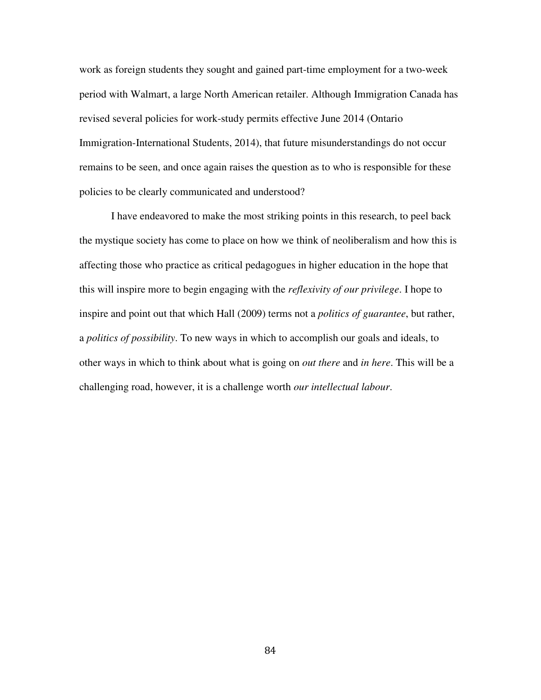work as foreign students they sought and gained part-time employment for a two-week period with Walmart, a large North American retailer. Although Immigration Canada has revised several policies for work-study permits effective June 2014 (Ontario Immigration-International Students, 2014), that future misunderstandings do not occur remains to be seen, and once again raises the question as to who is responsible for these policies to be clearly communicated and understood?

I have endeavored to make the most striking points in this research, to peel back the mystique society has come to place on how we think of neoliberalism and how this is affecting those who practice as critical pedagogues in higher education in the hope that this will inspire more to begin engaging with the *reflexivity of our privilege*. I hope to inspire and point out that which Hall (2009) terms not a *politics of guarantee*, but rather, a *politics of possibility*. To new ways in which to accomplish our goals and ideals, to other ways in which to think about what is going on *out there* and *in here*. This will be a challenging road, however, it is a challenge worth *our intellectual labour*.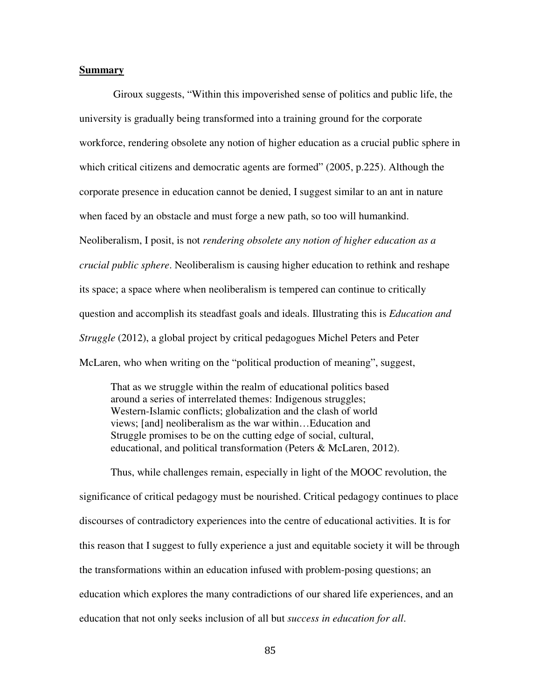#### **Summary**

 Giroux suggests, "Within this impoverished sense of politics and public life, the university is gradually being transformed into a training ground for the corporate workforce, rendering obsolete any notion of higher education as a crucial public sphere in which critical citizens and democratic agents are formed" (2005, p.225). Although the corporate presence in education cannot be denied, I suggest similar to an ant in nature when faced by an obstacle and must forge a new path, so too will humankind. Neoliberalism, I posit, is not *rendering obsolete any notion of higher education as a crucial public sphere*. Neoliberalism is causing higher education to rethink and reshape its space; a space where when neoliberalism is tempered can continue to critically question and accomplish its steadfast goals and ideals. Illustrating this is *Education and Struggle* (2012), a global project by critical pedagogues Michel Peters and Peter McLaren, who when writing on the "political production of meaning", suggest,

That as we struggle within the realm of educational politics based around a series of interrelated themes: Indigenous struggles; Western-Islamic conflicts; globalization and the clash of world views; [and] neoliberalism as the war within…Education and Struggle promises to be on the cutting edge of social, cultural, educational, and political transformation (Peters & McLaren, 2012).

Thus, while challenges remain, especially in light of the MOOC revolution, the significance of critical pedagogy must be nourished. Critical pedagogy continues to place discourses of contradictory experiences into the centre of educational activities. It is for this reason that I suggest to fully experience a just and equitable society it will be through the transformations within an education infused with problem-posing questions; an education which explores the many contradictions of our shared life experiences, and an education that not only seeks inclusion of all but *success in education for all*.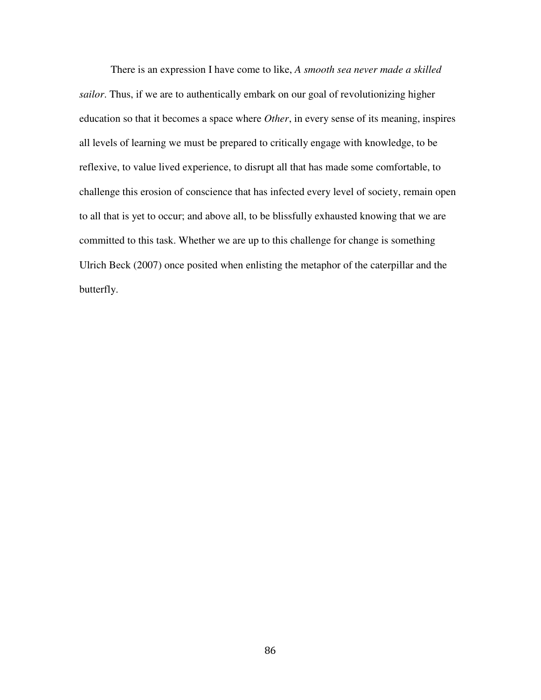There is an expression I have come to like, *A smooth sea never made a skilled sailor*. Thus, if we are to authentically embark on our goal of revolutionizing higher education so that it becomes a space where *Other*, in every sense of its meaning, inspires all levels of learning we must be prepared to critically engage with knowledge, to be reflexive, to value lived experience, to disrupt all that has made some comfortable, to challenge this erosion of conscience that has infected every level of society, remain open to all that is yet to occur; and above all, to be blissfully exhausted knowing that we are committed to this task. Whether we are up to this challenge for change is something Ulrich Beck (2007) once posited when enlisting the metaphor of the caterpillar and the butterfly.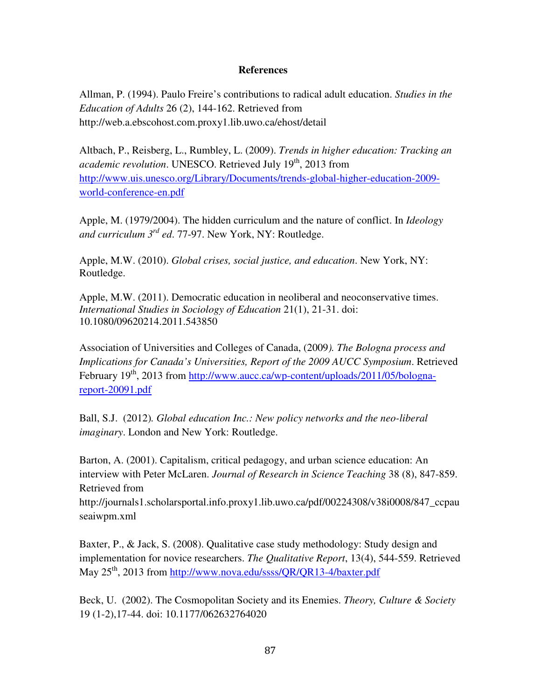#### **References**

Allman, P. (1994). Paulo Freire's contributions to radical adult education. *Studies in the Education of Adults* 26 (2), 144-162. Retrieved from http://web.a.ebscohost.com.proxy1.lib.uwo.ca/ehost/detail

Altbach, P., Reisberg, L., Rumbley, L. (2009). *Trends in higher education: Tracking an academic revolution*. UNESCO. Retrieved July 19<sup>th</sup>, 2013 from http://www.uis.unesco.org/Library/Documents/trends-global-higher-education-2009 world-conference-en.pdf

Apple, M. (1979/2004). The hidden curriculum and the nature of conflict. In *Ideology and curriculum 3rd ed*. 77-97. New York, NY: Routledge.

Apple, M.W. (2010). *Global crises, social justice, and education*. New York, NY: Routledge.

Apple, M.W. (2011). Democratic education in neoliberal and neoconservative times. *International Studies in Sociology of Education* 21(1), 21-31. doi: 10.1080/09620214.2011.543850

Association of Universities and Colleges of Canada, (2009*). The Bologna process and Implications for Canada's Universities, Report of the 2009 AUCC Symposium*. Retrieved February  $19^{th}$ , 2013 from http://www.aucc.ca/wp-content/uploads/2011/05/bolognareport-20091.pdf

Ball, S.J. (2012)*. Global education Inc.: New policy networks and the neo-liberal imaginary*. London and New York: Routledge.

Barton, A. (2001). Capitalism, critical pedagogy, and urban science education: An interview with Peter McLaren. *Journal of Research in Science Teaching* 38 (8), 847-859. Retrieved from

http://journals1.scholarsportal.info.proxy1.lib.uwo.ca/pdf/00224308/v38i0008/847\_ccpau seaiwpm.xml

Baxter, P., & Jack, S. (2008). Qualitative case study methodology: Study design and implementation for novice researchers. *The Qualitative Report*, 13(4), 544-559. Retrieved May 25<sup>th</sup>, 2013 from http://www.nova.edu/ssss/QR/QR13-4/baxter.pdf

Beck, U. (2002). The Cosmopolitan Society and its Enemies. *Theory, Culture & Society* 19 (1-2),17-44. doi: 10.1177/062632764020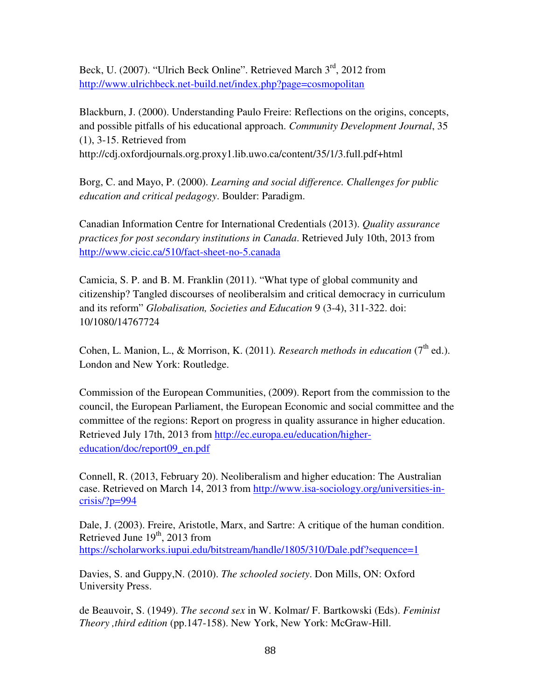Beck, U. (2007). "Ulrich Beck Online". Retrieved March 3<sup>rd</sup>, 2012 from http://www.ulrichbeck.net-build.net/index.php?page=cosmopolitan

Blackburn, J. (2000). Understanding Paulo Freire: Reflections on the origins, concepts, and possible pitfalls of his educational approach. *Community Development Journal*, 35 (1), 3-15. Retrieved from http://cdj.oxfordjournals.org.proxy1.lib.uwo.ca/content/35/1/3.full.pdf+html

Borg, C. and Mayo, P. (2000). *Learning and social difference. Challenges for public education and critical pedagogy*. Boulder: Paradigm.

Canadian Information Centre for International Credentials (2013). *Quality assurance practices for post secondary institutions in Canada*. Retrieved July 10th, 2013 from http://www.cicic.ca/510/fact-sheet-no-5.canada

Camicia, S. P. and B. M. Franklin (2011). "What type of global community and citizenship? Tangled discourses of neoliberalsim and critical democracy in curriculum and its reform" *Globalisation, Societies and Education* 9 (3-4), 311-322. doi: 10/1080/14767724

Cohen, L. Manion, L., & Morrison, K. (2011). *Research methods in education* ( $7<sup>th</sup>$  ed.). London and New York: Routledge.

Commission of the European Communities, (2009). Report from the commission to the council, the European Parliament, the European Economic and social committee and the committee of the regions: Report on progress in quality assurance in higher education. Retrieved July 17th, 2013 from http://ec.europa.eu/education/highereducation/doc/report09\_en.pdf

Connell, R. (2013, February 20). Neoliberalism and higher education: The Australian case. Retrieved on March 14, 2013 from http://www.isa-sociology.org/universities-in $crisis/?p=994$ 

Dale, J. (2003). Freire, Aristotle, Marx, and Sartre: A critique of the human condition. Retrieved June 19<sup>th</sup>, 2013 from https://scholarworks.iupui.edu/bitstream/handle/1805/310/Dale.pdf?sequence=1

Davies, S. and Guppy,N. (2010). *The schooled society*. Don Mills, ON: Oxford University Press.

de Beauvoir, S. (1949). *The second sex* in W. Kolmar/ F. Bartkowski (Eds). *Feminist Theory ,third edition* (pp.147-158). New York, New York: McGraw-Hill.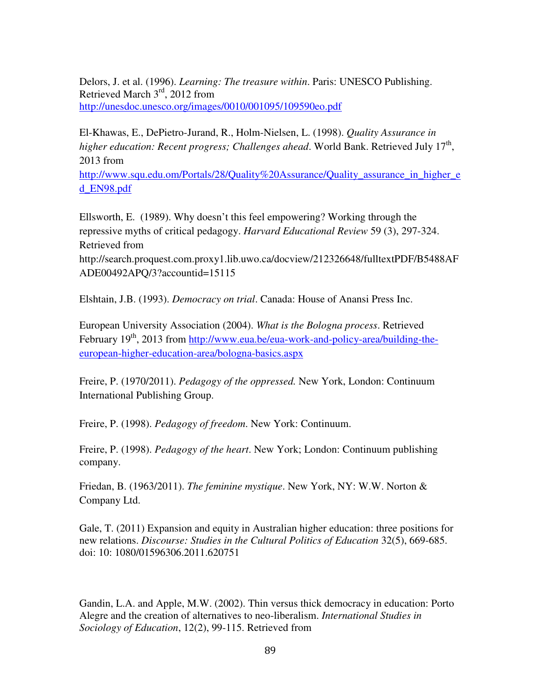Delors, J. et al. (1996). *Learning: The treasure within*. Paris: UNESCO Publishing. Retrieved March 3rd, 2012 from http://unesdoc.unesco.org/images/0010/001095/109590eo.pdf

El-Khawas, E., DePietro-Jurand, R., Holm-Nielsen, L. (1998). *Quality Assurance in*  higher education: Recent progress; Challenges ahead. World Bank. Retrieved July 17<sup>th</sup>, 2013 from

http://www.squ.edu.om/Portals/28/Quality%20Assurance/Quality\_assurance\_in\_higher\_e d\_EN98.pdf

Ellsworth, E. (1989). Why doesn't this feel empowering? Working through the repressive myths of critical pedagogy. *Harvard Educational Review* 59 (3), 297-324. Retrieved from

http://search.proquest.com.proxy1.lib.uwo.ca/docview/212326648/fulltextPDF/B5488AF ADE00492APQ/3?accountid=15115

Elshtain, J.B. (1993). *Democracy on trial*. Canada: House of Anansi Press Inc.

European University Association (2004). *What is the Bologna process*. Retrieved February 19<sup>th</sup>, 2013 from http://www.eua.be/eua-work-and-policy-area/building-theeuropean-higher-education-area/bologna-basics.aspx

Freire, P. (1970/2011). *Pedagogy of the oppressed.* New York, London: Continuum International Publishing Group.

Freire, P. (1998). *Pedagogy of freedom*. New York: Continuum.

Freire, P. (1998). *Pedagogy of the heart*. New York; London: Continuum publishing company.

Friedan, B. (1963/2011). *The feminine mystique*. New York, NY: W.W. Norton & Company Ltd.

Gale, T. (2011) Expansion and equity in Australian higher education: three positions for new relations. *Discourse: Studies in the Cultural Politics of Education* 32(5), 669-685. doi: 10: 1080/01596306.2011.620751

Gandin, L.A. and Apple, M.W. (2002). Thin versus thick democracy in education: Porto Alegre and the creation of alternatives to neo-liberalism. *International Studies in Sociology of Education*, 12(2), 99-115. Retrieved from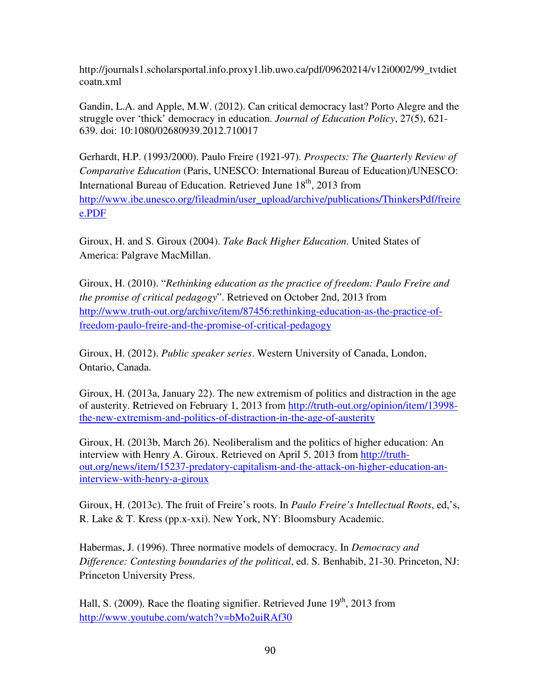http://journals1.scholarsportal.info.proxy1.lib.uwo.ca/pdf/09620214/v12i0002/99\_tvtdiet coatn.xml

Gandin, L.A. and Apple, M.W. (2012). Can critical democracy last? Porto Alegre and the struggle over 'thick' democracy in education. *Journal of Education Policy*, 27(5), 621- 639. doi: 10:1080/02680939.2012.710017

Gerhardt, H.P. (1993/2000). Paulo Freire (1921-97). *Prospects: The Quarterly Review of Comparative Education* (Paris, UNESCO: International Bureau of Education)/UNESCO: International Bureau of Education. Retrieved June 18<sup>th</sup>, 2013 from http://www.ibe.unesco.org/fileadmin/user\_upload/archive/publications/ThinkersPdf/freire e.PDF

Giroux, H. and S. Giroux (2004). *Take Back Higher Education*. United States of America: Palgrave MacMillan.

Giroux, H. (2010). "*Rethinking education as the practice of freedom: Paulo Freire and the promise of critical pedagogy*". Retrieved on October 2nd, 2013 from http://www.truth-out.org/archive/item/87456:rethinking-education-as-the-practice-offreedom-paulo-freire-and-the-promise-of-critical-pedagogy

Giroux, H. (2012). *Public speaker series*. Western University of Canada, London, Ontario, Canada.

Giroux, H. (2013a, January 22). The new extremism of politics and distraction in the age of austerity. Retrieved on February 1, 2013 from http://truth-out.org/opinion/item/13998 the-new-extremism-and-politics-of-distraction-in-the-age-of-austerity

Giroux, H. (2013b, March 26). Neoliberalism and the politics of higher education: An interview with Henry A. Giroux. Retrieved on April 5, 2013 from http://truthout.org/news/item/15237-predatory-capitalism-and-the-attack-on-higher-education-aninterview-with-henry-a-giroux

Giroux, H. (2013c). The fruit of Freire's roots. In *Paulo Freire's Intellectual Roots*, ed,'s, R. Lake & T. Kress (pp.x-xxi). New York, NY: Bloomsbury Academic.

Habermas, J. (1996). Three normative models of democracy. In *Democracy and Difference: Contesting boundaries of the political*, ed. S. Benhabib, 21-30. Princeton, NJ: Princeton University Press.

Hall, S. (2009). Race the floating signifier. Retrieved June  $19<sup>th</sup>$ , 2013 from http://www.youtube.com/watch?v=bMo2uiRAf30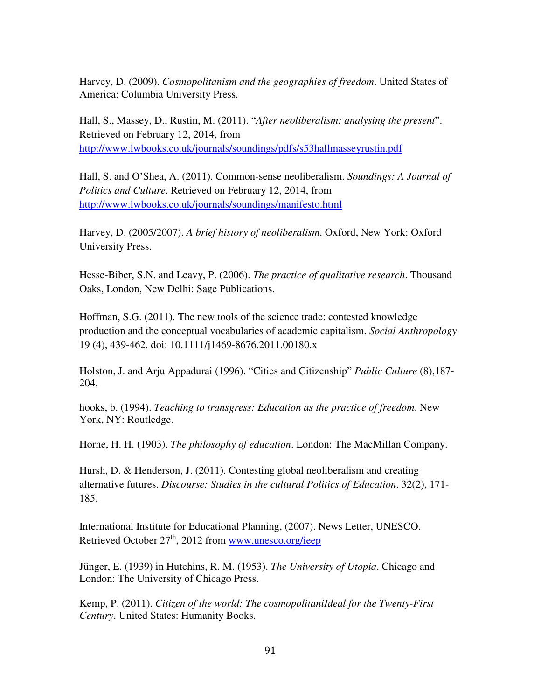Harvey, D. (2009). *Cosmopolitanism and the geographies of freedom*. United States of America: Columbia University Press.

Hall, S., Massey, D., Rustin, M. (2011). "*After neoliberalism: analysing the present*". Retrieved on February 12, 2014, from http://www.lwbooks.co.uk/journals/soundings/pdfs/s53hallmasseyrustin.pdf

Hall, S. and O'Shea, A. (2011). Common-sense neoliberalism. *Soundings: A Journal of Politics and Culture*. Retrieved on February 12, 2014, from http://www.lwbooks.co.uk/journals/soundings/manifesto.html

Harvey, D. (2005/2007). *A brief history of neoliberalism*. Oxford, New York: Oxford University Press.

Hesse-Biber, S.N. and Leavy, P. (2006). *The practice of qualitative research*. Thousand Oaks, London, New Delhi: Sage Publications.

Hoffman, S.G. (2011). The new tools of the science trade: contested knowledge production and the conceptual vocabularies of academic capitalism. *Social Anthropology* 19 (4), 439-462. doi: 10.1111/j1469-8676.2011.00180.x

Holston, J. and Arju Appadurai (1996). "Cities and Citizenship" *Public Culture* (8),187- 204.

hooks, b. (1994). *Teaching to transgress: Education as the practice of freedom*. New York, NY: Routledge.

Horne, H. H. (1903). *The philosophy of education*. London: The MacMillan Company.

Hursh, D. & Henderson, J. (2011). Contesting global neoliberalism and creating alternative futures. *Discourse: Studies in the cultural Politics of Education*. 32(2), 171- 185.

International Institute for Educational Planning, (2007). News Letter, UNESCO. Retrieved October  $27<sup>th</sup>$ , 2012 from www.unesco.org/ieep

Jünger, E. (1939) in Hutchins, R. M. (1953). *The University of Utopia*. Chicago and London: The University of Chicago Press.

Kemp, P. (2011). *Citizen of the world: The cosmopolitaniIdeal for the Twenty-First Century*. United States: Humanity Books.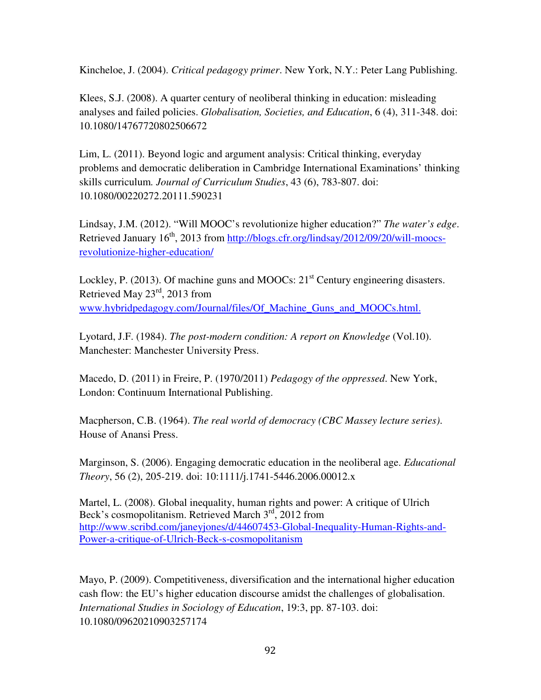Kincheloe, J. (2004). *Critical pedagogy primer*. New York, N.Y.: Peter Lang Publishing.

Klees, S.J. (2008). A quarter century of neoliberal thinking in education: misleading analyses and failed policies. *Globalisation, Societies, and Education*, 6 (4), 311-348. doi: 10.1080/14767720802506672

Lim, L. (2011). Beyond logic and argument analysis: Critical thinking, everyday problems and democratic deliberation in Cambridge International Examinations' thinking skills curriculum*. Journal of Curriculum Studies*, 43 (6), 783-807. doi: 10.1080/00220272.20111.590231

Lindsay, J.M. (2012). "Will MOOC's revolutionize higher education?" *The water's edge*. Retrieved January 16<sup>th</sup>, 2013 from http://blogs.cfr.org/lindsay/2012/09/20/will-moocsrevolutionize-higher-education/

Lockley, P. (2013). Of machine guns and MOOCs:  $21<sup>st</sup>$  Century engineering disasters. Retrieved May 23rd, 2013 from www.hybridpedagogy.com/Journal/files/Of\_Machine\_Guns\_and\_MOOCs.html.

Lyotard, J.F. (1984). *The post-modern condition: A report on Knowledge* (Vol.10). Manchester: Manchester University Press.

Macedo, D. (2011) in Freire, P. (1970/2011) *Pedagogy of the oppressed*. New York, London: Continuum International Publishing.

Macpherson, C.B. (1964). *The real world of democracy (CBC Massey lecture series)*. House of Anansi Press.

Marginson, S. (2006). Engaging democratic education in the neoliberal age. *Educational Theory*, 56 (2), 205-219. doi: 10:1111/j.1741-5446.2006.00012.x

Martel, L. (2008). Global inequality, human rights and power: A critique of Ulrich Beck's cosmopolitanism. Retrieved March  $3<sup>rd</sup>$ , 2012 from http://www.scribd.com/janeyjones/d/44607453-Global-Inequality-Human-Rights-and-Power-a-critique-of-Ulrich-Beck-s-cosmopolitanism

Mayo, P. (2009). Competitiveness, diversification and the international higher education cash flow: the EU's higher education discourse amidst the challenges of globalisation. *International Studies in Sociology of Education*, 19:3, pp. 87-103. doi: 10.1080/09620210903257174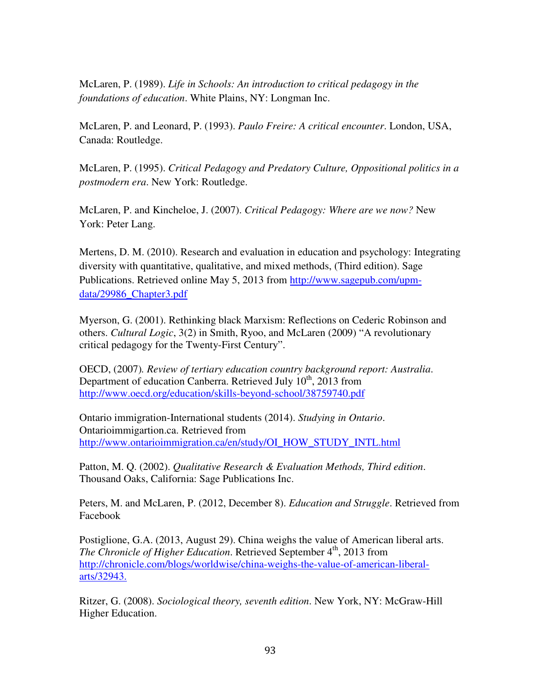McLaren, P. (1989). *Life in Schools: An introduction to critical pedagogy in the foundations of education*. White Plains, NY: Longman Inc.

McLaren, P. and Leonard, P. (1993). *Paulo Freire: A critical encounter*. London, USA, Canada: Routledge.

McLaren, P. (1995). *Critical Pedagogy and Predatory Culture, Oppositional politics in a postmodern era*. New York: Routledge.

McLaren, P. and Kincheloe, J. (2007). *Critical Pedagogy: Where are we now?* New York: Peter Lang.

Mertens, D. M. (2010). Research and evaluation in education and psychology: Integrating diversity with quantitative, qualitative, and mixed methods, (Third edition). Sage Publications. Retrieved online May 5, 2013 from http://www.sagepub.com/upmdata/29986\_Chapter3.pdf

Myerson, G. (2001). Rethinking black Marxism: Reflections on Cederic Robinson and others. *Cultural Logic*, 3(2) in Smith, Ryoo, and McLaren (2009) "A revolutionary critical pedagogy for the Twenty-First Century".

OECD, (2007)*. Review of tertiary education country background report: Australia*. Department of education Canberra. Retrieved July  $10^{th}$ , 2013 from http://www.oecd.org/education/skills-beyond-school/38759740.pdf

Ontario immigration-International students (2014). *Studying in Ontario*. Ontarioimmigartion.ca. Retrieved from http://www.ontarioimmigration.ca/en/study/OI\_HOW\_STUDY\_INTL.html

Patton, M. Q. (2002). *Qualitative Research & Evaluation Methods, Third edition*. Thousand Oaks, California: Sage Publications Inc.

Peters, M. and McLaren, P. (2012, December 8). *Education and Struggle*. Retrieved from Facebook

Postiglione, G.A. (2013, August 29). China weighs the value of American liberal arts. *The Chronicle of Higher Education*. Retrieved September 4<sup>th</sup>, 2013 from http://chronicle.com/blogs/worldwise/china-weighs-the-value-of-american-liberalarts/32943.

Ritzer, G. (2008). *Sociological theory, seventh edition*. New York, NY: McGraw-Hill Higher Education.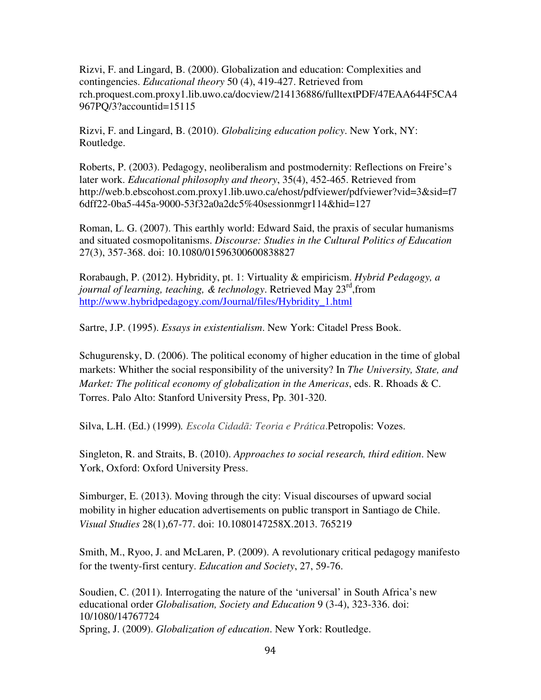Rizvi, F. and Lingard, B. (2000). Globalization and education: Complexities and contingencies. *Educational theory* 50 (4), 419-427. Retrieved from rch.proquest.com.proxy1.lib.uwo.ca/docview/214136886/fulltextPDF/47EAA644F5CA4 967PQ/3?accountid=15115

Rizvi, F. and Lingard, B. (2010). *Globalizing education policy*. New York, NY: Routledge.

Roberts, P. (2003). Pedagogy, neoliberalism and postmodernity: Reflections on Freire's later work. *Educational philosophy and theory*, 35(4), 452-465. Retrieved from http://web.b.ebscohost.com.proxy1.lib.uwo.ca/ehost/pdfviewer/pdfviewer?vid=3&sid=f7 6dff22-0ba5-445a-9000-53f32a0a2dc5%40sessionmgr114&hid=127

Roman, L. G. (2007). This earthly world: Edward Said, the praxis of secular humanisms and situated cosmopolitanisms. *Discourse: Studies in the Cultural Politics of Education* 27(3), 357-368. doi: 10.1080/01596300600838827

Rorabaugh, P. (2012). Hybridity, pt. 1: Virtuality & empiricism. *Hybrid Pedagogy, a journal of learning, teaching, & technology*. Retrieved May 23rd,from http://www.hybridpedagogy.com/Journal/files/Hybridity\_1.html

Sartre, J.P. (1995). *Essays in existentialism*. New York: Citadel Press Book.

Schugurensky, D. (2006). The political economy of higher education in the time of global markets: Whither the social responsibility of the university? In *The University, State, and Market: The political economy of globalization in the Americas*, eds. R. Rhoads & C. Torres. Palo Alto: Stanford University Press, Pp. 301-320.

Silva, L.H. (Ed.) (1999)*. Escola Cidadã: Teoria e Prática*.Petropolis: Vozes.

Singleton, R. and Straits, B. (2010). *Approaches to social research, third edition*. New York, Oxford: Oxford University Press.

Simburger, E. (2013). Moving through the city: Visual discourses of upward social mobility in higher education advertisements on public transport in Santiago de Chile. *Visual Studies* 28(1),67-77. doi: 10.1080147258X.2013. 765219

Smith, M., Ryoo, J. and McLaren, P. (2009). A revolutionary critical pedagogy manifesto for the twenty-first century. *Education and Society*, 27, 59-76.

Soudien, C. (2011). Interrogating the nature of the 'universal' in South Africa's new educational order *Globalisation, Society and Education* 9 (3-4), 323-336. doi: 10/1080/14767724 Spring, J. (2009). *Globalization of education*. New York: Routledge.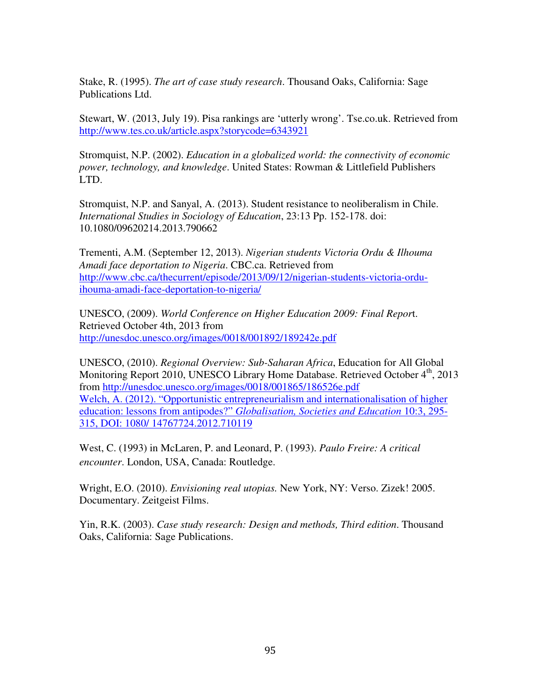Stake, R. (1995). *The art of case study research*. Thousand Oaks, California: Sage Publications Ltd.

Stewart, W. (2013, July 19). Pisa rankings are 'utterly wrong'. Tse.co.uk. Retrieved from http://www.tes.co.uk/article.aspx?storycode=6343921

Stromquist, N.P. (2002). *Education in a globalized world: the connectivity of economic power, technology, and knowledge*. United States: Rowman & Littlefield Publishers LTD.

Stromquist, N.P. and Sanyal, A. (2013). Student resistance to neoliberalism in Chile. *International Studies in Sociology of Education*, 23:13 Pp. 152-178. doi: 10.1080/09620214.2013.790662

Trementi, A.M. (September 12, 2013). *Nigerian students Victoria Ordu & Ilhouma Amadi face deportation to Nigeria*. CBC.ca. Retrieved from http://www.cbc.ca/thecurrent/episode/2013/09/12/nigerian-students-victoria-orduihouma-amadi-face-deportation-to-nigeria/

UNESCO, (2009). *World Conference on Higher Education 2009: Final Repor*t. Retrieved October 4th, 2013 from http://unesdoc.unesco.org/images/0018/001892/189242e.pdf

UNESCO, (2010). *Regional Overview: Sub-Saharan Africa*, Education for All Global Monitoring Report 2010, UNESCO Library Home Database. Retrieved October 4<sup>th</sup>, 2013 from http://unesdoc.unesco.org/images/0018/001865/186526e.pdf Welch, A. (2012). "Opportunistic entrepreneurialism and internationalisation of higher education: lessons from antipodes?" *Globalisation, Societies and Education* 10:3, 295- 315, DOI: 1080/ 14767724.2012.710119

West, C. (1993) in McLaren, P. and Leonard, P. (1993). *Paulo Freire: A critical encounter*. London, USA, Canada: Routledge.

Wright, E.O. (2010). *Envisioning real utopias.* New York, NY: Verso. Zizek! 2005. Documentary. Zeitgeist Films.

Yin, R.K. (2003). *Case study research: Design and methods, Third edition*. Thousand Oaks, California: Sage Publications.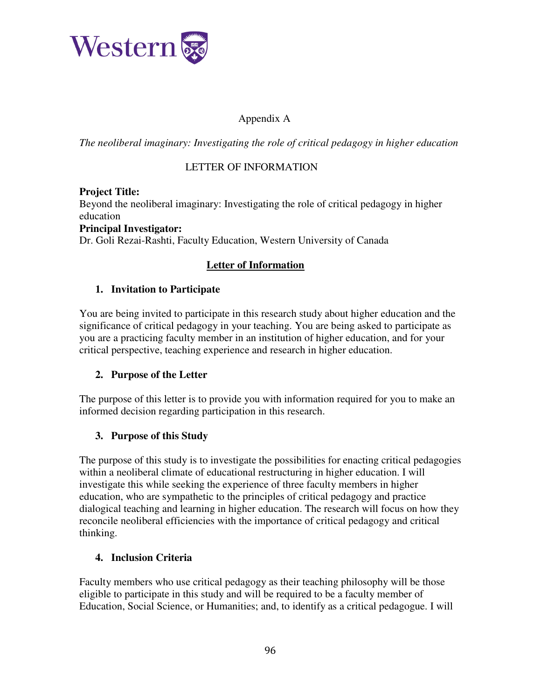

## Appendix A

*The neoliberal imaginary: Investigating the role of critical pedagogy in higher education* 

### LETTER OF INFORMATION

### **Project Title:**

Beyond the neoliberal imaginary: Investigating the role of critical pedagogy in higher education

#### **Principal Investigator:**

Dr. Goli Rezai-Rashti, Faculty Education, Western University of Canada

### **Letter of Information**

### **1. Invitation to Participate**

You are being invited to participate in this research study about higher education and the significance of critical pedagogy in your teaching. You are being asked to participate as you are a practicing faculty member in an institution of higher education, and for your critical perspective, teaching experience and research in higher education.

### **2. Purpose of the Letter**

The purpose of this letter is to provide you with information required for you to make an informed decision regarding participation in this research.

### **3. Purpose of this Study**

The purpose of this study is to investigate the possibilities for enacting critical pedagogies within a neoliberal climate of educational restructuring in higher education. I will investigate this while seeking the experience of three faculty members in higher education, who are sympathetic to the principles of critical pedagogy and practice dialogical teaching and learning in higher education. The research will focus on how they reconcile neoliberal efficiencies with the importance of critical pedagogy and critical thinking.

#### **4. Inclusion Criteria**

Faculty members who use critical pedagogy as their teaching philosophy will be those eligible to participate in this study and will be required to be a faculty member of Education, Social Science, or Humanities; and, to identify as a critical pedagogue. I will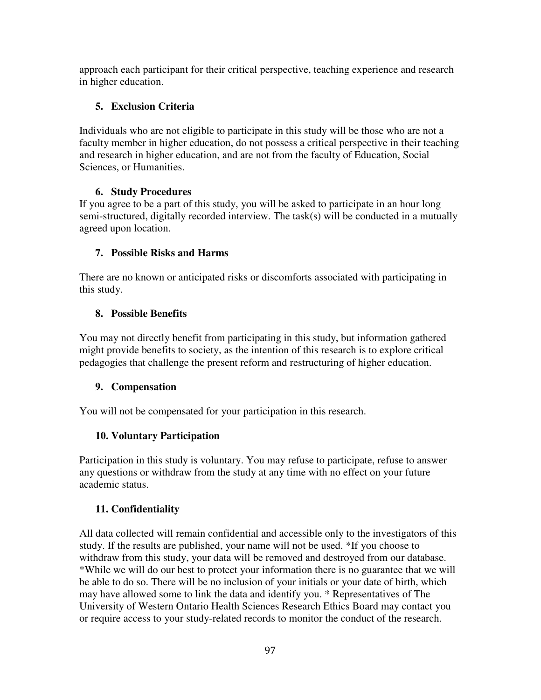approach each participant for their critical perspective, teaching experience and research in higher education.

## **5. Exclusion Criteria**

Individuals who are not eligible to participate in this study will be those who are not a faculty member in higher education, do not possess a critical perspective in their teaching and research in higher education, and are not from the faculty of Education, Social Sciences, or Humanities.

# **6. Study Procedures**

If you agree to be a part of this study, you will be asked to participate in an hour long semi-structured, digitally recorded interview. The task(s) will be conducted in a mutually agreed upon location.

# **7. Possible Risks and Harms**

There are no known or anticipated risks or discomforts associated with participating in this study.

# **8. Possible Benefits**

You may not directly benefit from participating in this study, but information gathered might provide benefits to society, as the intention of this research is to explore critical pedagogies that challenge the present reform and restructuring of higher education.

## **9. Compensation**

You will not be compensated for your participation in this research.

## **10. Voluntary Participation**

Participation in this study is voluntary. You may refuse to participate, refuse to answer any questions or withdraw from the study at any time with no effect on your future academic status.

# **11. Confidentiality**

All data collected will remain confidential and accessible only to the investigators of this study. If the results are published, your name will not be used. \*If you choose to withdraw from this study, your data will be removed and destroyed from our database. \*While we will do our best to protect your information there is no guarantee that we will be able to do so. There will be no inclusion of your initials or your date of birth, which may have allowed some to link the data and identify you. \* Representatives of The University of Western Ontario Health Sciences Research Ethics Board may contact you or require access to your study-related records to monitor the conduct of the research.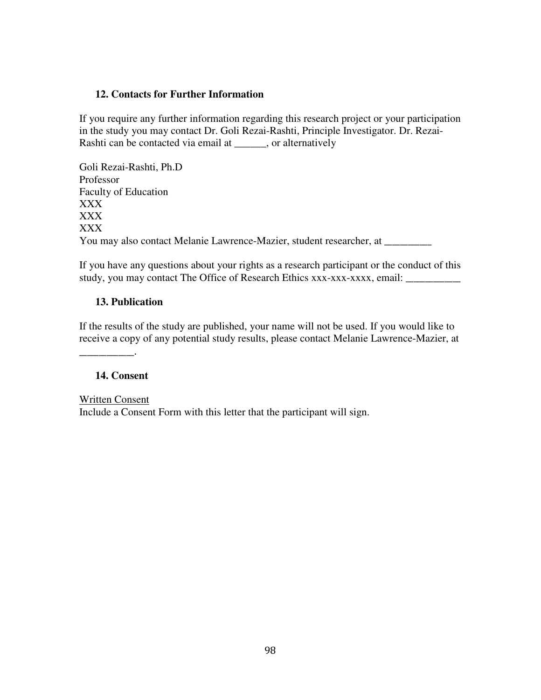#### **12. Contacts for Further Information**

If you require any further information regarding this research project or your participation in the study you may contact Dr. Goli Rezai-Rashti, Principle Investigator. Dr. Rezai-Rashti can be contacted via email at \_\_\_\_\_\_, or alternatively

Goli Rezai-Rashti, Ph.D Professor Faculty of Education XXX XXX XXX You may also contact Melanie Lawrence-Mazier, student researcher, at \_\_\_\_\_\_\_\_\_\_\_\_

If you have any questions about your rights as a research participant or the conduct of this study, you may contact The Office of Research Ethics xxx-xxx-xxxx, email: \_\_\_\_\_\_\_\_\_\_\_\_\_

### **13. Publication**

If the results of the study are published, your name will not be used. If you would like to receive a copy of any potential study results, please contact Melanie Lawrence-Mazier, at

#### **14. Consent**

 $\overline{\phantom{a}}$  . The set of the set of the set of the set of the set of the set of the set of the set of the set of the set of the set of the set of the set of the set of the set of the set of the set of the set of the set o

Written Consent Include a Consent Form with this letter that the participant will sign.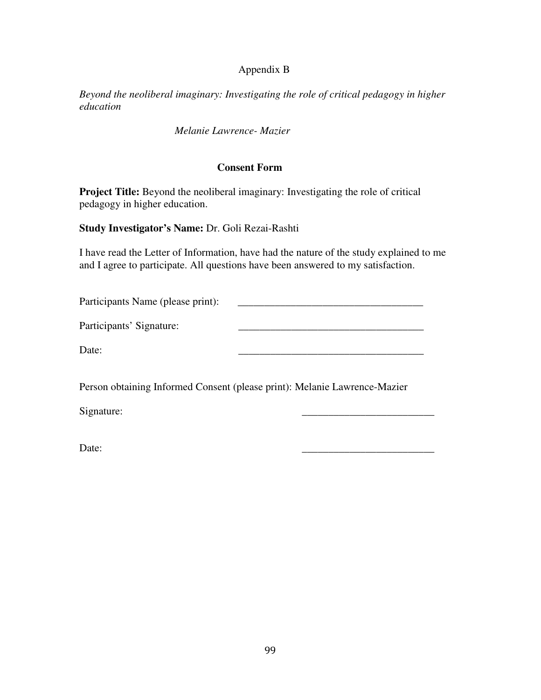### Appendix B

*Beyond the neoliberal imaginary: Investigating the role of critical pedagogy in higher education* 

*Melanie Lawrence- Mazier* 

### **Consent Form**

**Project Title:** Beyond the neoliberal imaginary: Investigating the role of critical pedagogy in higher education.

**Study Investigator's Name:** Dr. Goli Rezai-Rashti

I have read the Letter of Information, have had the nature of the study explained to me and I agree to participate. All questions have been answered to my satisfaction.

Participants Name (please print): \_\_\_\_\_\_\_\_\_\_\_\_\_\_\_\_\_\_\_\_\_\_\_\_\_\_\_\_\_\_\_\_\_\_\_

Participants' Signature: \_\_\_\_\_\_\_\_\_\_\_\_\_\_\_\_\_\_\_\_\_\_\_\_\_\_\_\_\_\_\_\_\_\_\_

Date: \_\_\_\_\_\_\_\_\_\_\_\_\_\_\_\_\_\_\_\_\_\_\_\_\_\_\_\_\_\_\_\_\_\_\_

Person obtaining Informed Consent (please print): Melanie Lawrence-Mazier

Signature:

Date: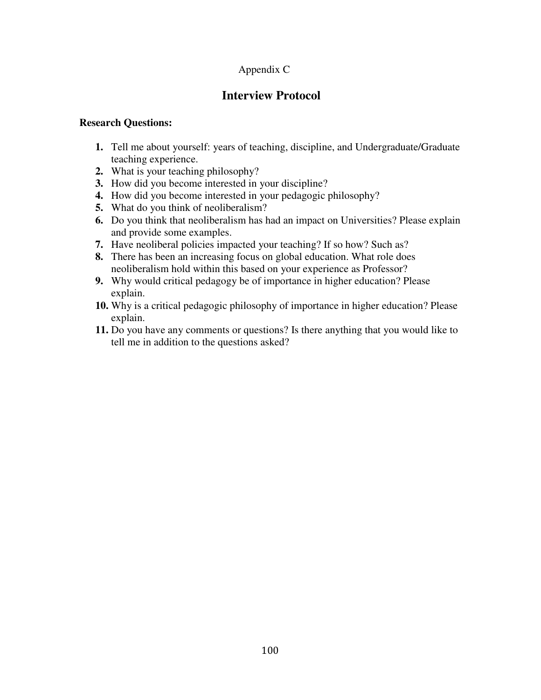## Appendix C

# **Interview Protocol**

### **Research Questions:**

- **1.** Tell me about yourself: years of teaching, discipline, and Undergraduate/Graduate teaching experience.
- **2.** What is your teaching philosophy?
- **3.** How did you become interested in your discipline?
- **4.** How did you become interested in your pedagogic philosophy?
- **5.** What do you think of neoliberalism?
- **6.** Do you think that neoliberalism has had an impact on Universities? Please explain and provide some examples.
- **7.** Have neoliberal policies impacted your teaching? If so how? Such as?
- **8.** There has been an increasing focus on global education. What role does neoliberalism hold within this based on your experience as Professor?
- **9.** Why would critical pedagogy be of importance in higher education? Please explain.
- **10.** Why is a critical pedagogic philosophy of importance in higher education? Please explain.
- **11.** Do you have any comments or questions? Is there anything that you would like to tell me in addition to the questions asked?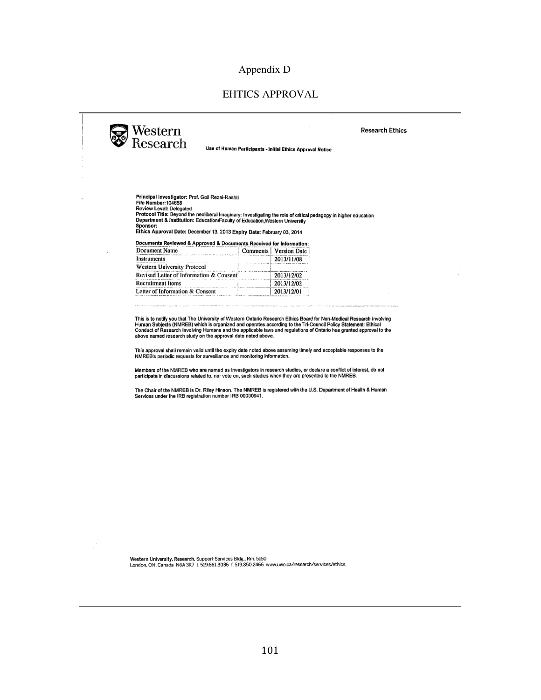## Appendix D

## EHTICS APPROVAL

Western<br>Research

Use of Human Participants - Initial Ethics Approval Notice

**Research Ethics** 

Principal Investigator: Prof. Goli Rezai-Rashti<br>File Number:104658<br>Review Level: Delegated<br>Protocol Title: Beyond the neoliberal Imaginary: Investigating the role of critical pedagogy in higher education<br>Department & Insti Sponsor:<br>Sponsor:<br>Ethics Approval Date: December 13, 2013 Expiry Date: February 03, 2014

Documents Reviewed & Approved & Documents Received for Information:

| Document Name                           | Comments   Version Date |
|-----------------------------------------|-------------------------|
| Instruments                             | 2013/11/08              |
| Western University Protocol             |                         |
| Revised Letter of Information & Consent | 2013/12/02              |
| <b>Recruitment Items</b>                | 2013/12/02              |
| Letter of Information & Consent         | 2013/12/01              |

This is to notify you that The University of Western Ontario Research Ethics Board for Non-Medical Research Involving<br>Human Subjects (NMREB) which is organized and operates according to the Tri-Council Policy Statement: Et

This approval shall remain valid until the expiry date noted above assuming timely and acceptable responses to the<br>NMREB's periodic requests for surveillance and monitoring information.

Members of the NMREB who are named as investigators in research studies, or declare a conflict of interest, do not<br>participate in discussions related to, nor vote on, such studies when they are presented to the NMREB.

The Chair of the NMREB is Dr. Riley Hinson. The NMREB is registered with the U.S. Department of Health & Human Services under the IRB registration number IRB 00000941.

Western University, Research, Support Services Bldg., Rm. 5150<br>London, ON, Canada N6A 3K7 t. 519.661.3036 f. 519.850.2466 www.uwo.ca/research/services/ethics